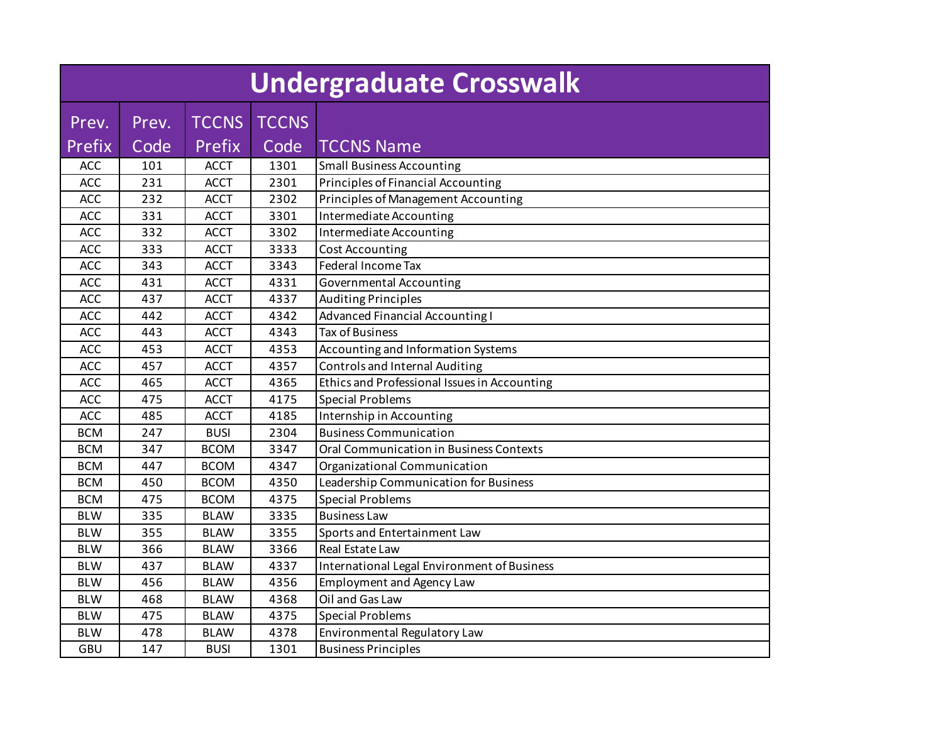|                 | Undergraduate Crosswalk |                        |                      |                                              |  |  |  |  |
|-----------------|-------------------------|------------------------|----------------------|----------------------------------------------|--|--|--|--|
| Prev.<br>Prefix | Prev.<br>Code           | <b>TCCNS</b><br>Prefix | <b>TCCNS</b><br>Code | <b>TCCNS Name</b>                            |  |  |  |  |
| ACC             | 101                     | <b>ACCT</b>            | 1301                 | <b>Small Business Accounting</b>             |  |  |  |  |
| <b>ACC</b>      | 231                     | <b>ACCT</b>            | 2301                 | Principles of Financial Accounting           |  |  |  |  |
| <b>ACC</b>      | 232                     | <b>ACCT</b>            | 2302                 | <b>Principles of Management Accounting</b>   |  |  |  |  |
| <b>ACC</b>      | 331                     | <b>ACCT</b>            | 3301                 | Intermediate Accounting                      |  |  |  |  |
| <b>ACC</b>      | 332                     | <b>ACCT</b>            | 3302                 | Intermediate Accounting                      |  |  |  |  |
| <b>ACC</b>      | 333                     | <b>ACCT</b>            | 3333                 | <b>Cost Accounting</b>                       |  |  |  |  |
| <b>ACC</b>      | 343                     | <b>ACCT</b>            | 3343                 | Federal Income Tax                           |  |  |  |  |
| <b>ACC</b>      | 431                     | <b>ACCT</b>            | 4331                 | Governmental Accounting                      |  |  |  |  |
| <b>ACC</b>      | 437                     | <b>ACCT</b>            | 4337                 | <b>Auditing Principles</b>                   |  |  |  |  |
| <b>ACC</b>      | 442                     | <b>ACCT</b>            | 4342                 | <b>Advanced Financial Accounting I</b>       |  |  |  |  |
| <b>ACC</b>      | 443                     | <b>ACCT</b>            | 4343                 | <b>Tax of Business</b>                       |  |  |  |  |
| ACC             | 453                     | <b>ACCT</b>            | 4353                 | Accounting and Information Systems           |  |  |  |  |
| <b>ACC</b>      | 457                     | <b>ACCT</b>            | 4357                 | <b>Controls and Internal Auditing</b>        |  |  |  |  |
| <b>ACC</b>      | 465                     | <b>ACCT</b>            | 4365                 | Ethics and Professional Issues in Accounting |  |  |  |  |
| ACC             | 475                     | <b>ACCT</b>            | 4175                 | <b>Special Problems</b>                      |  |  |  |  |
| <b>ACC</b>      | 485                     | <b>ACCT</b>            | 4185                 | Internship in Accounting                     |  |  |  |  |
| <b>BCM</b>      | 247                     | <b>BUSI</b>            | 2304                 | <b>Business Communication</b>                |  |  |  |  |
| <b>BCM</b>      | 347                     | <b>BCOM</b>            | 3347                 | Oral Communication in Business Contexts      |  |  |  |  |
| <b>BCM</b>      | 447                     | <b>BCOM</b>            | 4347                 | Organizational Communication                 |  |  |  |  |
| <b>BCM</b>      | 450                     | <b>BCOM</b>            | 4350                 | Leadership Communication for Business        |  |  |  |  |
| <b>BCM</b>      | 475                     | <b>BCOM</b>            | 4375                 | <b>Special Problems</b>                      |  |  |  |  |
| <b>BLW</b>      | 335                     | <b>BLAW</b>            | 3335                 | <b>Business Law</b>                          |  |  |  |  |
| <b>BLW</b>      | 355                     | <b>BLAW</b>            | 3355                 | Sports and Entertainment Law                 |  |  |  |  |
| <b>BLW</b>      | 366                     | <b>BLAW</b>            | 3366                 | Real Estate Law                              |  |  |  |  |
| <b>BLW</b>      | 437                     | <b>BLAW</b>            | 4337                 | International Legal Environment of Business  |  |  |  |  |
| <b>BLW</b>      | 456                     | <b>BLAW</b>            | 4356                 | <b>Employment and Agency Law</b>             |  |  |  |  |
| <b>BLW</b>      | 468                     | <b>BLAW</b>            | 4368                 | Oil and Gas Law                              |  |  |  |  |
| <b>BLW</b>      | 475                     | <b>BLAW</b>            | 4375                 | <b>Special Problems</b>                      |  |  |  |  |
| <b>BLW</b>      | 478                     | <b>BLAW</b>            | 4378                 | Environmental Regulatory Law                 |  |  |  |  |
| GBU             | 147                     | <b>BUSI</b>            | 1301                 | <b>Business Principles</b>                   |  |  |  |  |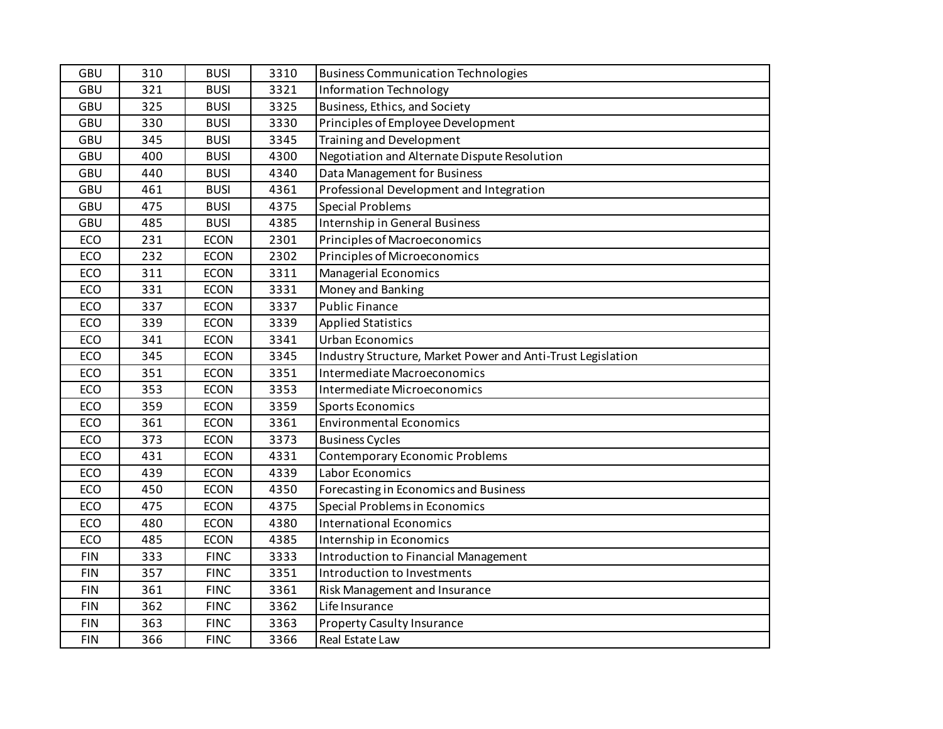| GBU<br>321<br>3321<br><b>BUSI</b><br><b>Information Technology</b><br>GBU<br>Business, Ethics, and Society<br>325<br>3325<br><b>BUSI</b><br><b>GBU</b><br>3330<br>Principles of Employee Development<br>330<br><b>BUSI</b><br>GBU<br>Training and Development<br>345<br>3345<br><b>BUSI</b><br>Negotiation and Alternate Dispute Resolution<br>GBU<br>4300<br>400<br><b>BUSI</b><br>Data Management for Business<br>GBU<br>4340<br>440<br><b>BUSI</b><br>Professional Development and Integration<br>GBU<br>461<br>4361<br><b>BUSI</b><br>GBU<br>475<br><b>BUSI</b><br>4375<br><b>Special Problems</b><br>GBU<br>485<br>4385<br>Internship in General Business<br><b>BUSI</b><br>ECO<br>231<br><b>ECON</b><br>2301<br>Principles of Macroeconomics<br>ECO<br>2302<br>232<br><b>ECON</b><br>Principles of Microeconomics<br>ECO<br>311<br>3311<br>Managerial Economics<br><b>ECON</b><br>ECO<br>331<br>3331<br>Money and Banking<br><b>ECON</b><br><b>Public Finance</b><br>ECO<br>337<br><b>ECON</b><br>3337<br>ECO<br>339<br><b>ECON</b><br>3339<br><b>Applied Statistics</b><br>ECO<br>341<br>Urban Economics<br>3341<br><b>ECON</b><br>ECO<br>345<br><b>ECON</b><br>3345<br>Industry Structure, Market Power and Anti-Trust Legislation<br>ECO<br>351<br><b>ECON</b><br>3351<br>Intermediate Macroeconomics<br>3353<br>ECO<br>353<br><b>ECON</b><br>Intermediate Microeconomics<br>ECO<br>359<br>3359<br><b>ECON</b><br><b>Sports Economics</b><br>ECO<br>361<br>3361<br><b>Environmental Economics</b><br><b>ECON</b><br>ECO<br>373<br>3373<br><b>Business Cycles</b><br><b>ECON</b><br>ECO<br>431<br>4331<br>Contemporary Economic Problems<br><b>ECON</b><br>Labor Economics<br>ECO<br>439<br>4339<br><b>ECON</b><br>ECO<br>450<br>4350<br><b>ECON</b><br>Forecasting in Economics and Business<br>ECO<br>4375<br>Special Problems in Economics<br>475<br><b>ECON</b><br>ECO<br>480<br><b>ECON</b><br>4380<br><b>International Economics</b><br>ECO<br>4385<br>485<br><b>ECON</b><br>Internship in Economics<br><b>FIN</b><br>333<br>3333<br><b>FINC</b><br>Introduction to Financial Management<br><b>FIN</b><br>357<br><b>FINC</b><br>3351<br>Introduction to Investments<br><b>FIN</b><br>361<br>3361<br><b>FINC</b><br>Risk Management and Insurance | GBU        | 310 | <b>BUSI</b> | 3310 | <b>Business Communication Technologies</b> |
|----------------------------------------------------------------------------------------------------------------------------------------------------------------------------------------------------------------------------------------------------------------------------------------------------------------------------------------------------------------------------------------------------------------------------------------------------------------------------------------------------------------------------------------------------------------------------------------------------------------------------------------------------------------------------------------------------------------------------------------------------------------------------------------------------------------------------------------------------------------------------------------------------------------------------------------------------------------------------------------------------------------------------------------------------------------------------------------------------------------------------------------------------------------------------------------------------------------------------------------------------------------------------------------------------------------------------------------------------------------------------------------------------------------------------------------------------------------------------------------------------------------------------------------------------------------------------------------------------------------------------------------------------------------------------------------------------------------------------------------------------------------------------------------------------------------------------------------------------------------------------------------------------------------------------------------------------------------------------------------------------------------------------------------------------------------------------------------------------------------------------------------------------------------------------------------------------------------------------------------------------------------|------------|-----|-------------|------|--------------------------------------------|
|                                                                                                                                                                                                                                                                                                                                                                                                                                                                                                                                                                                                                                                                                                                                                                                                                                                                                                                                                                                                                                                                                                                                                                                                                                                                                                                                                                                                                                                                                                                                                                                                                                                                                                                                                                                                                                                                                                                                                                                                                                                                                                                                                                                                                                                                |            |     |             |      |                                            |
|                                                                                                                                                                                                                                                                                                                                                                                                                                                                                                                                                                                                                                                                                                                                                                                                                                                                                                                                                                                                                                                                                                                                                                                                                                                                                                                                                                                                                                                                                                                                                                                                                                                                                                                                                                                                                                                                                                                                                                                                                                                                                                                                                                                                                                                                |            |     |             |      |                                            |
|                                                                                                                                                                                                                                                                                                                                                                                                                                                                                                                                                                                                                                                                                                                                                                                                                                                                                                                                                                                                                                                                                                                                                                                                                                                                                                                                                                                                                                                                                                                                                                                                                                                                                                                                                                                                                                                                                                                                                                                                                                                                                                                                                                                                                                                                |            |     |             |      |                                            |
|                                                                                                                                                                                                                                                                                                                                                                                                                                                                                                                                                                                                                                                                                                                                                                                                                                                                                                                                                                                                                                                                                                                                                                                                                                                                                                                                                                                                                                                                                                                                                                                                                                                                                                                                                                                                                                                                                                                                                                                                                                                                                                                                                                                                                                                                |            |     |             |      |                                            |
|                                                                                                                                                                                                                                                                                                                                                                                                                                                                                                                                                                                                                                                                                                                                                                                                                                                                                                                                                                                                                                                                                                                                                                                                                                                                                                                                                                                                                                                                                                                                                                                                                                                                                                                                                                                                                                                                                                                                                                                                                                                                                                                                                                                                                                                                |            |     |             |      |                                            |
|                                                                                                                                                                                                                                                                                                                                                                                                                                                                                                                                                                                                                                                                                                                                                                                                                                                                                                                                                                                                                                                                                                                                                                                                                                                                                                                                                                                                                                                                                                                                                                                                                                                                                                                                                                                                                                                                                                                                                                                                                                                                                                                                                                                                                                                                |            |     |             |      |                                            |
|                                                                                                                                                                                                                                                                                                                                                                                                                                                                                                                                                                                                                                                                                                                                                                                                                                                                                                                                                                                                                                                                                                                                                                                                                                                                                                                                                                                                                                                                                                                                                                                                                                                                                                                                                                                                                                                                                                                                                                                                                                                                                                                                                                                                                                                                |            |     |             |      |                                            |
|                                                                                                                                                                                                                                                                                                                                                                                                                                                                                                                                                                                                                                                                                                                                                                                                                                                                                                                                                                                                                                                                                                                                                                                                                                                                                                                                                                                                                                                                                                                                                                                                                                                                                                                                                                                                                                                                                                                                                                                                                                                                                                                                                                                                                                                                |            |     |             |      |                                            |
|                                                                                                                                                                                                                                                                                                                                                                                                                                                                                                                                                                                                                                                                                                                                                                                                                                                                                                                                                                                                                                                                                                                                                                                                                                                                                                                                                                                                                                                                                                                                                                                                                                                                                                                                                                                                                                                                                                                                                                                                                                                                                                                                                                                                                                                                |            |     |             |      |                                            |
|                                                                                                                                                                                                                                                                                                                                                                                                                                                                                                                                                                                                                                                                                                                                                                                                                                                                                                                                                                                                                                                                                                                                                                                                                                                                                                                                                                                                                                                                                                                                                                                                                                                                                                                                                                                                                                                                                                                                                                                                                                                                                                                                                                                                                                                                |            |     |             |      |                                            |
|                                                                                                                                                                                                                                                                                                                                                                                                                                                                                                                                                                                                                                                                                                                                                                                                                                                                                                                                                                                                                                                                                                                                                                                                                                                                                                                                                                                                                                                                                                                                                                                                                                                                                                                                                                                                                                                                                                                                                                                                                                                                                                                                                                                                                                                                |            |     |             |      |                                            |
|                                                                                                                                                                                                                                                                                                                                                                                                                                                                                                                                                                                                                                                                                                                                                                                                                                                                                                                                                                                                                                                                                                                                                                                                                                                                                                                                                                                                                                                                                                                                                                                                                                                                                                                                                                                                                                                                                                                                                                                                                                                                                                                                                                                                                                                                |            |     |             |      |                                            |
|                                                                                                                                                                                                                                                                                                                                                                                                                                                                                                                                                                                                                                                                                                                                                                                                                                                                                                                                                                                                                                                                                                                                                                                                                                                                                                                                                                                                                                                                                                                                                                                                                                                                                                                                                                                                                                                                                                                                                                                                                                                                                                                                                                                                                                                                |            |     |             |      |                                            |
|                                                                                                                                                                                                                                                                                                                                                                                                                                                                                                                                                                                                                                                                                                                                                                                                                                                                                                                                                                                                                                                                                                                                                                                                                                                                                                                                                                                                                                                                                                                                                                                                                                                                                                                                                                                                                                                                                                                                                                                                                                                                                                                                                                                                                                                                |            |     |             |      |                                            |
|                                                                                                                                                                                                                                                                                                                                                                                                                                                                                                                                                                                                                                                                                                                                                                                                                                                                                                                                                                                                                                                                                                                                                                                                                                                                                                                                                                                                                                                                                                                                                                                                                                                                                                                                                                                                                                                                                                                                                                                                                                                                                                                                                                                                                                                                |            |     |             |      |                                            |
|                                                                                                                                                                                                                                                                                                                                                                                                                                                                                                                                                                                                                                                                                                                                                                                                                                                                                                                                                                                                                                                                                                                                                                                                                                                                                                                                                                                                                                                                                                                                                                                                                                                                                                                                                                                                                                                                                                                                                                                                                                                                                                                                                                                                                                                                |            |     |             |      |                                            |
|                                                                                                                                                                                                                                                                                                                                                                                                                                                                                                                                                                                                                                                                                                                                                                                                                                                                                                                                                                                                                                                                                                                                                                                                                                                                                                                                                                                                                                                                                                                                                                                                                                                                                                                                                                                                                                                                                                                                                                                                                                                                                                                                                                                                                                                                |            |     |             |      |                                            |
|                                                                                                                                                                                                                                                                                                                                                                                                                                                                                                                                                                                                                                                                                                                                                                                                                                                                                                                                                                                                                                                                                                                                                                                                                                                                                                                                                                                                                                                                                                                                                                                                                                                                                                                                                                                                                                                                                                                                                                                                                                                                                                                                                                                                                                                                |            |     |             |      |                                            |
|                                                                                                                                                                                                                                                                                                                                                                                                                                                                                                                                                                                                                                                                                                                                                                                                                                                                                                                                                                                                                                                                                                                                                                                                                                                                                                                                                                                                                                                                                                                                                                                                                                                                                                                                                                                                                                                                                                                                                                                                                                                                                                                                                                                                                                                                |            |     |             |      |                                            |
|                                                                                                                                                                                                                                                                                                                                                                                                                                                                                                                                                                                                                                                                                                                                                                                                                                                                                                                                                                                                                                                                                                                                                                                                                                                                                                                                                                                                                                                                                                                                                                                                                                                                                                                                                                                                                                                                                                                                                                                                                                                                                                                                                                                                                                                                |            |     |             |      |                                            |
|                                                                                                                                                                                                                                                                                                                                                                                                                                                                                                                                                                                                                                                                                                                                                                                                                                                                                                                                                                                                                                                                                                                                                                                                                                                                                                                                                                                                                                                                                                                                                                                                                                                                                                                                                                                                                                                                                                                                                                                                                                                                                                                                                                                                                                                                |            |     |             |      |                                            |
|                                                                                                                                                                                                                                                                                                                                                                                                                                                                                                                                                                                                                                                                                                                                                                                                                                                                                                                                                                                                                                                                                                                                                                                                                                                                                                                                                                                                                                                                                                                                                                                                                                                                                                                                                                                                                                                                                                                                                                                                                                                                                                                                                                                                                                                                |            |     |             |      |                                            |
|                                                                                                                                                                                                                                                                                                                                                                                                                                                                                                                                                                                                                                                                                                                                                                                                                                                                                                                                                                                                                                                                                                                                                                                                                                                                                                                                                                                                                                                                                                                                                                                                                                                                                                                                                                                                                                                                                                                                                                                                                                                                                                                                                                                                                                                                |            |     |             |      |                                            |
|                                                                                                                                                                                                                                                                                                                                                                                                                                                                                                                                                                                                                                                                                                                                                                                                                                                                                                                                                                                                                                                                                                                                                                                                                                                                                                                                                                                                                                                                                                                                                                                                                                                                                                                                                                                                                                                                                                                                                                                                                                                                                                                                                                                                                                                                |            |     |             |      |                                            |
|                                                                                                                                                                                                                                                                                                                                                                                                                                                                                                                                                                                                                                                                                                                                                                                                                                                                                                                                                                                                                                                                                                                                                                                                                                                                                                                                                                                                                                                                                                                                                                                                                                                                                                                                                                                                                                                                                                                                                                                                                                                                                                                                                                                                                                                                |            |     |             |      |                                            |
|                                                                                                                                                                                                                                                                                                                                                                                                                                                                                                                                                                                                                                                                                                                                                                                                                                                                                                                                                                                                                                                                                                                                                                                                                                                                                                                                                                                                                                                                                                                                                                                                                                                                                                                                                                                                                                                                                                                                                                                                                                                                                                                                                                                                                                                                |            |     |             |      |                                            |
|                                                                                                                                                                                                                                                                                                                                                                                                                                                                                                                                                                                                                                                                                                                                                                                                                                                                                                                                                                                                                                                                                                                                                                                                                                                                                                                                                                                                                                                                                                                                                                                                                                                                                                                                                                                                                                                                                                                                                                                                                                                                                                                                                                                                                                                                |            |     |             |      |                                            |
|                                                                                                                                                                                                                                                                                                                                                                                                                                                                                                                                                                                                                                                                                                                                                                                                                                                                                                                                                                                                                                                                                                                                                                                                                                                                                                                                                                                                                                                                                                                                                                                                                                                                                                                                                                                                                                                                                                                                                                                                                                                                                                                                                                                                                                                                |            |     |             |      |                                            |
|                                                                                                                                                                                                                                                                                                                                                                                                                                                                                                                                                                                                                                                                                                                                                                                                                                                                                                                                                                                                                                                                                                                                                                                                                                                                                                                                                                                                                                                                                                                                                                                                                                                                                                                                                                                                                                                                                                                                                                                                                                                                                                                                                                                                                                                                |            |     |             |      |                                            |
|                                                                                                                                                                                                                                                                                                                                                                                                                                                                                                                                                                                                                                                                                                                                                                                                                                                                                                                                                                                                                                                                                                                                                                                                                                                                                                                                                                                                                                                                                                                                                                                                                                                                                                                                                                                                                                                                                                                                                                                                                                                                                                                                                                                                                                                                |            |     |             |      |                                            |
|                                                                                                                                                                                                                                                                                                                                                                                                                                                                                                                                                                                                                                                                                                                                                                                                                                                                                                                                                                                                                                                                                                                                                                                                                                                                                                                                                                                                                                                                                                                                                                                                                                                                                                                                                                                                                                                                                                                                                                                                                                                                                                                                                                                                                                                                |            |     |             |      |                                            |
|                                                                                                                                                                                                                                                                                                                                                                                                                                                                                                                                                                                                                                                                                                                                                                                                                                                                                                                                                                                                                                                                                                                                                                                                                                                                                                                                                                                                                                                                                                                                                                                                                                                                                                                                                                                                                                                                                                                                                                                                                                                                                                                                                                                                                                                                | <b>FIN</b> | 362 | <b>FINC</b> | 3362 | Life Insurance                             |
| <b>FIN</b><br>363<br>3363<br>Property Casulty Insurance<br><b>FINC</b>                                                                                                                                                                                                                                                                                                                                                                                                                                                                                                                                                                                                                                                                                                                                                                                                                                                                                                                                                                                                                                                                                                                                                                                                                                                                                                                                                                                                                                                                                                                                                                                                                                                                                                                                                                                                                                                                                                                                                                                                                                                                                                                                                                                         |            |     |             |      |                                            |
| 3366<br>Real Estate Law<br><b>FIN</b><br>366<br><b>FINC</b>                                                                                                                                                                                                                                                                                                                                                                                                                                                                                                                                                                                                                                                                                                                                                                                                                                                                                                                                                                                                                                                                                                                                                                                                                                                                                                                                                                                                                                                                                                                                                                                                                                                                                                                                                                                                                                                                                                                                                                                                                                                                                                                                                                                                    |            |     |             |      |                                            |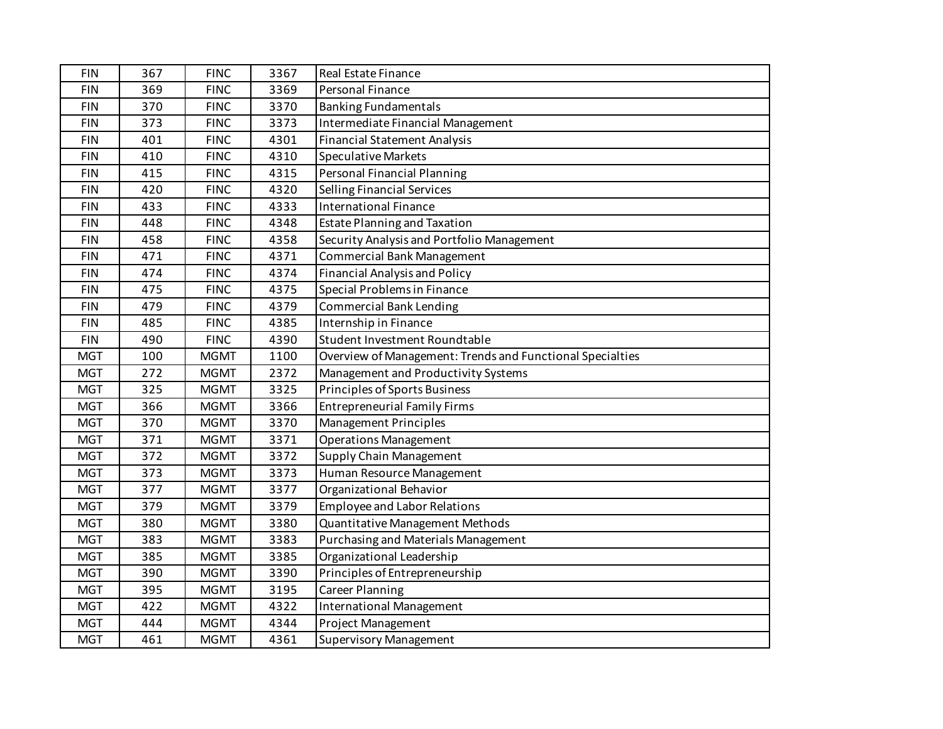| <b>FIN</b> | 367 | <b>FINC</b> | 3367 | <b>Real Estate Finance</b>                                |
|------------|-----|-------------|------|-----------------------------------------------------------|
| <b>FIN</b> | 369 | <b>FINC</b> | 3369 | <b>Personal Finance</b>                                   |
| <b>FIN</b> | 370 | <b>FINC</b> | 3370 | <b>Banking Fundamentals</b>                               |
| <b>FIN</b> | 373 | <b>FINC</b> | 3373 | Intermediate Financial Management                         |
| <b>FIN</b> | 401 | <b>FINC</b> | 4301 | <b>Financial Statement Analysis</b>                       |
| <b>FIN</b> | 410 | <b>FINC</b> | 4310 | <b>Speculative Markets</b>                                |
| <b>FIN</b> | 415 | <b>FINC</b> | 4315 | <b>Personal Financial Planning</b>                        |
| <b>FIN</b> | 420 | <b>FINC</b> | 4320 | <b>Selling Financial Services</b>                         |
| <b>FIN</b> | 433 | <b>FINC</b> | 4333 | <b>International Finance</b>                              |
| <b>FIN</b> | 448 | <b>FINC</b> | 4348 | <b>Estate Planning and Taxation</b>                       |
| <b>FIN</b> | 458 | <b>FINC</b> | 4358 | Security Analysis and Portfolio Management                |
| <b>FIN</b> | 471 | <b>FINC</b> | 4371 | <b>Commercial Bank Management</b>                         |
| <b>FIN</b> | 474 | <b>FINC</b> | 4374 | <b>Financial Analysis and Policy</b>                      |
| <b>FIN</b> | 475 | <b>FINC</b> | 4375 | Special Problems in Finance                               |
| <b>FIN</b> | 479 | <b>FINC</b> | 4379 | <b>Commercial Bank Lending</b>                            |
| <b>FIN</b> | 485 | <b>FINC</b> | 4385 | Internship in Finance                                     |
| <b>FIN</b> | 490 | <b>FINC</b> | 4390 | Student Investment Roundtable                             |
| <b>MGT</b> | 100 | <b>MGMT</b> | 1100 | Overview of Management: Trends and Functional Specialties |
| <b>MGT</b> | 272 | <b>MGMT</b> | 2372 | Management and Productivity Systems                       |
| <b>MGT</b> | 325 | <b>MGMT</b> | 3325 | Principles of Sports Business                             |
| <b>MGT</b> | 366 | <b>MGMT</b> | 3366 | <b>Entrepreneurial Family Firms</b>                       |
| <b>MGT</b> | 370 | <b>MGMT</b> | 3370 | Management Principles                                     |
| <b>MGT</b> | 371 | <b>MGMT</b> | 3371 | <b>Operations Management</b>                              |
| <b>MGT</b> | 372 | <b>MGMT</b> | 3372 | <b>Supply Chain Management</b>                            |
| <b>MGT</b> | 373 | <b>MGMT</b> | 3373 | Human Resource Management                                 |
| <b>MGT</b> | 377 | <b>MGMT</b> | 3377 | Organizational Behavior                                   |
| <b>MGT</b> | 379 | <b>MGMT</b> | 3379 | <b>Employee and Labor Relations</b>                       |
| <b>MGT</b> | 380 | <b>MGMT</b> | 3380 | Quantitative Management Methods                           |
| <b>MGT</b> | 383 | <b>MGMT</b> | 3383 | Purchasing and Materials Management                       |
| <b>MGT</b> | 385 | <b>MGMT</b> | 3385 | Organizational Leadership                                 |
| <b>MGT</b> | 390 | <b>MGMT</b> | 3390 | Principles of Entrepreneurship                            |
| <b>MGT</b> | 395 | <b>MGMT</b> | 3195 | <b>Career Planning</b>                                    |
| <b>MGT</b> | 422 | <b>MGMT</b> | 4322 | <b>International Management</b>                           |
| <b>MGT</b> | 444 | <b>MGMT</b> | 4344 | Project Management                                        |
| <b>MGT</b> | 461 | <b>MGMT</b> | 4361 | <b>Supervisory Management</b>                             |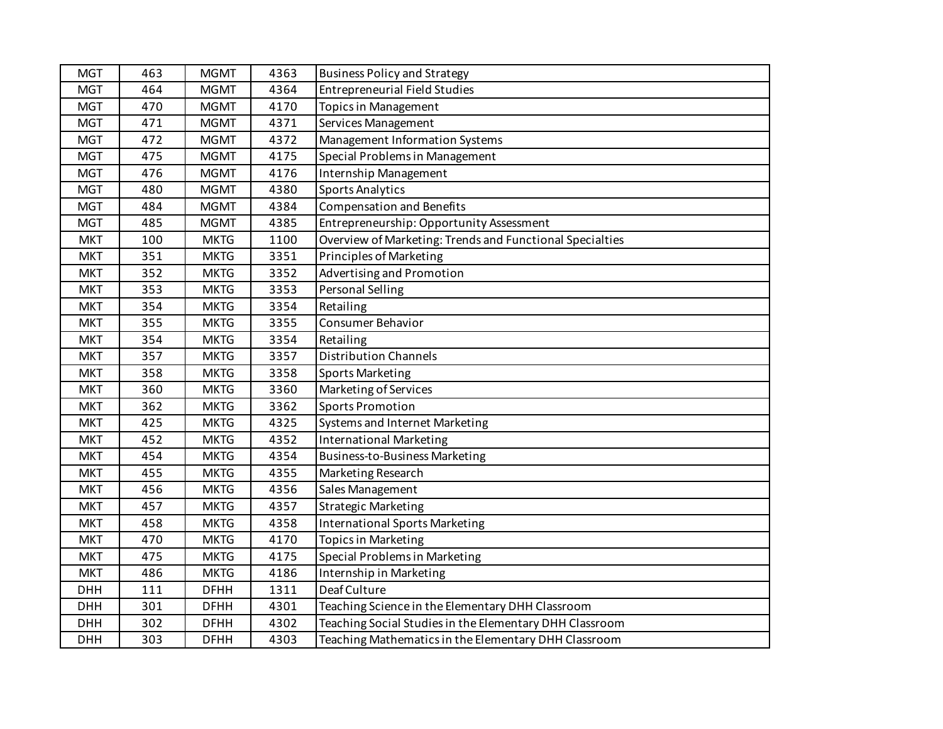| <b>MGT</b> | 463 | <b>MGMT</b> | 4363 | <b>Business Policy and Strategy</b>                      |
|------------|-----|-------------|------|----------------------------------------------------------|
| <b>MGT</b> | 464 | <b>MGMT</b> | 4364 | <b>Entrepreneurial Field Studies</b>                     |
| <b>MGT</b> | 470 | <b>MGMT</b> | 4170 | <b>Topics in Management</b>                              |
| <b>MGT</b> | 471 | <b>MGMT</b> | 4371 | Services Management                                      |
| <b>MGT</b> | 472 | <b>MGMT</b> | 4372 | Management Information Systems                           |
| <b>MGT</b> | 475 | <b>MGMT</b> | 4175 | Special Problems in Management                           |
| <b>MGT</b> | 476 | <b>MGMT</b> | 4176 | Internship Management                                    |
| <b>MGT</b> | 480 | <b>MGMT</b> | 4380 | <b>Sports Analytics</b>                                  |
| <b>MGT</b> | 484 | <b>MGMT</b> | 4384 | <b>Compensation and Benefits</b>                         |
| <b>MGT</b> | 485 | <b>MGMT</b> | 4385 | Entrepreneurship: Opportunity Assessment                 |
| <b>MKT</b> | 100 | <b>MKTG</b> | 1100 | Overview of Marketing: Trends and Functional Specialties |
| <b>MKT</b> | 351 | <b>MKTG</b> | 3351 | Principles of Marketing                                  |
| <b>MKT</b> | 352 | <b>MKTG</b> | 3352 | Advertising and Promotion                                |
| <b>MKT</b> | 353 | <b>MKTG</b> | 3353 | Personal Selling                                         |
| <b>MKT</b> | 354 | <b>MKTG</b> | 3354 | Retailing                                                |
| <b>MKT</b> | 355 | <b>MKTG</b> | 3355 | Consumer Behavior                                        |
| <b>MKT</b> | 354 | <b>MKTG</b> | 3354 | Retailing                                                |
| <b>MKT</b> | 357 | <b>MKTG</b> | 3357 | <b>Distribution Channels</b>                             |
| <b>MKT</b> | 358 | <b>MKTG</b> | 3358 | <b>Sports Marketing</b>                                  |
| <b>MKT</b> | 360 | <b>MKTG</b> | 3360 | Marketing of Services                                    |
| <b>MKT</b> | 362 | <b>MKTG</b> | 3362 | Sports Promotion                                         |
| <b>MKT</b> | 425 | <b>MKTG</b> | 4325 | <b>Systems and Internet Marketing</b>                    |
| <b>MKT</b> | 452 | <b>MKTG</b> | 4352 | <b>International Marketing</b>                           |
| <b>MKT</b> | 454 | <b>MKTG</b> | 4354 | Business-to-Business Marketing                           |
| <b>MKT</b> | 455 | <b>MKTG</b> | 4355 | Marketing Research                                       |
| <b>MKT</b> | 456 | <b>MKTG</b> | 4356 | Sales Management                                         |
| <b>MKT</b> | 457 | <b>MKTG</b> | 4357 | <b>Strategic Marketing</b>                               |
| <b>MKT</b> | 458 | <b>MKTG</b> | 4358 | <b>International Sports Marketing</b>                    |
| <b>MKT</b> | 470 | <b>MKTG</b> | 4170 | <b>Topics in Marketing</b>                               |
| <b>MKT</b> | 475 | <b>MKTG</b> | 4175 | Special Problems in Marketing                            |
| <b>MKT</b> | 486 | <b>MKTG</b> | 4186 | Internship in Marketing                                  |
| <b>DHH</b> | 111 | <b>DFHH</b> | 1311 | Deaf Culture                                             |
| <b>DHH</b> | 301 | <b>DFHH</b> | 4301 | Teaching Science in the Elementary DHH Classroom         |
| <b>DHH</b> | 302 | <b>DFHH</b> | 4302 | Teaching Social Studies in the Elementary DHH Classroom  |
| <b>DHH</b> | 303 | <b>DFHH</b> | 4303 | Teaching Mathematics in the Elementary DHH Classroom     |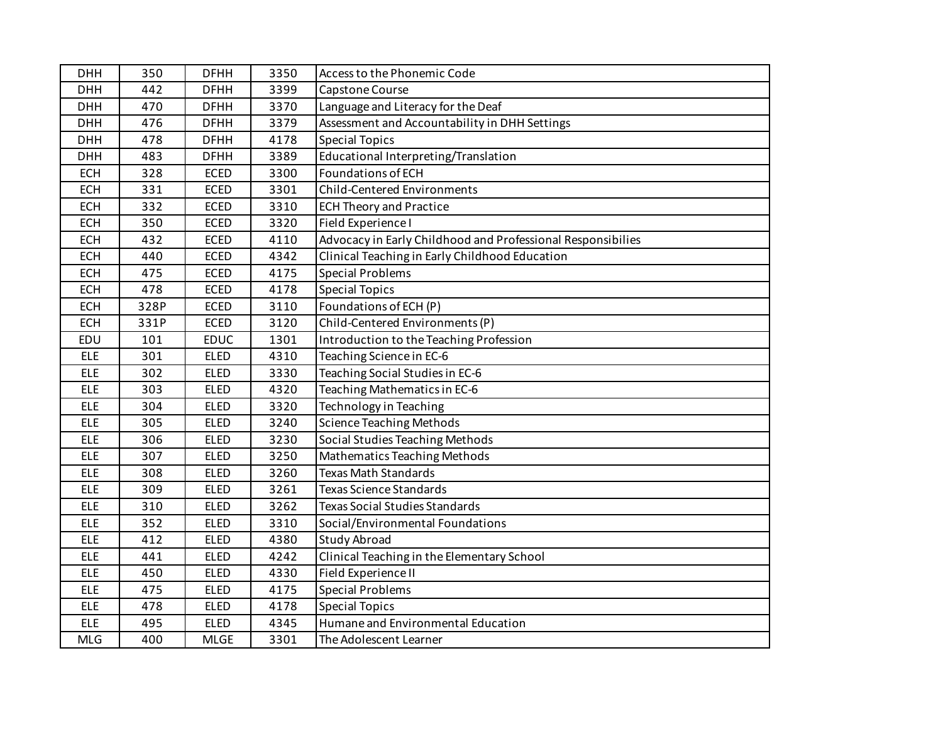| <b>DHH</b> | 350  | <b>DFHH</b> | 3350 | Access to the Phonemic Code                                 |
|------------|------|-------------|------|-------------------------------------------------------------|
| <b>DHH</b> | 442  | <b>DFHH</b> | 3399 | Capstone Course                                             |
| <b>DHH</b> | 470  | <b>DFHH</b> | 3370 | Language and Literacy for the Deaf                          |
| <b>DHH</b> | 476  | <b>DFHH</b> | 3379 | Assessment and Accountability in DHH Settings               |
| <b>DHH</b> | 478  | <b>DFHH</b> | 4178 | <b>Special Topics</b>                                       |
| <b>DHH</b> | 483  | <b>DFHH</b> | 3389 | Educational Interpreting/Translation                        |
| <b>ECH</b> | 328  | <b>ECED</b> | 3300 | Foundations of ECH                                          |
| <b>ECH</b> | 331  | <b>ECED</b> | 3301 | <b>Child-Centered Environments</b>                          |
| <b>ECH</b> | 332  | ECED        | 3310 | <b>ECH Theory and Practice</b>                              |
| <b>ECH</b> | 350  | <b>ECED</b> | 3320 | Field Experience I                                          |
| <b>ECH</b> | 432  | <b>ECED</b> | 4110 | Advocacy in Early Childhood and Professional Responsibilies |
| <b>ECH</b> | 440  | <b>ECED</b> | 4342 | Clinical Teaching in Early Childhood Education              |
| <b>ECH</b> | 475  | <b>ECED</b> | 4175 | <b>Special Problems</b>                                     |
| <b>ECH</b> | 478  | <b>ECED</b> | 4178 | <b>Special Topics</b>                                       |
| <b>ECH</b> | 328P | <b>ECED</b> | 3110 | Foundations of ECH (P)                                      |
| <b>ECH</b> | 331P | <b>ECED</b> | 3120 | Child-Centered Environments (P)                             |
| EDU        | 101  | <b>EDUC</b> | 1301 | Introduction to the Teaching Profession                     |
| <b>ELE</b> | 301  | <b>ELED</b> | 4310 | Teaching Science in EC-6                                    |
| <b>ELE</b> | 302  | <b>ELED</b> | 3330 | Teaching Social Studies in EC-6                             |
| <b>ELE</b> | 303  | <b>ELED</b> | 4320 | Teaching Mathematics in EC-6                                |
| <b>ELE</b> | 304  | <b>ELED</b> | 3320 | Technology in Teaching                                      |
| <b>ELE</b> | 305  | ELED        | 3240 | <b>Science Teaching Methods</b>                             |
| <b>ELE</b> | 306  | <b>ELED</b> | 3230 | Social Studies Teaching Methods                             |
| <b>ELE</b> | 307  | <b>ELED</b> | 3250 | Mathematics Teaching Methods                                |
| <b>ELE</b> | 308  | <b>ELED</b> | 3260 | <b>Texas Math Standards</b>                                 |
| <b>ELE</b> | 309  | <b>ELED</b> | 3261 | <b>Texas Science Standards</b>                              |
| <b>ELE</b> | 310  | <b>ELED</b> | 3262 | <b>Texas Social Studies Standards</b>                       |
| <b>ELE</b> | 352  | <b>ELED</b> | 3310 | Social/Environmental Foundations                            |
| <b>ELE</b> | 412  | <b>ELED</b> | 4380 | <b>Study Abroad</b>                                         |
| <b>ELE</b> | 441  | <b>ELED</b> | 4242 | Clinical Teaching in the Elementary School                  |
| <b>ELE</b> | 450  | <b>ELED</b> | 4330 | Field Experience II                                         |
| <b>ELE</b> | 475  | <b>ELED</b> | 4175 | <b>Special Problems</b>                                     |
| <b>ELE</b> | 478  | <b>ELED</b> | 4178 | <b>Special Topics</b>                                       |
| <b>ELE</b> | 495  | <b>ELED</b> | 4345 | Humane and Environmental Education                          |
| <b>MLG</b> | 400  | <b>MLGE</b> | 3301 | The Adolescent Learner                                      |
|            |      |             |      |                                                             |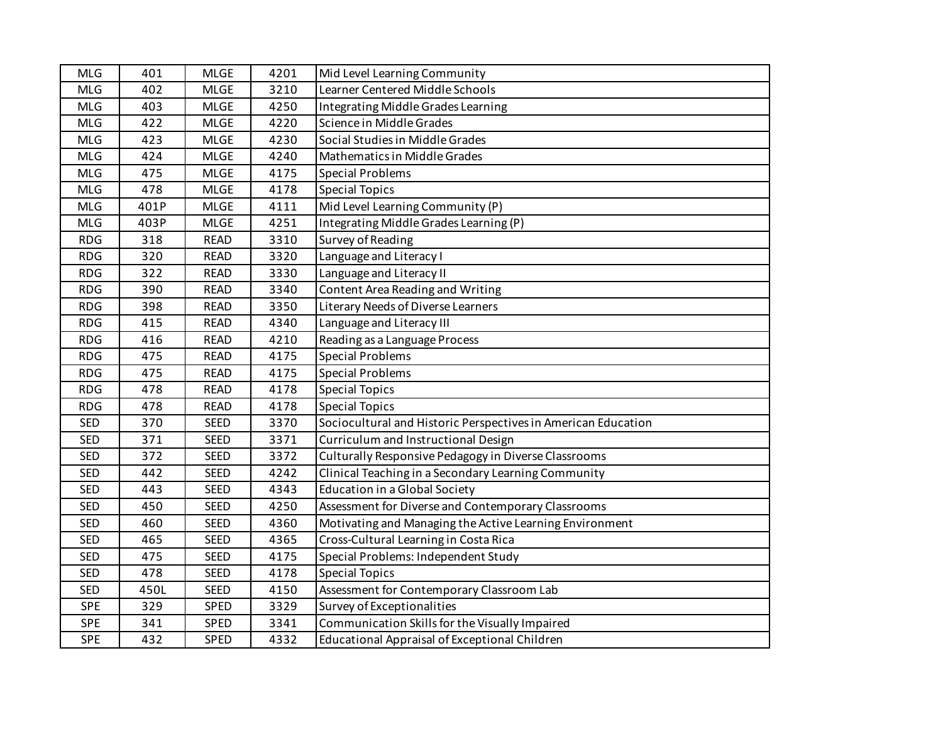| <b>MLG</b> | 401  | <b>MLGE</b> | 4201 | Mid Level Learning Community                                  |
|------------|------|-------------|------|---------------------------------------------------------------|
| <b>MLG</b> | 402  | <b>MLGE</b> | 3210 | Learner Centered Middle Schools                               |
| <b>MLG</b> | 403  | <b>MLGE</b> | 4250 | Integrating Middle Grades Learning                            |
| <b>MLG</b> | 422  | <b>MLGE</b> | 4220 | Science in Middle Grades                                      |
| <b>MLG</b> | 423  | <b>MLGE</b> | 4230 | Social Studies in Middle Grades                               |
| <b>MLG</b> | 424  | <b>MLGE</b> | 4240 | Mathematics in Middle Grades                                  |
| <b>MLG</b> | 475  | <b>MLGE</b> | 4175 | <b>Special Problems</b>                                       |
| <b>MLG</b> | 478  | <b>MLGE</b> | 4178 | <b>Special Topics</b>                                         |
| <b>MLG</b> | 401P | <b>MLGE</b> | 4111 | Mid Level Learning Community (P)                              |
| <b>MLG</b> | 403P | <b>MLGE</b> | 4251 | Integrating Middle Grades Learning (P)                        |
| <b>RDG</b> | 318  | <b>READ</b> | 3310 | Survey of Reading                                             |
| <b>RDG</b> | 320  | <b>READ</b> | 3320 | Language and Literacy I                                       |
| <b>RDG</b> | 322  | <b>READ</b> | 3330 | Language and Literacy II                                      |
| <b>RDG</b> | 390  | <b>READ</b> | 3340 | Content Area Reading and Writing                              |
| <b>RDG</b> | 398  | <b>READ</b> | 3350 | Literary Needs of Diverse Learners                            |
| <b>RDG</b> | 415  | <b>READ</b> | 4340 | Language and Literacy III                                     |
| <b>RDG</b> | 416  | <b>READ</b> | 4210 | Reading as a Language Process                                 |
| <b>RDG</b> | 475  | <b>READ</b> | 4175 | <b>Special Problems</b>                                       |
| <b>RDG</b> | 475  | <b>READ</b> | 4175 | <b>Special Problems</b>                                       |
| <b>RDG</b> | 478  | <b>READ</b> | 4178 | <b>Special Topics</b>                                         |
| <b>RDG</b> | 478  | <b>READ</b> | 4178 | <b>Special Topics</b>                                         |
| <b>SED</b> | 370  | SEED        | 3370 | Sociocultural and Historic Perspectives in American Education |
| <b>SED</b> | 371  | <b>SEED</b> | 3371 | Curriculum and Instructional Design                           |
| <b>SED</b> | 372  | <b>SEED</b> | 3372 | Culturally Responsive Pedagogy in Diverse Classrooms          |
| <b>SED</b> | 442  | <b>SEED</b> | 4242 | Clinical Teaching in a Secondary Learning Community           |
| <b>SED</b> | 443  | SEED        | 4343 | <b>Education in a Global Society</b>                          |
| <b>SED</b> | 450  | SEED        | 4250 | Assessment for Diverse and Contemporary Classrooms            |
| <b>SED</b> | 460  | SEED        | 4360 | Motivating and Managing the Active Learning Environment       |
| <b>SED</b> | 465  | SEED        | 4365 | Cross-Cultural Learning in Costa Rica                         |
| <b>SED</b> | 475  | SEED        | 4175 | Special Problems: Independent Study                           |
| <b>SED</b> | 478  | <b>SEED</b> | 4178 | <b>Special Topics</b>                                         |
| <b>SED</b> | 450L | <b>SEED</b> | 4150 | Assessment for Contemporary Classroom Lab                     |
| <b>SPE</b> | 329  | SPED        | 3329 | Survey of Exceptionalities                                    |
| <b>SPE</b> | 341  | SPED        | 3341 | Communication Skills for the Visually Impaired                |
| <b>SPE</b> | 432  | <b>SPED</b> | 4332 | Educational Appraisal of Exceptional Children                 |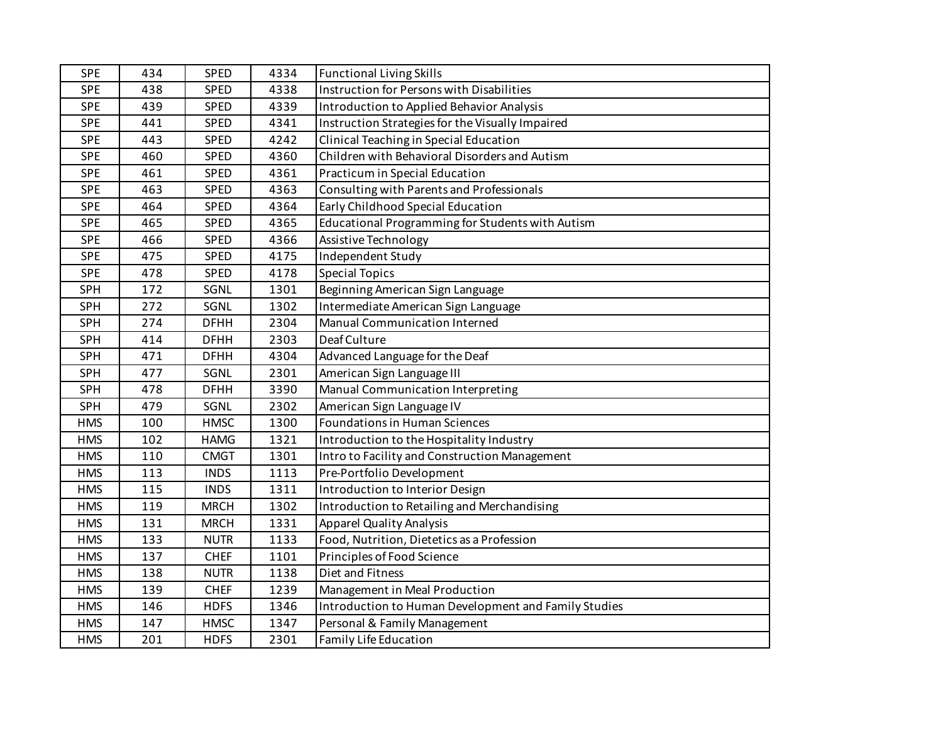| <b>SPE</b> | 434 | SPED        | 4334 | <b>Functional Living Skills</b>                      |
|------------|-----|-------------|------|------------------------------------------------------|
| <b>SPE</b> | 438 | SPED        | 4338 | Instruction for Persons with Disabilities            |
| <b>SPE</b> | 439 | <b>SPED</b> | 4339 | <b>Introduction to Applied Behavior Analysis</b>     |
| <b>SPE</b> | 441 | SPED        | 4341 | Instruction Strategies for the Visually Impaired     |
| <b>SPE</b> | 443 | SPED        | 4242 | Clinical Teaching in Special Education               |
| SPE        | 460 | SPED        | 4360 | Children with Behavioral Disorders and Autism        |
| <b>SPE</b> | 461 | SPED        | 4361 | Practicum in Special Education                       |
| <b>SPE</b> | 463 | SPED        | 4363 | Consulting with Parents and Professionals            |
| <b>SPE</b> | 464 | SPED        | 4364 | Early Childhood Special Education                    |
| <b>SPE</b> | 465 | SPED        | 4365 | Educational Programming for Students with Autism     |
| <b>SPE</b> | 466 | <b>SPED</b> | 4366 | Assistive Technology                                 |
| <b>SPE</b> | 475 | <b>SPED</b> | 4175 | Independent Study                                    |
| <b>SPE</b> | 478 | <b>SPED</b> | 4178 | <b>Special Topics</b>                                |
| <b>SPH</b> | 172 | SGNL        | 1301 | Beginning American Sign Language                     |
| <b>SPH</b> | 272 | SGNL        | 1302 | Intermediate American Sign Language                  |
| SPH        | 274 | <b>DFHH</b> | 2304 | Manual Communication Interned                        |
| SPH        | 414 | <b>DFHH</b> | 2303 | Deaf Culture                                         |
| <b>SPH</b> | 471 | <b>DFHH</b> | 4304 | Advanced Language for the Deaf                       |
| SPH        | 477 | SGNL        | 2301 | American Sign Language III                           |
| <b>SPH</b> | 478 | <b>DFHH</b> | 3390 | Manual Communication Interpreting                    |
| <b>SPH</b> | 479 | SGNL        | 2302 | American Sign Language IV                            |
| <b>HMS</b> | 100 | <b>HMSC</b> | 1300 | <b>Foundations in Human Sciences</b>                 |
| <b>HMS</b> | 102 | <b>HAMG</b> | 1321 | Introduction to the Hospitality Industry             |
| <b>HMS</b> | 110 | <b>CMGT</b> | 1301 | Intro to Facility and Construction Management        |
| <b>HMS</b> | 113 | <b>INDS</b> | 1113 | Pre-Portfolio Development                            |
| <b>HMS</b> | 115 | <b>INDS</b> | 1311 | Introduction to Interior Design                      |
| <b>HMS</b> | 119 | <b>MRCH</b> | 1302 | Introduction to Retailing and Merchandising          |
| <b>HMS</b> | 131 | <b>MRCH</b> | 1331 | <b>Apparel Quality Analysis</b>                      |
| <b>HMS</b> | 133 | <b>NUTR</b> | 1133 | Food, Nutrition, Dietetics as a Profession           |
| <b>HMS</b> | 137 | <b>CHEF</b> | 1101 | Principles of Food Science                           |
| <b>HMS</b> | 138 | <b>NUTR</b> | 1138 | Diet and Fitness                                     |
| <b>HMS</b> | 139 | <b>CHEF</b> | 1239 | Management in Meal Production                        |
| <b>HMS</b> | 146 | <b>HDFS</b> | 1346 | Introduction to Human Development and Family Studies |
| <b>HMS</b> | 147 | <b>HMSC</b> | 1347 | Personal & Family Management                         |
| <b>HMS</b> | 201 | <b>HDFS</b> | 2301 | Family Life Education                                |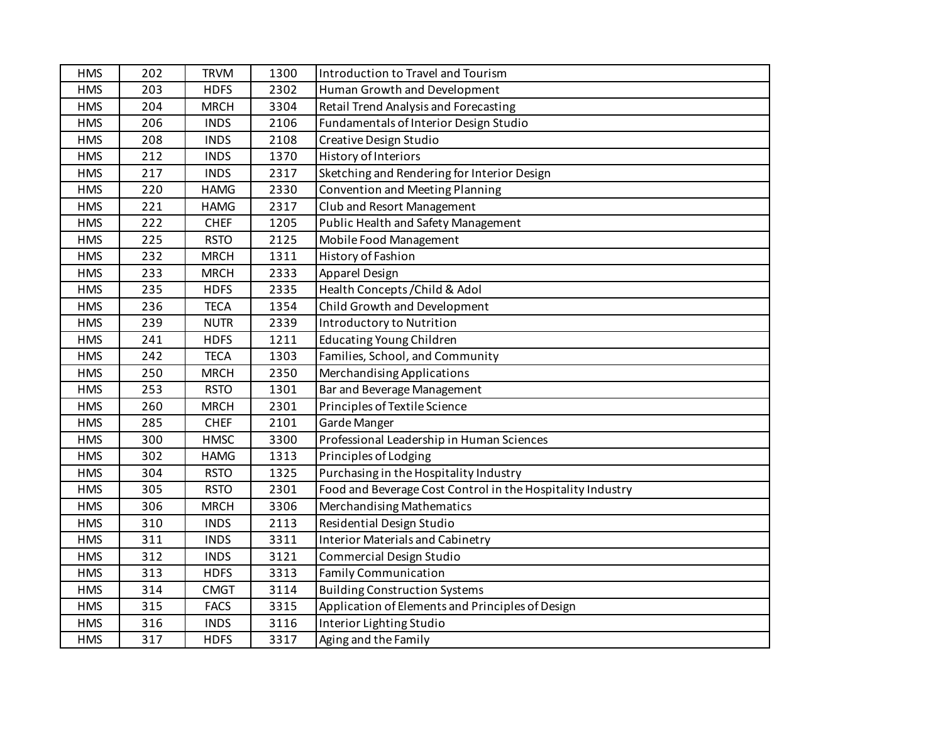| <b>HMS</b> | 202 | <b>TRVM</b> | 1300 | Introduction to Travel and Tourism                         |
|------------|-----|-------------|------|------------------------------------------------------------|
| <b>HMS</b> | 203 | <b>HDFS</b> | 2302 | Human Growth and Development                               |
| <b>HMS</b> | 204 | <b>MRCH</b> | 3304 | <b>Retail Trend Analysis and Forecasting</b>               |
| <b>HMS</b> | 206 | <b>INDS</b> | 2106 | Fundamentals of Interior Design Studio                     |
| <b>HMS</b> | 208 | <b>INDS</b> | 2108 | Creative Design Studio                                     |
| <b>HMS</b> | 212 | <b>INDS</b> | 1370 | History of Interiors                                       |
| <b>HMS</b> | 217 | <b>INDS</b> | 2317 | Sketching and Rendering for Interior Design                |
| <b>HMS</b> | 220 | <b>HAMG</b> | 2330 | Convention and Meeting Planning                            |
| <b>HMS</b> | 221 | <b>HAMG</b> | 2317 | Club and Resort Management                                 |
| <b>HMS</b> | 222 | <b>CHEF</b> | 1205 | Public Health and Safety Management                        |
| <b>HMS</b> | 225 | <b>RSTO</b> | 2125 | Mobile Food Management                                     |
| <b>HMS</b> | 232 | <b>MRCH</b> | 1311 | History of Fashion                                         |
| <b>HMS</b> | 233 | <b>MRCH</b> | 2333 | Apparel Design                                             |
| <b>HMS</b> | 235 | <b>HDFS</b> | 2335 | Health Concepts / Child & Adol                             |
| <b>HMS</b> | 236 | <b>TECA</b> | 1354 | Child Growth and Development                               |
| <b>HMS</b> | 239 | <b>NUTR</b> | 2339 | <b>Introductory to Nutrition</b>                           |
| <b>HMS</b> | 241 | <b>HDFS</b> | 1211 | <b>Educating Young Children</b>                            |
| <b>HMS</b> | 242 | <b>TECA</b> | 1303 | Families, School, and Community                            |
| <b>HMS</b> | 250 | <b>MRCH</b> | 2350 | Merchandising Applications                                 |
| <b>HMS</b> | 253 | <b>RSTO</b> | 1301 | Bar and Beverage Management                                |
| <b>HMS</b> | 260 | <b>MRCH</b> | 2301 | Principles of Textile Science                              |
| <b>HMS</b> | 285 | <b>CHEF</b> | 2101 | Garde Manger                                               |
| <b>HMS</b> | 300 | <b>HMSC</b> | 3300 | Professional Leadership in Human Sciences                  |
| <b>HMS</b> | 302 | <b>HAMG</b> | 1313 | Principles of Lodging                                      |
| <b>HMS</b> | 304 | <b>RSTO</b> | 1325 | Purchasing in the Hospitality Industry                     |
| <b>HMS</b> | 305 | <b>RSTO</b> | 2301 | Food and Beverage Cost Control in the Hospitality Industry |
| <b>HMS</b> | 306 | <b>MRCH</b> | 3306 | <b>Merchandising Mathematics</b>                           |
| <b>HMS</b> | 310 | <b>INDS</b> | 2113 | Residential Design Studio                                  |
| <b>HMS</b> | 311 | <b>INDS</b> | 3311 | <b>Interior Materials and Cabinetry</b>                    |
| <b>HMS</b> | 312 | <b>INDS</b> | 3121 | Commercial Design Studio                                   |
| <b>HMS</b> | 313 | <b>HDFS</b> | 3313 | <b>Family Communication</b>                                |
| <b>HMS</b> | 314 | <b>CMGT</b> | 3114 | <b>Building Construction Systems</b>                       |
| <b>HMS</b> | 315 | <b>FACS</b> | 3315 | Application of Elements and Principles of Design           |
| <b>HMS</b> | 316 | <b>INDS</b> | 3116 | Interior Lighting Studio                                   |
| <b>HMS</b> | 317 | <b>HDFS</b> | 3317 | Aging and the Family                                       |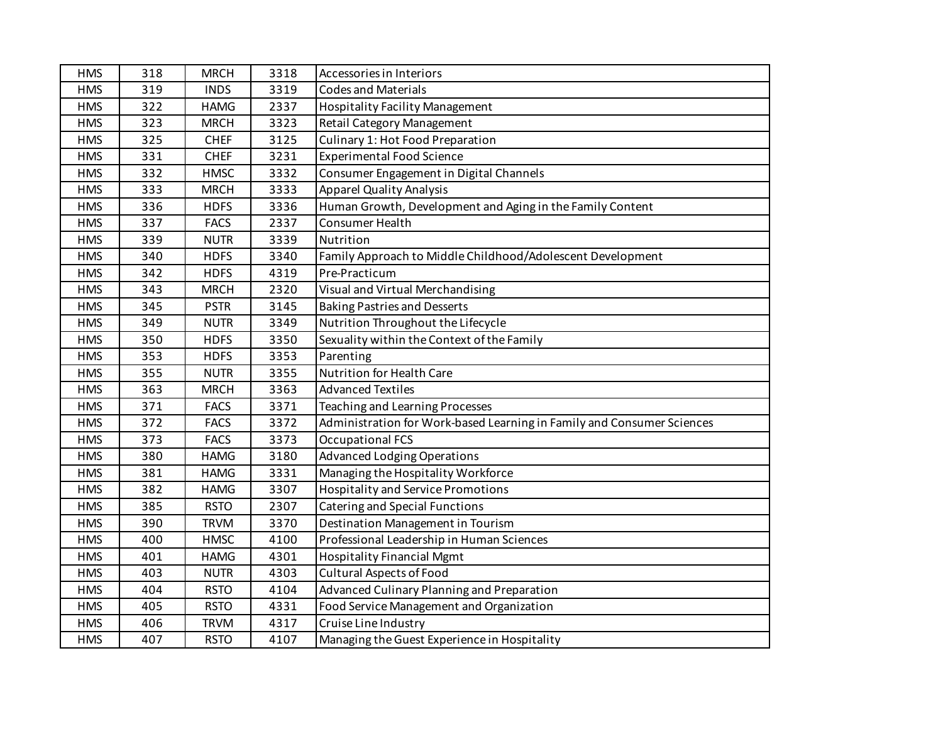| <b>HMS</b> | 318 | <b>MRCH</b> | 3318 | Accessories in Interiors                                               |
|------------|-----|-------------|------|------------------------------------------------------------------------|
| <b>HMS</b> | 319 | <b>INDS</b> | 3319 | <b>Codes and Materials</b>                                             |
| <b>HMS</b> | 322 | <b>HAMG</b> | 2337 | <b>Hospitality Facility Management</b>                                 |
| <b>HMS</b> | 323 | <b>MRCH</b> | 3323 | Retail Category Management                                             |
| <b>HMS</b> | 325 | <b>CHEF</b> | 3125 | Culinary 1: Hot Food Preparation                                       |
| <b>HMS</b> | 331 | <b>CHEF</b> | 3231 | <b>Experimental Food Science</b>                                       |
| <b>HMS</b> | 332 | <b>HMSC</b> | 3332 | Consumer Engagement in Digital Channels                                |
| <b>HMS</b> | 333 | <b>MRCH</b> | 3333 | <b>Apparel Quality Analysis</b>                                        |
| <b>HMS</b> | 336 | <b>HDFS</b> | 3336 | Human Growth, Development and Aging in the Family Content              |
| <b>HMS</b> | 337 | <b>FACS</b> | 2337 | Consumer Health                                                        |
| <b>HMS</b> | 339 | <b>NUTR</b> | 3339 | Nutrition                                                              |
| <b>HMS</b> | 340 | <b>HDFS</b> | 3340 | Family Approach to Middle Childhood/Adolescent Development             |
| <b>HMS</b> | 342 | <b>HDFS</b> | 4319 | Pre-Practicum                                                          |
| <b>HMS</b> | 343 | <b>MRCH</b> | 2320 | Visual and Virtual Merchandising                                       |
| <b>HMS</b> | 345 | <b>PSTR</b> | 3145 | <b>Baking Pastries and Desserts</b>                                    |
| <b>HMS</b> | 349 | <b>NUTR</b> | 3349 | Nutrition Throughout the Lifecycle                                     |
| <b>HMS</b> | 350 | <b>HDFS</b> | 3350 | Sexuality within the Context of the Family                             |
| <b>HMS</b> | 353 | <b>HDFS</b> | 3353 | Parenting                                                              |
| <b>HMS</b> | 355 | <b>NUTR</b> | 3355 | Nutrition for Health Care                                              |
| <b>HMS</b> | 363 | <b>MRCH</b> | 3363 | <b>Advanced Textiles</b>                                               |
| <b>HMS</b> | 371 | <b>FACS</b> | 3371 | <b>Teaching and Learning Processes</b>                                 |
| <b>HMS</b> | 372 | <b>FACS</b> | 3372 | Administration for Work-based Learning in Family and Consumer Sciences |
| <b>HMS</b> | 373 | <b>FACS</b> | 3373 | <b>Occupational FCS</b>                                                |
| <b>HMS</b> | 380 | <b>HAMG</b> | 3180 | <b>Advanced Lodging Operations</b>                                     |
| <b>HMS</b> | 381 | <b>HAMG</b> | 3331 | Managing the Hospitality Workforce                                     |
| <b>HMS</b> | 382 | <b>HAMG</b> | 3307 | <b>Hospitality and Service Promotions</b>                              |
| <b>HMS</b> | 385 | <b>RSTO</b> | 2307 | <b>Catering and Special Functions</b>                                  |
| <b>HMS</b> | 390 | <b>TRVM</b> | 3370 | Destination Management in Tourism                                      |
| <b>HMS</b> | 400 | <b>HMSC</b> | 4100 | Professional Leadership in Human Sciences                              |
| <b>HMS</b> | 401 | <b>HAMG</b> | 4301 | <b>Hospitality Financial Mgmt</b>                                      |
| <b>HMS</b> | 403 | <b>NUTR</b> | 4303 | <b>Cultural Aspects of Food</b>                                        |
| <b>HMS</b> | 404 | <b>RSTO</b> | 4104 | Advanced Culinary Planning and Preparation                             |
| <b>HMS</b> | 405 | <b>RSTO</b> | 4331 | Food Service Management and Organization                               |
| <b>HMS</b> | 406 | <b>TRVM</b> | 4317 | Cruise Line Industry                                                   |
| <b>HMS</b> | 407 | <b>RSTO</b> | 4107 | Managing the Guest Experience in Hospitality                           |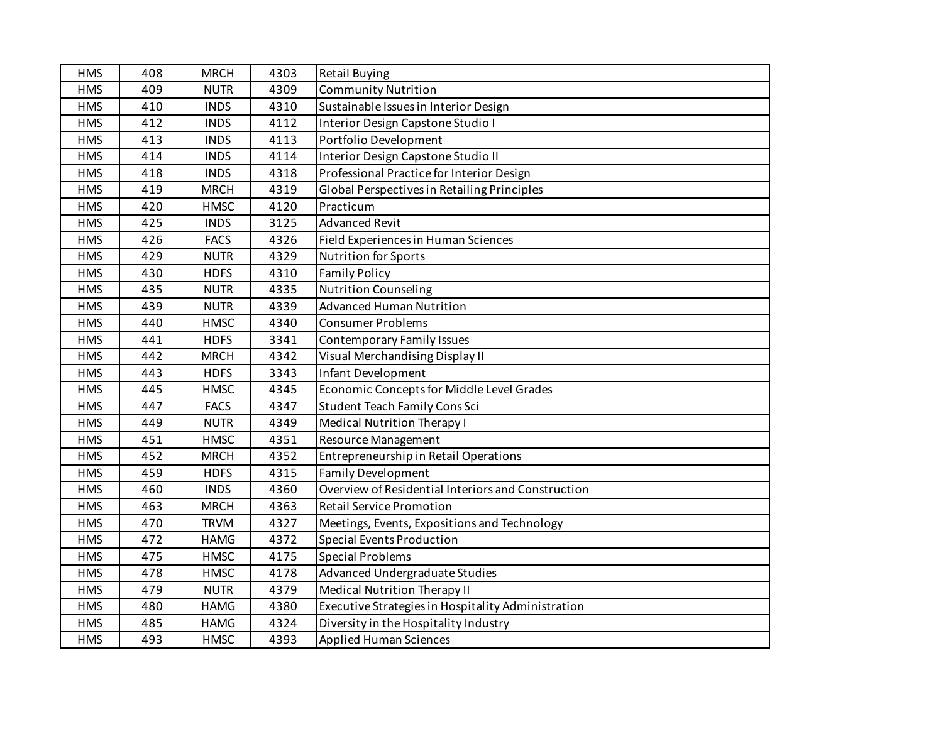| <b>HMS</b> | 408 | <b>MRCH</b> | 4303 | <b>Retail Buying</b>                               |
|------------|-----|-------------|------|----------------------------------------------------|
| <b>HMS</b> | 409 | <b>NUTR</b> | 4309 | <b>Community Nutrition</b>                         |
| <b>HMS</b> | 410 | <b>INDS</b> | 4310 | Sustainable Issues in Interior Design              |
| <b>HMS</b> | 412 | <b>INDS</b> | 4112 | Interior Design Capstone Studio I                  |
| <b>HMS</b> | 413 | <b>INDS</b> | 4113 | Portfolio Development                              |
| <b>HMS</b> | 414 | <b>INDS</b> | 4114 | Interior Design Capstone Studio II                 |
| <b>HMS</b> | 418 | <b>INDS</b> | 4318 | Professional Practice for Interior Design          |
| <b>HMS</b> | 419 | <b>MRCH</b> | 4319 | <b>Global Perspectives in Retailing Principles</b> |
| <b>HMS</b> | 420 | <b>HMSC</b> | 4120 | Practicum                                          |
| <b>HMS</b> | 425 | <b>INDS</b> | 3125 | <b>Advanced Revit</b>                              |
| <b>HMS</b> | 426 | <b>FACS</b> | 4326 | Field Experiences in Human Sciences                |
| <b>HMS</b> | 429 | <b>NUTR</b> | 4329 | <b>Nutrition for Sports</b>                        |
| <b>HMS</b> | 430 | <b>HDFS</b> | 4310 | <b>Family Policy</b>                               |
| <b>HMS</b> | 435 | <b>NUTR</b> | 4335 | <b>Nutrition Counseling</b>                        |
| <b>HMS</b> | 439 | <b>NUTR</b> | 4339 | <b>Advanced Human Nutrition</b>                    |
| <b>HMS</b> | 440 | <b>HMSC</b> | 4340 | <b>Consumer Problems</b>                           |
| <b>HMS</b> | 441 | <b>HDFS</b> | 3341 | <b>Contemporary Family Issues</b>                  |
| <b>HMS</b> | 442 | <b>MRCH</b> | 4342 | Visual Merchandising Display II                    |
| <b>HMS</b> | 443 | <b>HDFS</b> | 3343 | Infant Development                                 |
| <b>HMS</b> | 445 | <b>HMSC</b> | 4345 | Economic Concepts for Middle Level Grades          |
| <b>HMS</b> | 447 | <b>FACS</b> | 4347 | <b>Student Teach Family Cons Sci</b>               |
| <b>HMS</b> | 449 | <b>NUTR</b> | 4349 | <b>Medical Nutrition Therapy I</b>                 |
| <b>HMS</b> | 451 | <b>HMSC</b> | 4351 | Resource Management                                |
| <b>HMS</b> | 452 | <b>MRCH</b> | 4352 | Entrepreneurship in Retail Operations              |
| <b>HMS</b> | 459 | <b>HDFS</b> | 4315 | <b>Family Development</b>                          |
| <b>HMS</b> | 460 | <b>INDS</b> | 4360 | Overview of Residential Interiors and Construction |
| <b>HMS</b> | 463 | <b>MRCH</b> | 4363 | <b>Retail Service Promotion</b>                    |
| <b>HMS</b> | 470 | <b>TRVM</b> | 4327 | Meetings, Events, Expositions and Technology       |
| <b>HMS</b> | 472 | <b>HAMG</b> | 4372 | <b>Special Events Production</b>                   |
| <b>HMS</b> | 475 | <b>HMSC</b> | 4175 | <b>Special Problems</b>                            |
| <b>HMS</b> | 478 | <b>HMSC</b> | 4178 | Advanced Undergraduate Studies                     |
| <b>HMS</b> | 479 | <b>NUTR</b> | 4379 | <b>Medical Nutrition Therapy II</b>                |
| <b>HMS</b> | 480 | <b>HAMG</b> | 4380 | Executive Strategies in Hospitality Administration |
| <b>HMS</b> | 485 | <b>HAMG</b> | 4324 | Diversity in the Hospitality Industry              |
| <b>HMS</b> | 493 | <b>HMSC</b> | 4393 | <b>Applied Human Sciences</b>                      |
|            |     |             |      |                                                    |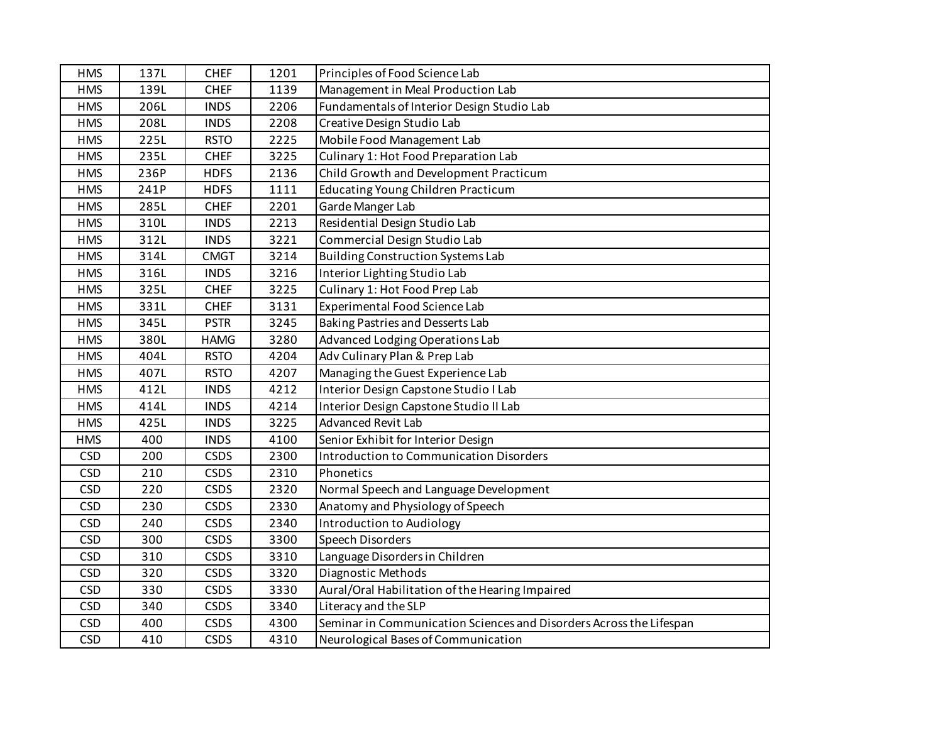| <b>HMS</b> | 137L | <b>CHEF</b> | 1201 | Principles of Food Science Lab                                      |
|------------|------|-------------|------|---------------------------------------------------------------------|
| <b>HMS</b> | 139L | <b>CHEF</b> | 1139 | Management in Meal Production Lab                                   |
| <b>HMS</b> | 206L | <b>INDS</b> | 2206 | Fundamentals of Interior Design Studio Lab                          |
| <b>HMS</b> | 208L | <b>INDS</b> | 2208 | Creative Design Studio Lab                                          |
| <b>HMS</b> | 225L | <b>RSTO</b> | 2225 | Mobile Food Management Lab                                          |
| <b>HMS</b> | 235L | <b>CHEF</b> | 3225 | Culinary 1: Hot Food Preparation Lab                                |
| <b>HMS</b> | 236P | <b>HDFS</b> | 2136 | Child Growth and Development Practicum                              |
| <b>HMS</b> | 241P | <b>HDFS</b> | 1111 | Educating Young Children Practicum                                  |
| <b>HMS</b> | 285L | <b>CHEF</b> | 2201 | Garde Manger Lab                                                    |
| <b>HMS</b> | 310L | <b>INDS</b> | 2213 | Residential Design Studio Lab                                       |
| <b>HMS</b> | 312L | <b>INDS</b> | 3221 | Commercial Design Studio Lab                                        |
| <b>HMS</b> | 314L | <b>CMGT</b> | 3214 | <b>Building Construction Systems Lab</b>                            |
| <b>HMS</b> | 316L | <b>INDS</b> | 3216 | Interior Lighting Studio Lab                                        |
| <b>HMS</b> | 325L | <b>CHEF</b> | 3225 | Culinary 1: Hot Food Prep Lab                                       |
| <b>HMS</b> | 331L | <b>CHEF</b> | 3131 | Experimental Food Science Lab                                       |
| <b>HMS</b> | 345L | <b>PSTR</b> | 3245 | Baking Pastries and Desserts Lab                                    |
| <b>HMS</b> | 380L | <b>HAMG</b> | 3280 | Advanced Lodging Operations Lab                                     |
| <b>HMS</b> | 404L | <b>RSTO</b> | 4204 | Adv Culinary Plan & Prep Lab                                        |
| <b>HMS</b> | 407L | <b>RSTO</b> | 4207 | Managing the Guest Experience Lab                                   |
| <b>HMS</b> | 412L | <b>INDS</b> | 4212 | Interior Design Capstone Studio I Lab                               |
| <b>HMS</b> | 414L | <b>INDS</b> | 4214 | Interior Design Capstone Studio II Lab                              |
| <b>HMS</b> | 425L | <b>INDS</b> | 3225 | <b>Advanced Revit Lab</b>                                           |
| <b>HMS</b> | 400  | <b>INDS</b> | 4100 | Senior Exhibit for Interior Design                                  |
| <b>CSD</b> | 200  | <b>CSDS</b> | 2300 | <b>Introduction to Communication Disorders</b>                      |
| <b>CSD</b> | 210  | <b>CSDS</b> | 2310 | Phonetics                                                           |
| <b>CSD</b> | 220  | <b>CSDS</b> | 2320 | Normal Speech and Language Development                              |
| <b>CSD</b> | 230  | <b>CSDS</b> | 2330 | Anatomy and Physiology of Speech                                    |
| <b>CSD</b> | 240  | <b>CSDS</b> | 2340 | Introduction to Audiology                                           |
| <b>CSD</b> | 300  | <b>CSDS</b> | 3300 | Speech Disorders                                                    |
| <b>CSD</b> | 310  | <b>CSDS</b> | 3310 | Language Disorders in Children                                      |
| <b>CSD</b> | 320  | <b>CSDS</b> | 3320 | <b>Diagnostic Methods</b>                                           |
| <b>CSD</b> | 330  | <b>CSDS</b> | 3330 | Aural/Oral Habilitation of the Hearing Impaired                     |
| <b>CSD</b> | 340  | <b>CSDS</b> | 3340 | Literacy and the SLP                                                |
| <b>CSD</b> | 400  | <b>CSDS</b> | 4300 | Seminar in Communication Sciences and Disorders Across the Lifespan |
| <b>CSD</b> | 410  | <b>CSDS</b> | 4310 | Neurological Bases of Communication                                 |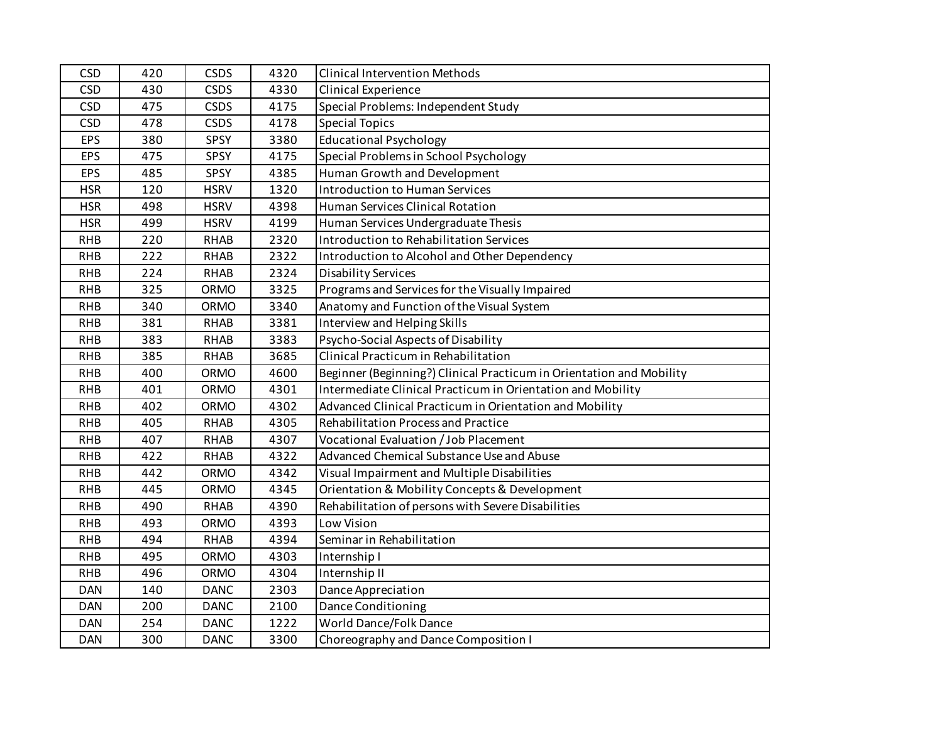| <b>CSD</b> | 420 | <b>CSDS</b> | 4320 | <b>Clinical Intervention Methods</b>                                 |
|------------|-----|-------------|------|----------------------------------------------------------------------|
| <b>CSD</b> | 430 | <b>CSDS</b> | 4330 | Clinical Experience                                                  |
| <b>CSD</b> | 475 | <b>CSDS</b> | 4175 | Special Problems: Independent Study                                  |
| <b>CSD</b> | 478 | <b>CSDS</b> | 4178 | <b>Special Topics</b>                                                |
| <b>EPS</b> | 380 | SPSY        | 3380 | <b>Educational Psychology</b>                                        |
| <b>EPS</b> | 475 | SPSY        | 4175 | Special Problems in School Psychology                                |
| <b>EPS</b> | 485 | SPSY        | 4385 | Human Growth and Development                                         |
| <b>HSR</b> | 120 | <b>HSRV</b> | 1320 | <b>Introduction to Human Services</b>                                |
| <b>HSR</b> | 498 | <b>HSRV</b> | 4398 | Human Services Clinical Rotation                                     |
| <b>HSR</b> | 499 | <b>HSRV</b> | 4199 | Human Services Undergraduate Thesis                                  |
| <b>RHB</b> | 220 | <b>RHAB</b> | 2320 | Introduction to Rehabilitation Services                              |
| <b>RHB</b> | 222 | <b>RHAB</b> | 2322 | Introduction to Alcohol and Other Dependency                         |
| <b>RHB</b> | 224 | <b>RHAB</b> | 2324 | <b>Disability Services</b>                                           |
| <b>RHB</b> | 325 | <b>ORMO</b> | 3325 | Programs and Services for the Visually Impaired                      |
| <b>RHB</b> | 340 | <b>ORMO</b> | 3340 | Anatomy and Function of the Visual System                            |
| <b>RHB</b> | 381 | <b>RHAB</b> | 3381 | Interview and Helping Skills                                         |
| <b>RHB</b> | 383 | <b>RHAB</b> | 3383 | Psycho-Social Aspects of Disability                                  |
| <b>RHB</b> | 385 | <b>RHAB</b> | 3685 | Clinical Practicum in Rehabilitation                                 |
| <b>RHB</b> | 400 | <b>ORMO</b> | 4600 | Beginner (Beginning?) Clinical Practicum in Orientation and Mobility |
| <b>RHB</b> | 401 | <b>ORMO</b> | 4301 | Intermediate Clinical Practicum in Orientation and Mobility          |
| <b>RHB</b> | 402 | <b>ORMO</b> | 4302 | Advanced Clinical Practicum in Orientation and Mobility              |
| <b>RHB</b> | 405 | <b>RHAB</b> | 4305 | Rehabilitation Process and Practice                                  |
| <b>RHB</b> | 407 | <b>RHAB</b> | 4307 | Vocational Evaluation / Job Placement                                |
| <b>RHB</b> | 422 | <b>RHAB</b> | 4322 | Advanced Chemical Substance Use and Abuse                            |
| <b>RHB</b> | 442 | <b>ORMO</b> | 4342 | Visual Impairment and Multiple Disabilities                          |
| <b>RHB</b> | 445 | <b>ORMO</b> | 4345 | Orientation & Mobility Concepts & Development                        |
| <b>RHB</b> | 490 | <b>RHAB</b> | 4390 | Rehabilitation of persons with Severe Disabilities                   |
| <b>RHB</b> | 493 | <b>ORMO</b> | 4393 | Low Vision                                                           |
| <b>RHB</b> | 494 | <b>RHAB</b> | 4394 | Seminar in Rehabilitation                                            |
| <b>RHB</b> | 495 | ORMO        | 4303 | Internship I                                                         |
| <b>RHB</b> | 496 | <b>ORMO</b> | 4304 | Internship II                                                        |
| <b>DAN</b> | 140 | <b>DANC</b> | 2303 | Dance Appreciation                                                   |
| <b>DAN</b> | 200 | <b>DANC</b> | 2100 | Dance Conditioning                                                   |
| <b>DAN</b> | 254 | <b>DANC</b> | 1222 | World Dance/Folk Dance                                               |
| <b>DAN</b> | 300 | <b>DANC</b> | 3300 | Choreography and Dance Composition I                                 |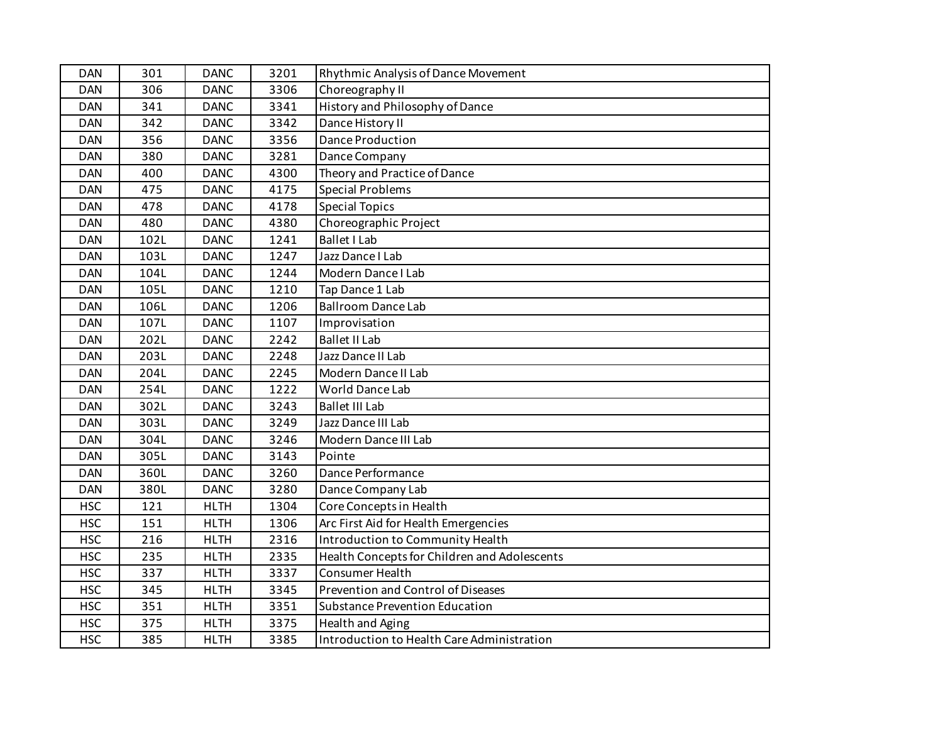| <b>DAN</b> | 301  | <b>DANC</b> | 3201 | Rhythmic Analysis of Dance Movement          |
|------------|------|-------------|------|----------------------------------------------|
| <b>DAN</b> | 306  | <b>DANC</b> | 3306 | Choreography II                              |
| <b>DAN</b> | 341  | <b>DANC</b> | 3341 | History and Philosophy of Dance              |
| <b>DAN</b> | 342  | <b>DANC</b> | 3342 | Dance History II                             |
| <b>DAN</b> | 356  | <b>DANC</b> | 3356 | <b>Dance Production</b>                      |
| <b>DAN</b> | 380  | <b>DANC</b> | 3281 | Dance Company                                |
| <b>DAN</b> | 400  | <b>DANC</b> | 4300 | Theory and Practice of Dance                 |
| <b>DAN</b> | 475  | <b>DANC</b> | 4175 | <b>Special Problems</b>                      |
| <b>DAN</b> | 478  | <b>DANC</b> | 4178 | <b>Special Topics</b>                        |
| <b>DAN</b> | 480  | <b>DANC</b> | 4380 | Choreographic Project                        |
| <b>DAN</b> | 102L | <b>DANC</b> | 1241 | <b>Ballet I Lab</b>                          |
| <b>DAN</b> | 103L | <b>DANC</b> | 1247 | Jazz Dance I Lab                             |
| <b>DAN</b> | 104L | <b>DANC</b> | 1244 | Modern Dance I Lab                           |
| <b>DAN</b> | 105L | <b>DANC</b> | 1210 | Tap Dance 1 Lab                              |
| <b>DAN</b> | 106L | <b>DANC</b> | 1206 | <b>Ballroom Dance Lab</b>                    |
| <b>DAN</b> | 107L | <b>DANC</b> | 1107 | Improvisation                                |
| <b>DAN</b> | 202L | <b>DANC</b> | 2242 | <b>Ballet II Lab</b>                         |
| <b>DAN</b> | 203L | <b>DANC</b> | 2248 | Jazz Dance II Lab                            |
| <b>DAN</b> | 204L | <b>DANC</b> | 2245 | Modern Dance II Lab                          |
| <b>DAN</b> | 254L | <b>DANC</b> | 1222 | World Dance Lab                              |
| <b>DAN</b> | 302L | <b>DANC</b> | 3243 | <b>Ballet III Lab</b>                        |
| <b>DAN</b> | 303L | <b>DANC</b> | 3249 | Jazz Dance III Lab                           |
| <b>DAN</b> | 304L | <b>DANC</b> | 3246 | Modern Dance III Lab                         |
| <b>DAN</b> | 305L | <b>DANC</b> | 3143 | Pointe                                       |
| <b>DAN</b> | 360L | <b>DANC</b> | 3260 | Dance Performance                            |
| <b>DAN</b> | 380L | <b>DANC</b> | 3280 | Dance Company Lab                            |
| <b>HSC</b> | 121  | <b>HLTH</b> | 1304 | Core Concepts in Health                      |
| <b>HSC</b> | 151  | <b>HLTH</b> | 1306 | Arc First Aid for Health Emergencies         |
| <b>HSC</b> | 216  | <b>HLTH</b> | 2316 | Introduction to Community Health             |
| <b>HSC</b> | 235  | <b>HLTH</b> | 2335 | Health Concepts for Children and Adolescents |
| <b>HSC</b> | 337  | <b>HLTH</b> | 3337 | <b>Consumer Health</b>                       |
| <b>HSC</b> | 345  | <b>HLTH</b> | 3345 | Prevention and Control of Diseases           |
| <b>HSC</b> | 351  | <b>HLTH</b> | 3351 | <b>Substance Prevention Education</b>        |
| <b>HSC</b> | 375  | <b>HLTH</b> | 3375 | <b>Health and Aging</b>                      |
| <b>HSC</b> | 385  | <b>HLTH</b> | 3385 | Introduction to Health Care Administration   |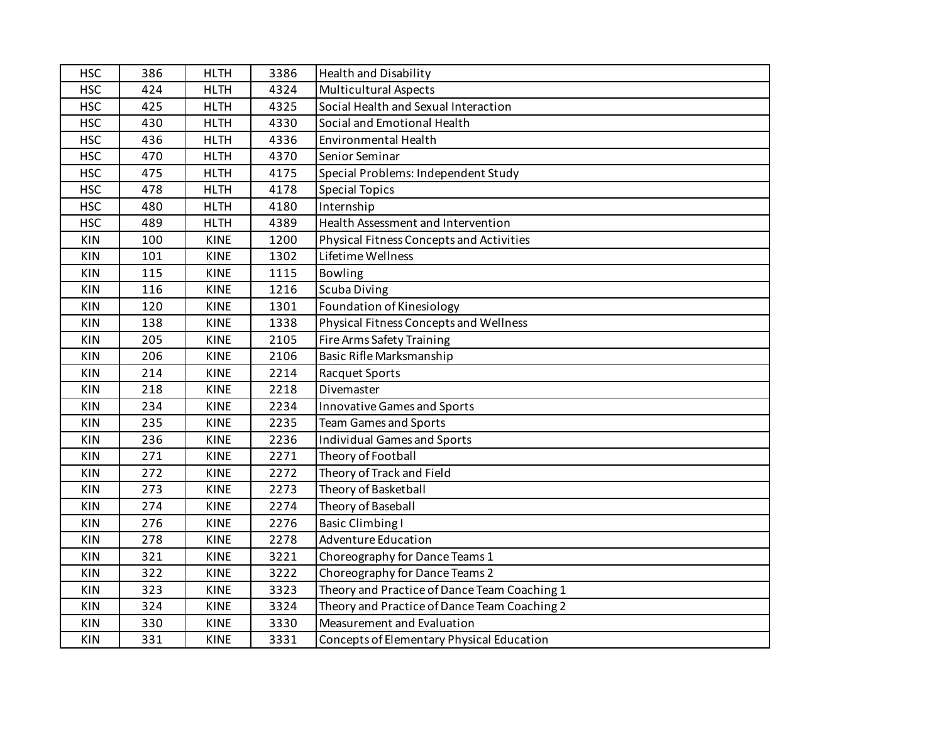| <b>HSC</b> | 386 | <b>HLTH</b> | 3386 | <b>Health and Disability</b>                 |
|------------|-----|-------------|------|----------------------------------------------|
| <b>HSC</b> | 424 | <b>HLTH</b> | 4324 | <b>Multicultural Aspects</b>                 |
| <b>HSC</b> | 425 | <b>HLTH</b> | 4325 | Social Health and Sexual Interaction         |
| <b>HSC</b> | 430 | <b>HLTH</b> | 4330 | Social and Emotional Health                  |
| <b>HSC</b> | 436 | <b>HLTH</b> | 4336 | <b>Environmental Health</b>                  |
| <b>HSC</b> | 470 | <b>HLTH</b> | 4370 | Senior Seminar                               |
| <b>HSC</b> | 475 | <b>HLTH</b> | 4175 | Special Problems: Independent Study          |
| <b>HSC</b> | 478 | <b>HLTH</b> | 4178 | <b>Special Topics</b>                        |
| <b>HSC</b> | 480 | <b>HLTH</b> | 4180 | Internship                                   |
| <b>HSC</b> | 489 | <b>HLTH</b> | 4389 | Health Assessment and Intervention           |
| KIN        | 100 | <b>KINE</b> | 1200 | Physical Fitness Concepts and Activities     |
| KIN        | 101 | <b>KINE</b> | 1302 | Lifetime Wellness                            |
| <b>KIN</b> | 115 | <b>KINE</b> | 1115 | Bowling                                      |
| KIN        | 116 | <b>KINE</b> | 1216 | <b>Scuba Diving</b>                          |
| <b>KIN</b> | 120 | <b>KINE</b> | 1301 | Foundation of Kinesiology                    |
| <b>KIN</b> | 138 | <b>KINE</b> | 1338 | Physical Fitness Concepts and Wellness       |
| <b>KIN</b> | 205 | <b>KINE</b> | 2105 | Fire Arms Safety Training                    |
| <b>KIN</b> | 206 | KINE        | 2106 | Basic Rifle Marksmanship                     |
| <b>KIN</b> | 214 | <b>KINE</b> | 2214 | <b>Racquet Sports</b>                        |
| <b>KIN</b> | 218 | <b>KINE</b> | 2218 | Divemaster                                   |
| KIN        | 234 | <b>KINE</b> | 2234 | Innovative Games and Sports                  |
| <b>KIN</b> | 235 | <b>KINE</b> | 2235 | <b>Team Games and Sports</b>                 |
| <b>KIN</b> | 236 | <b>KINE</b> | 2236 | <b>Individual Games and Sports</b>           |
| <b>KIN</b> | 271 | <b>KINE</b> | 2271 | Theory of Football                           |
| <b>KIN</b> | 272 | <b>KINE</b> | 2272 | Theory of Track and Field                    |
| KIN        | 273 | <b>KINE</b> | 2273 | Theory of Basketball                         |
| <b>KIN</b> | 274 | <b>KINE</b> | 2274 | Theory of Baseball                           |
| KIN        | 276 | <b>KINE</b> | 2276 | <b>Basic Climbing I</b>                      |
| <b>KIN</b> | 278 | <b>KINE</b> | 2278 | <b>Adventure Education</b>                   |
| KIN        | 321 | <b>KINE</b> | 3221 | Choreography for Dance Teams 1               |
| <b>KIN</b> | 322 | <b>KINE</b> | 3222 | Choreography for Dance Teams 2               |
| <b>KIN</b> | 323 | <b>KINE</b> | 3323 | Theory and Practice of Dance Team Coaching 1 |
| <b>KIN</b> | 324 | <b>KINE</b> | 3324 | Theory and Practice of Dance Team Coaching 2 |
| <b>KIN</b> | 330 | KINE        | 3330 | Measurement and Evaluation                   |
| <b>KIN</b> | 331 | <b>KINE</b> | 3331 | Concepts of Elementary Physical Education    |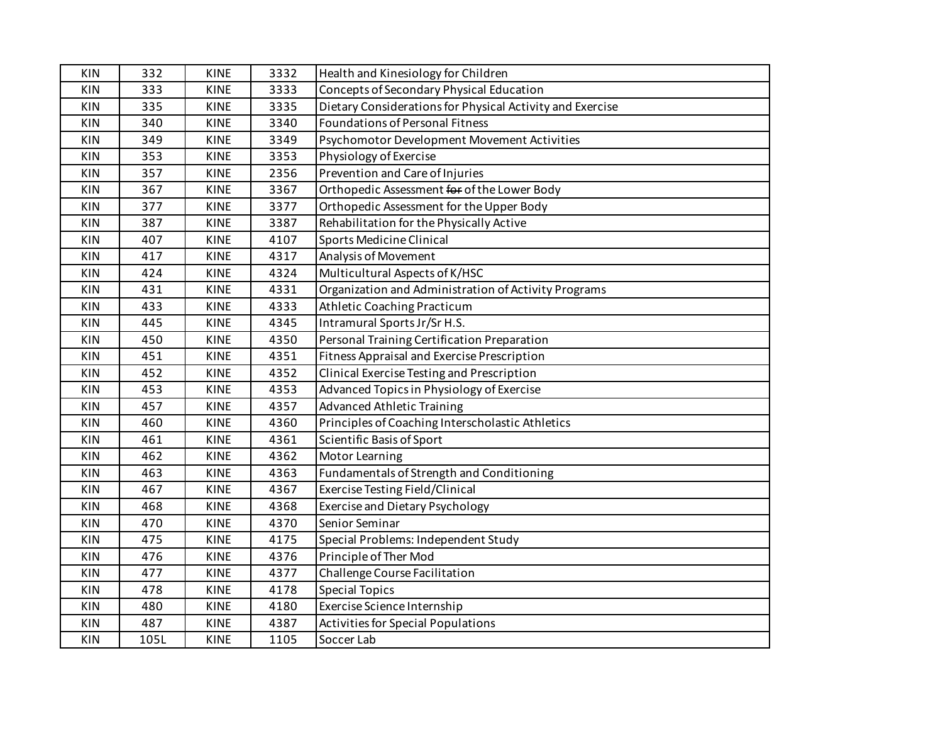| <b>KIN</b> | 332  | <b>KINE</b> | 3332 | Health and Kinesiology for Children                       |
|------------|------|-------------|------|-----------------------------------------------------------|
| <b>KIN</b> | 333  | <b>KINE</b> | 3333 | Concepts of Secondary Physical Education                  |
| <b>KIN</b> | 335  | <b>KINE</b> | 3335 | Dietary Considerations for Physical Activity and Exercise |
| <b>KIN</b> | 340  | <b>KINE</b> | 3340 | Foundations of Personal Fitness                           |
| <b>KIN</b> | 349  | <b>KINE</b> | 3349 | Psychomotor Development Movement Activities               |
| <b>KIN</b> | 353  | <b>KINE</b> | 3353 | Physiology of Exercise                                    |
| <b>KIN</b> | 357  | <b>KINE</b> | 2356 | Prevention and Care of Injuries                           |
| <b>KIN</b> | 367  | <b>KINE</b> | 3367 | Orthopedic Assessment for of the Lower Body               |
| KIN        | 377  | <b>KINE</b> | 3377 | Orthopedic Assessment for the Upper Body                  |
| <b>KIN</b> | 387  | <b>KINE</b> | 3387 | Rehabilitation for the Physically Active                  |
| <b>KIN</b> | 407  | <b>KINE</b> | 4107 | Sports Medicine Clinical                                  |
| <b>KIN</b> | 417  | <b>KINE</b> | 4317 | Analysis of Movement                                      |
| <b>KIN</b> | 424  | <b>KINE</b> | 4324 | Multicultural Aspects of K/HSC                            |
| <b>KIN</b> | 431  | <b>KINE</b> | 4331 | Organization and Administration of Activity Programs      |
| <b>KIN</b> | 433  | <b>KINE</b> | 4333 | Athletic Coaching Practicum                               |
| <b>KIN</b> | 445  | <b>KINE</b> | 4345 | Intramural Sports Jr/Sr H.S.                              |
| <b>KIN</b> | 450  | <b>KINE</b> | 4350 | Personal Training Certification Preparation               |
| <b>KIN</b> | 451  | <b>KINE</b> | 4351 | Fitness Appraisal and Exercise Prescription               |
| <b>KIN</b> | 452  | <b>KINE</b> | 4352 | Clinical Exercise Testing and Prescription                |
| <b>KIN</b> | 453  | <b>KINE</b> | 4353 | Advanced Topics in Physiology of Exercise                 |
| <b>KIN</b> | 457  | <b>KINE</b> | 4357 | <b>Advanced Athletic Training</b>                         |
| <b>KIN</b> | 460  | <b>KINE</b> | 4360 | Principles of Coaching Interscholastic Athletics          |
| <b>KIN</b> | 461  | <b>KINE</b> | 4361 | Scientific Basis of Sport                                 |
| <b>KIN</b> | 462  | <b>KINE</b> | 4362 | Motor Learning                                            |
| <b>KIN</b> | 463  | <b>KINE</b> | 4363 | Fundamentals of Strength and Conditioning                 |
| <b>KIN</b> | 467  | <b>KINE</b> | 4367 | <b>Exercise Testing Field/Clinical</b>                    |
| <b>KIN</b> | 468  | <b>KINE</b> | 4368 | <b>Exercise and Dietary Psychology</b>                    |
| <b>KIN</b> | 470  | <b>KINE</b> | 4370 | Senior Seminar                                            |
| <b>KIN</b> | 475  | <b>KINE</b> | 4175 | Special Problems: Independent Study                       |
| <b>KIN</b> | 476  | <b>KINE</b> | 4376 | Principle of Ther Mod                                     |
| <b>KIN</b> | 477  | <b>KINE</b> | 4377 | Challenge Course Facilitation                             |
| <b>KIN</b> | 478  | <b>KINE</b> | 4178 | <b>Special Topics</b>                                     |
| <b>KIN</b> | 480  | <b>KINE</b> | 4180 | Exercise Science Internship                               |
| <b>KIN</b> | 487  | KINE        | 4387 | Activities for Special Populations                        |
| <b>KIN</b> | 105L | <b>KINE</b> | 1105 | Soccer Lab                                                |
|            |      |             |      |                                                           |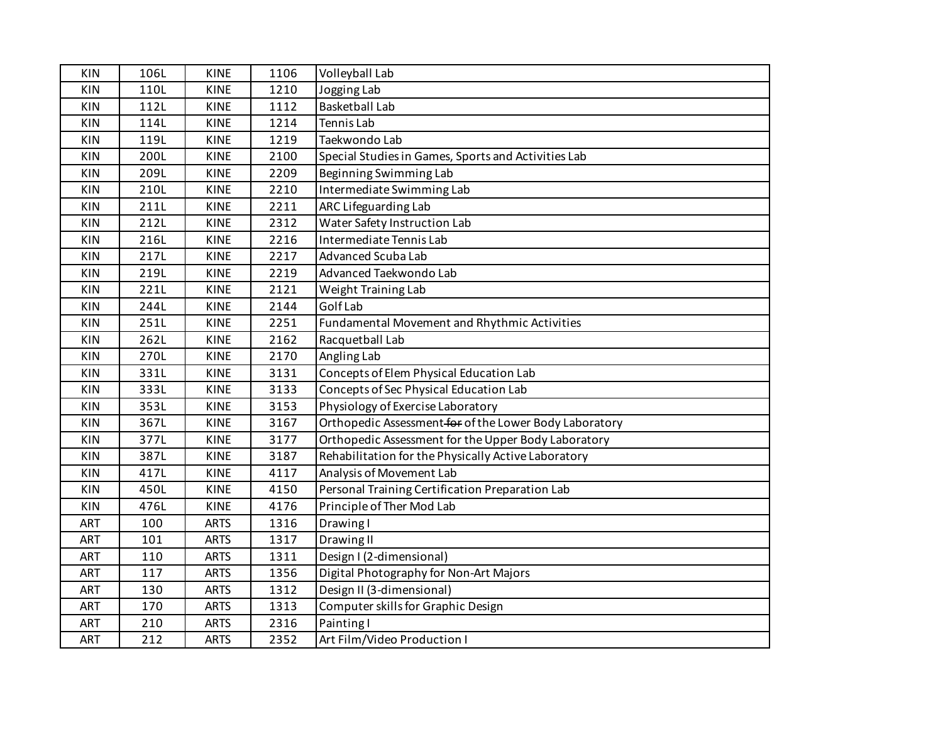| <b>KIN</b> | 106L | <b>KINE</b> | 1106 | Volleyball Lab                                         |
|------------|------|-------------|------|--------------------------------------------------------|
| <b>KIN</b> | 110L | <b>KINE</b> | 1210 | Jogging Lab                                            |
| <b>KIN</b> | 112L | <b>KINE</b> | 1112 | <b>Basketball Lab</b>                                  |
| KIN        | 114L | <b>KINE</b> | 1214 | Tennis Lab                                             |
| KIN        | 119L | <b>KINE</b> | 1219 | Taekwondo Lab                                          |
| <b>KIN</b> | 200L | <b>KINE</b> | 2100 | Special Studies in Games, Sports and Activities Lab    |
| KIN        | 209L | <b>KINE</b> | 2209 | Beginning Swimming Lab                                 |
| KIN        | 210L | <b>KINE</b> | 2210 | Intermediate Swimming Lab                              |
| <b>KIN</b> | 211L | <b>KINE</b> | 2211 | ARC Lifeguarding Lab                                   |
| <b>KIN</b> | 212L | <b>KINE</b> | 2312 | Water Safety Instruction Lab                           |
| KIN        | 216L | <b>KINE</b> | 2216 | Intermediate Tennis Lab                                |
| KIN        | 217L | <b>KINE</b> | 2217 | <b>Advanced Scuba Lab</b>                              |
| KIN        | 219L | <b>KINE</b> | 2219 | Advanced Taekwondo Lab                                 |
| KIN        | 221L | <b>KINE</b> | 2121 | Weight Training Lab                                    |
| <b>KIN</b> | 244L | <b>KINE</b> | 2144 | <b>Golf Lab</b>                                        |
| KIN        | 251L | <b>KINE</b> | 2251 | Fundamental Movement and Rhythmic Activities           |
| <b>KIN</b> | 262L | <b>KINE</b> | 2162 | Racquetball Lab                                        |
| KIN        | 270L | <b>KINE</b> | 2170 | Angling Lab                                            |
| KIN        | 331L | <b>KINE</b> | 3131 | Concepts of Elem Physical Education Lab                |
| KIN        | 333L | <b>KINE</b> | 3133 | Concepts of Sec Physical Education Lab                 |
| KIN        | 353L | <b>KINE</b> | 3153 | Physiology of Exercise Laboratory                      |
| <b>KIN</b> | 367L | <b>KINE</b> | 3167 | Orthopedic Assessment for of the Lower Body Laboratory |
| KIN        | 377L | <b>KINE</b> | 3177 | Orthopedic Assessment for the Upper Body Laboratory    |
| <b>KIN</b> | 387L | <b>KINE</b> | 3187 | Rehabilitation for the Physically Active Laboratory    |
| <b>KIN</b> | 417L | <b>KINE</b> | 4117 | Analysis of Movement Lab                               |
| KIN        | 450L | <b>KINE</b> | 4150 | Personal Training Certification Preparation Lab        |
| KIN        | 476L | <b>KINE</b> | 4176 | Principle of Ther Mod Lab                              |
| ART        | 100  | <b>ARTS</b> | 1316 | Drawing I                                              |
| <b>ART</b> | 101  | <b>ARTS</b> | 1317 | Drawing II                                             |
| <b>ART</b> | 110  | <b>ARTS</b> | 1311 | Design I (2-dimensional)                               |
| <b>ART</b> | 117  | <b>ARTS</b> | 1356 | Digital Photography for Non-Art Majors                 |
| <b>ART</b> | 130  | <b>ARTS</b> | 1312 | Design II (3-dimensional)                              |
| ART        | 170  | <b>ARTS</b> | 1313 | Computer skills for Graphic Design                     |
| ART        | 210  | <b>ARTS</b> | 2316 | Painting I                                             |
| ART        | 212  | <b>ARTS</b> | 2352 | Art Film/Video Production I                            |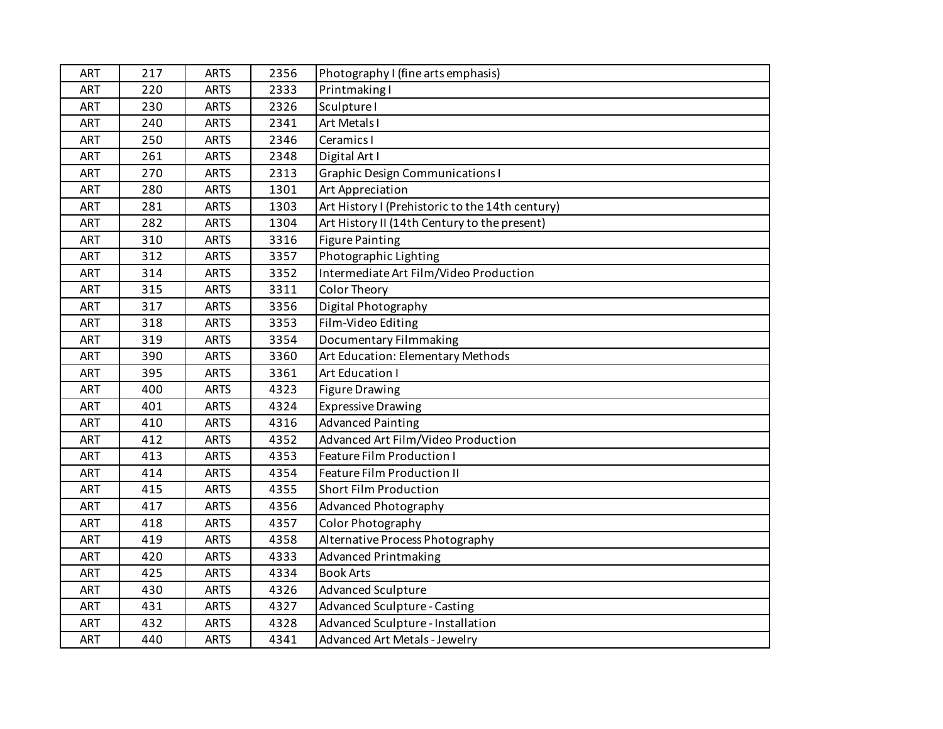| <b>ART</b> | 217 | <b>ARTS</b> | 2356 | Photography I (fine arts emphasis)              |
|------------|-----|-------------|------|-------------------------------------------------|
| ART        | 220 | <b>ARTS</b> | 2333 | Printmaking I                                   |
| <b>ART</b> | 230 | <b>ARTS</b> | 2326 | Sculpture I                                     |
| ART        | 240 | <b>ARTS</b> | 2341 | Art Metals I                                    |
| ART        | 250 | <b>ARTS</b> | 2346 | Ceramics I                                      |
| ART        | 261 | <b>ARTS</b> | 2348 | Digital Art I                                   |
| ART        | 270 | <b>ARTS</b> | 2313 | <b>Graphic Design Communications I</b>          |
| ART        | 280 | <b>ARTS</b> | 1301 | Art Appreciation                                |
| <b>ART</b> | 281 | <b>ARTS</b> | 1303 | Art History I (Prehistoric to the 14th century) |
| ART        | 282 | <b>ARTS</b> | 1304 | Art History II (14th Century to the present)    |
| ART        | 310 | <b>ARTS</b> | 3316 | <b>Figure Painting</b>                          |
| ART        | 312 | <b>ARTS</b> | 3357 | Photographic Lighting                           |
| ART        | 314 | <b>ARTS</b> | 3352 | Intermediate Art Film/Video Production          |
| ART        | 315 | <b>ARTS</b> | 3311 | Color Theory                                    |
| <b>ART</b> | 317 | <b>ARTS</b> | 3356 | Digital Photography                             |
| <b>ART</b> | 318 | <b>ARTS</b> | 3353 | Film-Video Editing                              |
| ART        | 319 | <b>ARTS</b> | 3354 | Documentary Filmmaking                          |
| ART        | 390 | <b>ARTS</b> | 3360 | Art Education: Elementary Methods               |
| ART        | 395 | <b>ARTS</b> | 3361 | Art Education I                                 |
| ART        | 400 | <b>ARTS</b> | 4323 | <b>Figure Drawing</b>                           |
| ART        | 401 | <b>ARTS</b> | 4324 | <b>Expressive Drawing</b>                       |
| ART        | 410 | <b>ARTS</b> | 4316 | <b>Advanced Painting</b>                        |
| <b>ART</b> | 412 | <b>ARTS</b> | 4352 | Advanced Art Film/Video Production              |
| ART        | 413 | <b>ARTS</b> | 4353 | <b>Feature Film Production I</b>                |
| ART        | 414 | <b>ARTS</b> | 4354 | <b>Feature Film Production II</b>               |
| ART        | 415 | <b>ARTS</b> | 4355 | <b>Short Film Production</b>                    |
| ART        | 417 | <b>ARTS</b> | 4356 | Advanced Photography                            |
| ART        | 418 | <b>ARTS</b> | 4357 | Color Photography                               |
| ART        | 419 | <b>ARTS</b> | 4358 | Alternative Process Photography                 |
| ART        | 420 | <b>ARTS</b> | 4333 | <b>Advanced Printmaking</b>                     |
| <b>ART</b> | 425 | <b>ARTS</b> | 4334 | <b>Book Arts</b>                                |
| <b>ART</b> | 430 | <b>ARTS</b> | 4326 | <b>Advanced Sculpture</b>                       |
| ART        | 431 | <b>ARTS</b> | 4327 | <b>Advanced Sculpture - Casting</b>             |
| ART        | 432 | <b>ARTS</b> | 4328 | Advanced Sculpture - Installation               |
| ART        | 440 | <b>ARTS</b> | 4341 | <b>Advanced Art Metals - Jewelry</b>            |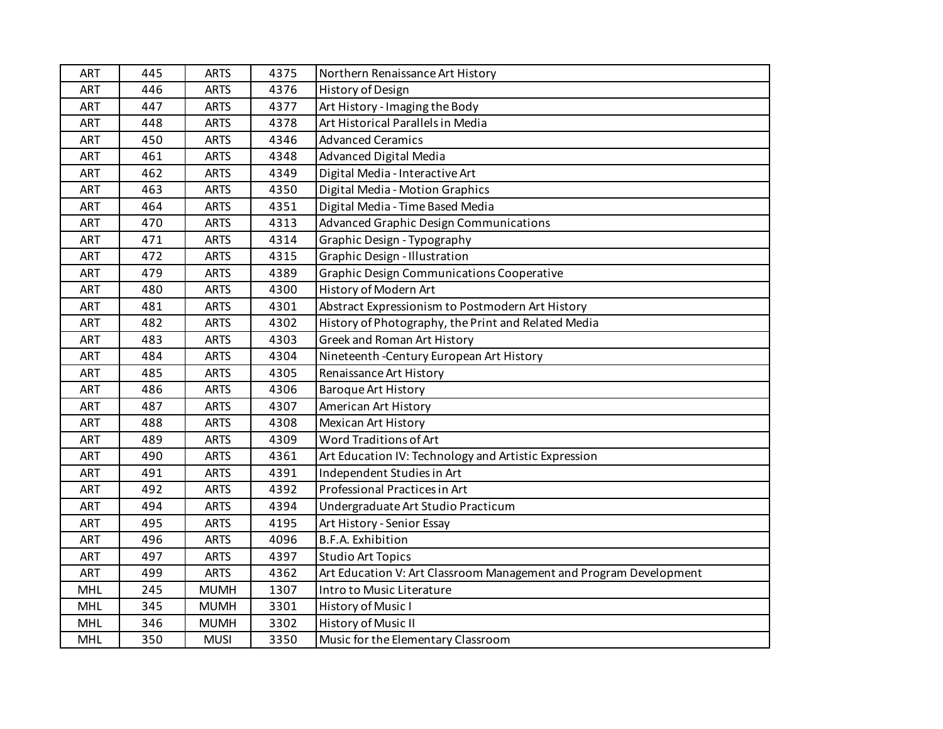| <b>ART</b> | 445 | <b>ARTS</b> | 4375 | Northern Renaissance Art History                                  |
|------------|-----|-------------|------|-------------------------------------------------------------------|
| <b>ART</b> | 446 | <b>ARTS</b> | 4376 | History of Design                                                 |
| <b>ART</b> | 447 | <b>ARTS</b> | 4377 | Art History - Imaging the Body                                    |
| <b>ART</b> | 448 | <b>ARTS</b> | 4378 | Art Historical Parallels in Media                                 |
| <b>ART</b> | 450 | <b>ARTS</b> | 4346 | <b>Advanced Ceramics</b>                                          |
| <b>ART</b> | 461 | <b>ARTS</b> | 4348 | Advanced Digital Media                                            |
| <b>ART</b> | 462 | <b>ARTS</b> | 4349 | Digital Media - Interactive Art                                   |
| <b>ART</b> | 463 | <b>ARTS</b> | 4350 | Digital Media - Motion Graphics                                   |
| <b>ART</b> | 464 | <b>ARTS</b> | 4351 | Digital Media - Time Based Media                                  |
| <b>ART</b> | 470 | <b>ARTS</b> | 4313 | <b>Advanced Graphic Design Communications</b>                     |
| <b>ART</b> | 471 | <b>ARTS</b> | 4314 | Graphic Design - Typography                                       |
| <b>ART</b> | 472 | <b>ARTS</b> | 4315 | <b>Graphic Design - Illustration</b>                              |
| <b>ART</b> | 479 | <b>ARTS</b> | 4389 | <b>Graphic Design Communications Cooperative</b>                  |
| <b>ART</b> | 480 | <b>ARTS</b> | 4300 | History of Modern Art                                             |
| <b>ART</b> | 481 | <b>ARTS</b> | 4301 | Abstract Expressionism to Postmodern Art History                  |
| <b>ART</b> | 482 | <b>ARTS</b> | 4302 | History of Photography, the Print and Related Media               |
| <b>ART</b> | 483 | <b>ARTS</b> | 4303 | Greek and Roman Art History                                       |
| <b>ART</b> | 484 | <b>ARTS</b> | 4304 | Nineteenth - Century European Art History                         |
| <b>ART</b> | 485 | <b>ARTS</b> | 4305 | Renaissance Art History                                           |
| <b>ART</b> | 486 | <b>ARTS</b> | 4306 | <b>Baroque Art History</b>                                        |
| <b>ART</b> | 487 | <b>ARTS</b> | 4307 | American Art History                                              |
| <b>ART</b> | 488 | <b>ARTS</b> | 4308 | <b>Mexican Art History</b>                                        |
| <b>ART</b> | 489 | <b>ARTS</b> | 4309 | Word Traditions of Art                                            |
| <b>ART</b> | 490 | <b>ARTS</b> | 4361 | Art Education IV: Technology and Artistic Expression              |
| <b>ART</b> | 491 | <b>ARTS</b> | 4391 | Independent Studies in Art                                        |
| <b>ART</b> | 492 | <b>ARTS</b> | 4392 | Professional Practices in Art                                     |
| <b>ART</b> | 494 | <b>ARTS</b> | 4394 | Undergraduate Art Studio Practicum                                |
| <b>ART</b> | 495 | <b>ARTS</b> | 4195 | Art History - Senior Essay                                        |
| <b>ART</b> | 496 | <b>ARTS</b> | 4096 | B.F.A. Exhibition                                                 |
| <b>ART</b> | 497 | <b>ARTS</b> | 4397 | <b>Studio Art Topics</b>                                          |
| <b>ART</b> | 499 | <b>ARTS</b> | 4362 | Art Education V: Art Classroom Management and Program Development |
| <b>MHL</b> | 245 | <b>MUMH</b> | 1307 | Intro to Music Literature                                         |
| <b>MHL</b> | 345 | <b>MUMH</b> | 3301 | History of Music I                                                |
| MHL        | 346 | <b>MUMH</b> | 3302 | History of Music II                                               |
| <b>MHL</b> | 350 | <b>MUSI</b> | 3350 | Music for the Elementary Classroom                                |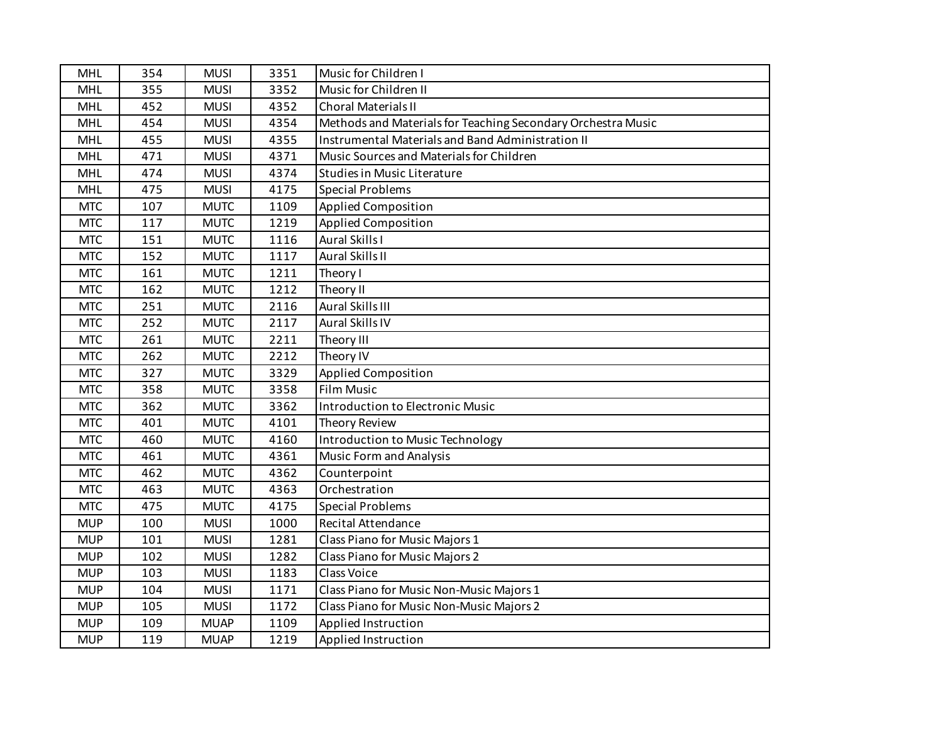| <b>MHL</b> | 354 | <b>MUSI</b> | 3351 | Music for Children I                                         |
|------------|-----|-------------|------|--------------------------------------------------------------|
| <b>MHL</b> | 355 | <b>MUSI</b> | 3352 | Music for Children II                                        |
| <b>MHL</b> | 452 | <b>MUSI</b> | 4352 | <b>Choral Materials II</b>                                   |
| <b>MHL</b> | 454 | <b>MUSI</b> | 4354 | Methods and Materials for Teaching Secondary Orchestra Music |
| <b>MHL</b> | 455 | <b>MUSI</b> | 4355 | Instrumental Materials and Band Administration II            |
| <b>MHL</b> | 471 | <b>MUSI</b> | 4371 | Music Sources and Materials for Children                     |
| <b>MHL</b> | 474 | <b>MUSI</b> | 4374 | <b>Studies in Music Literature</b>                           |
| <b>MHL</b> | 475 | <b>MUSI</b> | 4175 | <b>Special Problems</b>                                      |
| <b>MTC</b> | 107 | <b>MUTC</b> | 1109 | <b>Applied Composition</b>                                   |
| <b>MTC</b> | 117 | <b>MUTC</b> | 1219 | <b>Applied Composition</b>                                   |
| <b>MTC</b> | 151 | <b>MUTC</b> | 1116 | Aural Skills I                                               |
| <b>MTC</b> | 152 | <b>MUTC</b> | 1117 | Aural Skills II                                              |
| <b>MTC</b> | 161 | <b>MUTC</b> | 1211 | Theory I                                                     |
| <b>MTC</b> | 162 | <b>MUTC</b> | 1212 | Theory II                                                    |
| <b>MTC</b> | 251 | <b>MUTC</b> | 2116 | Aural Skills III                                             |
| <b>MTC</b> | 252 | <b>MUTC</b> | 2117 | Aural Skills IV                                              |
| <b>MTC</b> | 261 | <b>MUTC</b> | 2211 | Theory III                                                   |
| <b>MTC</b> | 262 | <b>MUTC</b> | 2212 | Theory IV                                                    |
| <b>MTC</b> | 327 | <b>MUTC</b> | 3329 | <b>Applied Composition</b>                                   |
| <b>MTC</b> | 358 | <b>MUTC</b> | 3358 | <b>Film Music</b>                                            |
| <b>MTC</b> | 362 | <b>MUTC</b> | 3362 | Introduction to Electronic Music                             |
| <b>MTC</b> | 401 | <b>MUTC</b> | 4101 | Theory Review                                                |
| <b>MTC</b> | 460 | <b>MUTC</b> | 4160 | Introduction to Music Technology                             |
| <b>MTC</b> | 461 | <b>MUTC</b> | 4361 | <b>Music Form and Analysis</b>                               |
| <b>MTC</b> | 462 | <b>MUTC</b> | 4362 | Counterpoint                                                 |
| <b>MTC</b> | 463 | <b>MUTC</b> | 4363 | Orchestration                                                |
| <b>MTC</b> | 475 | <b>MUTC</b> | 4175 | <b>Special Problems</b>                                      |
| <b>MUP</b> | 100 | <b>MUSI</b> | 1000 | Recital Attendance                                           |
| <b>MUP</b> | 101 | <b>MUSI</b> | 1281 | Class Piano for Music Majors 1                               |
| <b>MUP</b> | 102 | <b>MUSI</b> | 1282 | Class Piano for Music Majors 2                               |
| <b>MUP</b> | 103 | <b>MUSI</b> | 1183 | <b>Class Voice</b>                                           |
| <b>MUP</b> | 104 | <b>MUSI</b> | 1171 | Class Piano for Music Non-Music Majors 1                     |
| <b>MUP</b> | 105 | <b>MUSI</b> | 1172 | Class Piano for Music Non-Music Majors 2                     |
| <b>MUP</b> | 109 | <b>MUAP</b> | 1109 | Applied Instruction                                          |
| <b>MUP</b> | 119 | <b>MUAP</b> | 1219 | Applied Instruction                                          |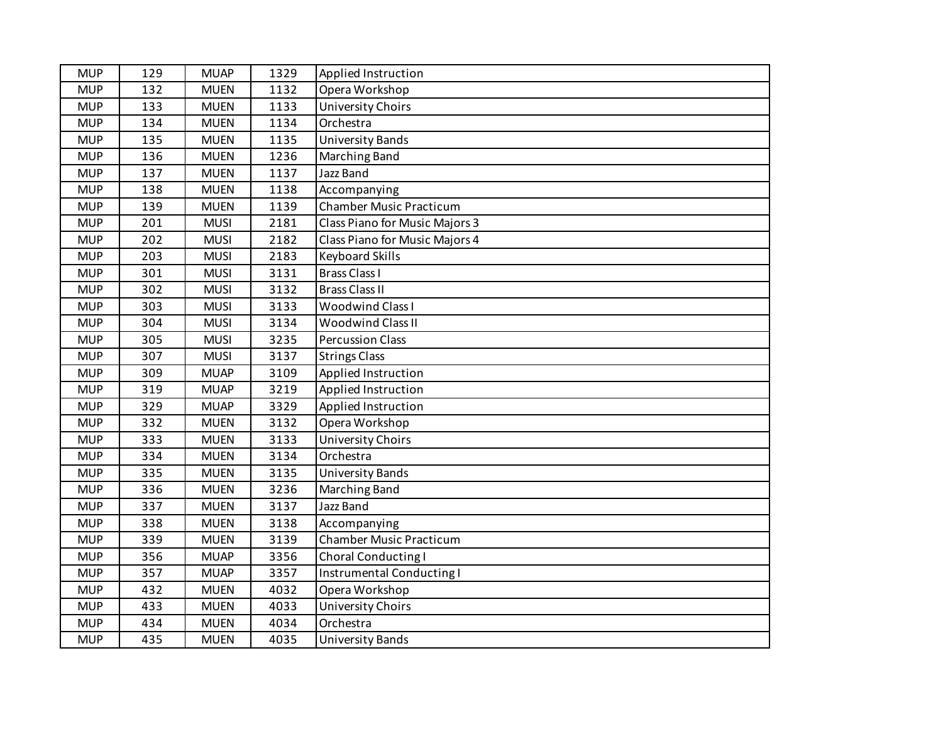| <b>MUP</b> | 129 | <b>MUAP</b> | 1329 | Applied Instruction            |
|------------|-----|-------------|------|--------------------------------|
| <b>MUP</b> | 132 | <b>MUEN</b> | 1132 | Opera Workshop                 |
| <b>MUP</b> | 133 | <b>MUEN</b> | 1133 | <b>University Choirs</b>       |
| <b>MUP</b> | 134 | <b>MUEN</b> | 1134 | Orchestra                      |
| <b>MUP</b> | 135 | <b>MUEN</b> | 1135 | <b>University Bands</b>        |
| <b>MUP</b> | 136 | <b>MUEN</b> | 1236 | Marching Band                  |
| <b>MUP</b> | 137 | <b>MUEN</b> | 1137 | Jazz Band                      |
| <b>MUP</b> | 138 | <b>MUEN</b> | 1138 | Accompanying                   |
| <b>MUP</b> | 139 | <b>MUEN</b> | 1139 | <b>Chamber Music Practicum</b> |
| <b>MUP</b> | 201 | <b>MUSI</b> | 2181 | Class Piano for Music Majors 3 |
| <b>MUP</b> | 202 | <b>MUSI</b> | 2182 | Class Piano for Music Majors 4 |
| <b>MUP</b> | 203 | <b>MUSI</b> | 2183 | <b>Keyboard Skills</b>         |
| <b>MUP</b> | 301 | <b>MUSI</b> | 3131 | <b>Brass Class I</b>           |
| <b>MUP</b> | 302 | <b>MUSI</b> | 3132 | <b>Brass Class II</b>          |
| <b>MUP</b> | 303 | <b>MUSI</b> | 3133 | Woodwind Class I               |
| <b>MUP</b> | 304 | <b>MUSI</b> | 3134 | <b>Woodwind Class II</b>       |
| <b>MUP</b> | 305 | <b>MUSI</b> | 3235 | <b>Percussion Class</b>        |
| <b>MUP</b> | 307 | <b>MUSI</b> | 3137 | <b>Strings Class</b>           |
| <b>MUP</b> | 309 | <b>MUAP</b> | 3109 | Applied Instruction            |
| <b>MUP</b> | 319 | <b>MUAP</b> | 3219 | Applied Instruction            |
| <b>MUP</b> | 329 | <b>MUAP</b> | 3329 | Applied Instruction            |
| <b>MUP</b> | 332 | <b>MUEN</b> | 3132 | Opera Workshop                 |
| <b>MUP</b> | 333 | <b>MUEN</b> | 3133 | <b>University Choirs</b>       |
| <b>MUP</b> | 334 | <b>MUEN</b> | 3134 | Orchestra                      |
| <b>MUP</b> | 335 | <b>MUEN</b> | 3135 | University Bands               |
| <b>MUP</b> | 336 | <b>MUEN</b> | 3236 | Marching Band                  |
| <b>MUP</b> | 337 | <b>MUEN</b> | 3137 | Jazz Band                      |
| <b>MUP</b> | 338 | <b>MUEN</b> | 3138 | Accompanying                   |
| <b>MUP</b> | 339 | <b>MUEN</b> | 3139 | <b>Chamber Music Practicum</b> |
| <b>MUP</b> | 356 | <b>MUAP</b> | 3356 | Choral Conducting I            |
| <b>MUP</b> | 357 | <b>MUAP</b> | 3357 | Instrumental Conducting I      |
| <b>MUP</b> | 432 | <b>MUEN</b> | 4032 | Opera Workshop                 |
| <b>MUP</b> | 433 | <b>MUEN</b> | 4033 | <b>University Choirs</b>       |
| <b>MUP</b> | 434 | <b>MUEN</b> | 4034 | Orchestra                      |
| <b>MUP</b> | 435 | <b>MUEN</b> | 4035 | <b>University Bands</b>        |
|            |     |             |      |                                |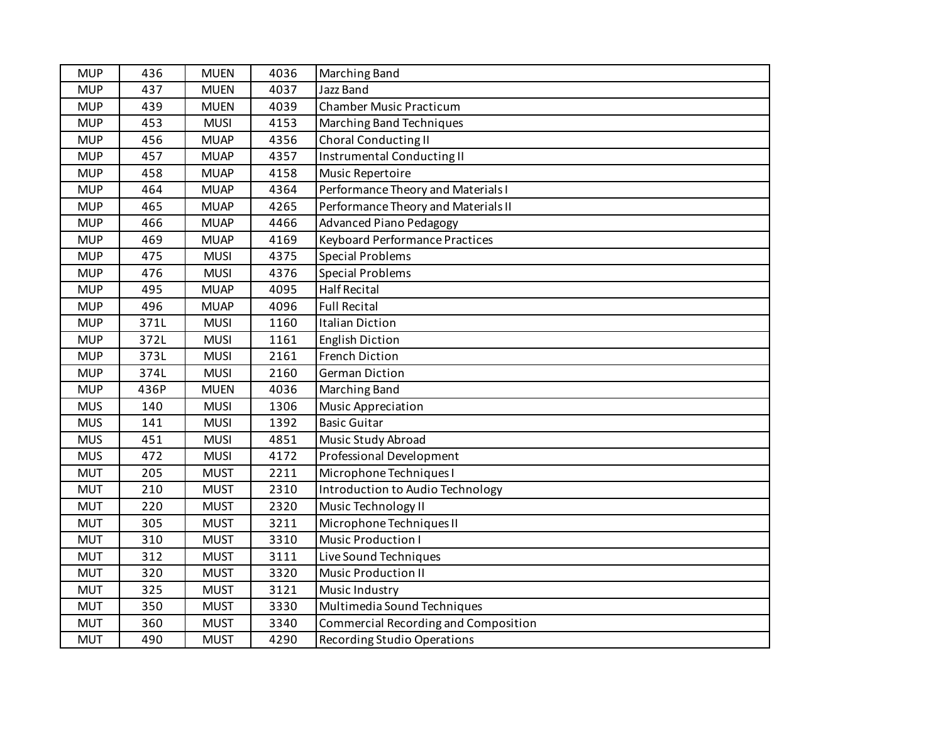| <b>MUP</b> | 436  | <b>MUEN</b> | 4036 | Marching Band                         |
|------------|------|-------------|------|---------------------------------------|
| <b>MUP</b> | 437  | <b>MUEN</b> | 4037 | <b>Jazz Band</b>                      |
| <b>MUP</b> | 439  | <b>MUEN</b> | 4039 | <b>Chamber Music Practicum</b>        |
| <b>MUP</b> | 453  | <b>MUSI</b> | 4153 | <b>Marching Band Techniques</b>       |
| <b>MUP</b> | 456  | <b>MUAP</b> | 4356 | <b>Choral Conducting II</b>           |
| <b>MUP</b> | 457  | <b>MUAP</b> | 4357 | Instrumental Conducting II            |
| <b>MUP</b> | 458  | <b>MUAP</b> | 4158 | Music Repertoire                      |
| <b>MUP</b> | 464  | <b>MUAP</b> | 4364 | Performance Theory and Materials I    |
| <b>MUP</b> | 465  | <b>MUAP</b> | 4265 | Performance Theory and Materials II   |
| <b>MUP</b> | 466  | <b>MUAP</b> | 4466 | <b>Advanced Piano Pedagogy</b>        |
| <b>MUP</b> | 469  | <b>MUAP</b> | 4169 | <b>Keyboard Performance Practices</b> |
| <b>MUP</b> | 475  | <b>MUSI</b> | 4375 | <b>Special Problems</b>               |
| <b>MUP</b> | 476  | <b>MUSI</b> | 4376 | <b>Special Problems</b>               |
| <b>MUP</b> | 495  | <b>MUAP</b> | 4095 | <b>Half Recital</b>                   |
| <b>MUP</b> | 496  | <b>MUAP</b> | 4096 | <b>Full Recital</b>                   |
| <b>MUP</b> | 371L | <b>MUSI</b> | 1160 | <b>Italian Diction</b>                |
| <b>MUP</b> | 372L | <b>MUSI</b> | 1161 | <b>English Diction</b>                |
| <b>MUP</b> | 373L | <b>MUSI</b> | 2161 | <b>French Diction</b>                 |
| <b>MUP</b> | 374L | <b>MUSI</b> | 2160 | <b>German Diction</b>                 |
| <b>MUP</b> | 436P | <b>MUEN</b> | 4036 | <b>Marching Band</b>                  |
| <b>MUS</b> | 140  | <b>MUSI</b> | 1306 | <b>Music Appreciation</b>             |
| <b>MUS</b> | 141  | <b>MUSI</b> | 1392 | <b>Basic Guitar</b>                   |
| <b>MUS</b> | 451  | <b>MUSI</b> | 4851 | Music Study Abroad                    |
| <b>MUS</b> | 472  | <b>MUSI</b> | 4172 | Professional Development              |
| <b>MUT</b> | 205  | <b>MUST</b> | 2211 | Microphone Techniques I               |
| <b>MUT</b> | 210  | <b>MUST</b> | 2310 | Introduction to Audio Technology      |
| <b>MUT</b> | 220  | <b>MUST</b> | 2320 | Music Technology II                   |
| <b>MUT</b> | 305  | <b>MUST</b> | 3211 | Microphone Techniques II              |
| <b>MUT</b> | 310  | <b>MUST</b> | 3310 | <b>Music Production I</b>             |
| <b>MUT</b> | 312  | <b>MUST</b> | 3111 | Live Sound Techniques                 |
| <b>MUT</b> | 320  | <b>MUST</b> | 3320 | <b>Music Production II</b>            |
| <b>MUT</b> | 325  | <b>MUST</b> | 3121 | Music Industry                        |
| <b>MUT</b> | 350  | <b>MUST</b> | 3330 | Multimedia Sound Techniques           |
| <b>MUT</b> | 360  | <b>MUST</b> | 3340 | Commercial Recording and Composition  |
| <b>MUT</b> | 490  | <b>MUST</b> | 4290 | <b>Recording Studio Operations</b>    |
|            |      |             |      |                                       |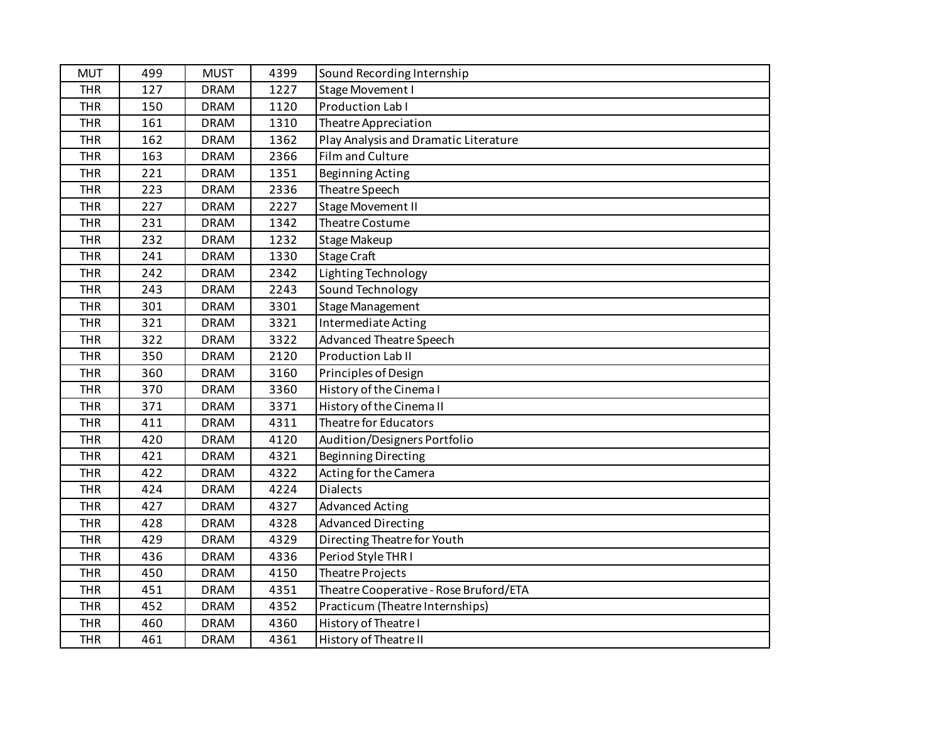| <b>MUT</b> | 499 | <b>MUST</b> | 4399 | Sound Recording Internship             |
|------------|-----|-------------|------|----------------------------------------|
| <b>THR</b> | 127 | <b>DRAM</b> | 1227 | Stage Movement I                       |
| <b>THR</b> | 150 | <b>DRAM</b> | 1120 | Production Lab I                       |
| <b>THR</b> | 161 | <b>DRAM</b> | 1310 | Theatre Appreciation                   |
| <b>THR</b> | 162 | <b>DRAM</b> | 1362 | Play Analysis and Dramatic Literature  |
| <b>THR</b> | 163 | <b>DRAM</b> | 2366 | Film and Culture                       |
| <b>THR</b> | 221 | <b>DRAM</b> | 1351 | <b>Beginning Acting</b>                |
| <b>THR</b> | 223 | <b>DRAM</b> | 2336 | Theatre Speech                         |
| <b>THR</b> | 227 | <b>DRAM</b> | 2227 | <b>Stage Movement II</b>               |
| <b>THR</b> | 231 | <b>DRAM</b> | 1342 | Theatre Costume                        |
| <b>THR</b> | 232 | <b>DRAM</b> | 1232 | <b>Stage Makeup</b>                    |
| <b>THR</b> | 241 | <b>DRAM</b> | 1330 | <b>Stage Craft</b>                     |
| <b>THR</b> | 242 | <b>DRAM</b> | 2342 | Lighting Technology                    |
| <b>THR</b> | 243 | <b>DRAM</b> | 2243 | Sound Technology                       |
| <b>THR</b> | 301 | <b>DRAM</b> | 3301 | <b>Stage Management</b>                |
| <b>THR</b> | 321 | <b>DRAM</b> | 3321 | Intermediate Acting                    |
| <b>THR</b> | 322 | <b>DRAM</b> | 3322 | <b>Advanced Theatre Speech</b>         |
| <b>THR</b> | 350 | <b>DRAM</b> | 2120 | Production Lab II                      |
| <b>THR</b> | 360 | <b>DRAM</b> | 3160 | Principles of Design                   |
| <b>THR</b> | 370 | <b>DRAM</b> | 3360 | History of the Cinemal                 |
| <b>THR</b> | 371 | <b>DRAM</b> | 3371 | History of the Cinema II               |
| <b>THR</b> | 411 | <b>DRAM</b> | 4311 | Theatre for Educators                  |
| <b>THR</b> | 420 | <b>DRAM</b> | 4120 | Audition/Designers Portfolio           |
| <b>THR</b> | 421 | <b>DRAM</b> | 4321 | <b>Beginning Directing</b>             |
| <b>THR</b> | 422 | <b>DRAM</b> | 4322 | Acting for the Camera                  |
| <b>THR</b> | 424 | <b>DRAM</b> | 4224 | Dialects                               |
| <b>THR</b> | 427 | <b>DRAM</b> | 4327 | <b>Advanced Acting</b>                 |
| <b>THR</b> | 428 | <b>DRAM</b> | 4328 | <b>Advanced Directing</b>              |
| <b>THR</b> | 429 | <b>DRAM</b> | 4329 | Directing Theatre for Youth            |
| <b>THR</b> | 436 | <b>DRAM</b> | 4336 | Period Style THR I                     |
| <b>THR</b> | 450 | <b>DRAM</b> | 4150 | Theatre Projects                       |
| <b>THR</b> | 451 | <b>DRAM</b> | 4351 | Theatre Cooperative - Rose Bruford/ETA |
| <b>THR</b> | 452 | <b>DRAM</b> | 4352 | Practicum (Theatre Internships)        |
| <b>THR</b> | 460 | <b>DRAM</b> | 4360 | History of Theatre I                   |
| <b>THR</b> | 461 | <b>DRAM</b> | 4361 | History of Theatre II                  |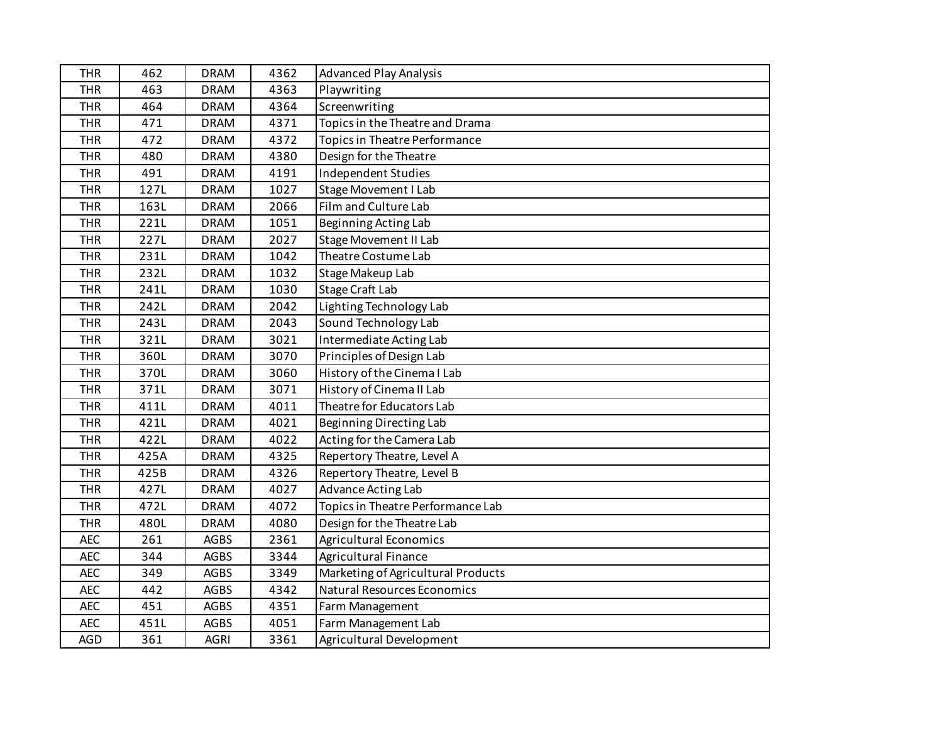| <b>THR</b> | 462  | <b>DRAM</b> | 4362 | <b>Advanced Play Analysis</b>      |
|------------|------|-------------|------|------------------------------------|
| <b>THR</b> | 463  | <b>DRAM</b> | 4363 | Playwriting                        |
| <b>THR</b> | 464  | <b>DRAM</b> | 4364 | Screenwriting                      |
| <b>THR</b> | 471  | <b>DRAM</b> | 4371 | Topics in the Theatre and Drama    |
| <b>THR</b> | 472  | <b>DRAM</b> | 4372 | Topics in Theatre Performance      |
| <b>THR</b> | 480  | <b>DRAM</b> | 4380 | Design for the Theatre             |
| <b>THR</b> | 491  | <b>DRAM</b> | 4191 | Independent Studies                |
| <b>THR</b> | 127L | <b>DRAM</b> | 1027 | <b>Stage Movement I Lab</b>        |
| <b>THR</b> | 163L | <b>DRAM</b> | 2066 | Film and Culture Lab               |
| <b>THR</b> | 221L | <b>DRAM</b> | 1051 | Beginning Acting Lab               |
| <b>THR</b> | 227L | <b>DRAM</b> | 2027 | Stage Movement II Lab              |
| <b>THR</b> | 231L | <b>DRAM</b> | 1042 | Theatre Costume Lab                |
| <b>THR</b> | 232L | <b>DRAM</b> | 1032 | Stage Makeup Lab                   |
| <b>THR</b> | 241L | <b>DRAM</b> | 1030 | <b>Stage Craft Lab</b>             |
| <b>THR</b> | 242L | <b>DRAM</b> | 2042 | Lighting Technology Lab            |
| <b>THR</b> | 243L | <b>DRAM</b> | 2043 | Sound Technology Lab               |
| <b>THR</b> | 321L | <b>DRAM</b> | 3021 | Intermediate Acting Lab            |
| <b>THR</b> | 360L | <b>DRAM</b> | 3070 | Principles of Design Lab           |
| <b>THR</b> | 370L | <b>DRAM</b> | 3060 | History of the Cinema I Lab        |
| <b>THR</b> | 371L | <b>DRAM</b> | 3071 | History of Cinema II Lab           |
| <b>THR</b> | 411L | <b>DRAM</b> | 4011 | Theatre for Educators Lab          |
| <b>THR</b> | 421L | <b>DRAM</b> | 4021 | Beginning Directing Lab            |
| <b>THR</b> | 422L | <b>DRAM</b> | 4022 | Acting for the Camera Lab          |
| <b>THR</b> | 425A | <b>DRAM</b> | 4325 | Repertory Theatre, Level A         |
| <b>THR</b> | 425B | <b>DRAM</b> | 4326 | Repertory Theatre, Level B         |
| <b>THR</b> | 427L | <b>DRAM</b> | 4027 | Advance Acting Lab                 |
| <b>THR</b> | 472L | <b>DRAM</b> | 4072 | Topics in Theatre Performance Lab  |
| <b>THR</b> | 480L | <b>DRAM</b> | 4080 | Design for the Theatre Lab         |
| <b>AEC</b> | 261  | <b>AGBS</b> | 2361 | <b>Agricultural Economics</b>      |
| <b>AEC</b> | 344  | <b>AGBS</b> | 3344 | Agricultural Finance               |
| <b>AEC</b> | 349  | <b>AGBS</b> | 3349 | Marketing of Agricultural Products |
| <b>AEC</b> | 442  | <b>AGBS</b> | 4342 | <b>Natural Resources Economics</b> |
| <b>AEC</b> | 451  | <b>AGBS</b> | 4351 | Farm Management                    |
| <b>AEC</b> | 451L | <b>AGBS</b> | 4051 | Farm Management Lab                |
| <b>AGD</b> | 361  | <b>AGRI</b> | 3361 | Agricultural Development           |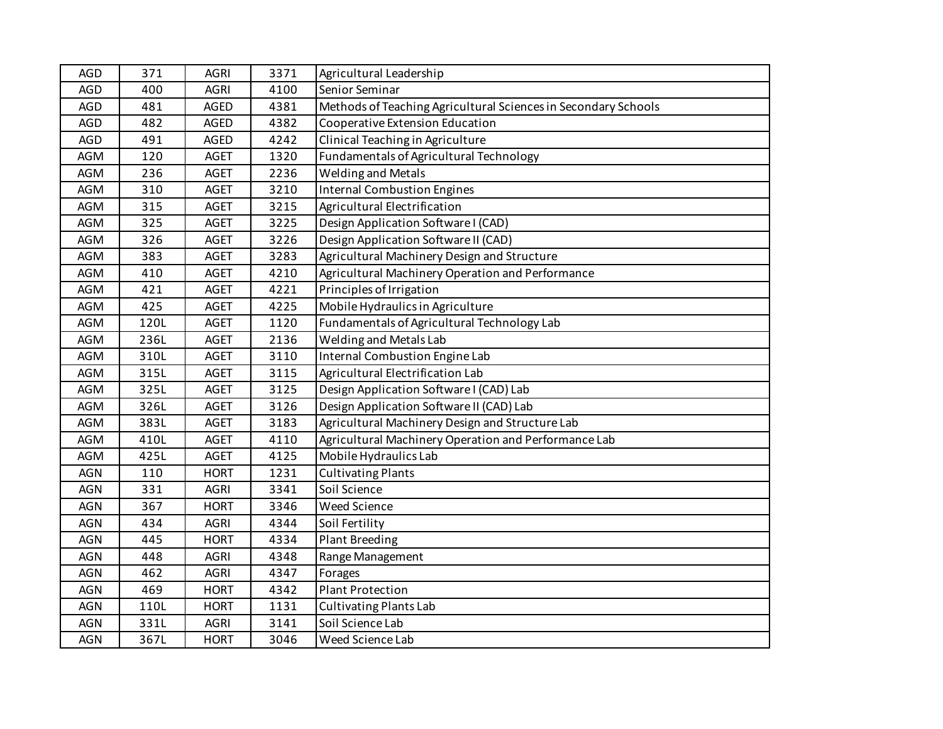| <b>AGD</b> | 371  | <b>AGRI</b> | 3371 | Agricultural Leadership                                        |
|------------|------|-------------|------|----------------------------------------------------------------|
| <b>AGD</b> | 400  | <b>AGRI</b> | 4100 | Senior Seminar                                                 |
| <b>AGD</b> | 481  | <b>AGED</b> | 4381 | Methods of Teaching Agricultural Sciences in Secondary Schools |
| <b>AGD</b> | 482  | <b>AGED</b> | 4382 | Cooperative Extension Education                                |
| <b>AGD</b> | 491  | <b>AGED</b> | 4242 | Clinical Teaching in Agriculture                               |
| <b>AGM</b> | 120  | <b>AGET</b> | 1320 | Fundamentals of Agricultural Technology                        |
| AGM        | 236  | <b>AGET</b> | 2236 | <b>Welding and Metals</b>                                      |
| <b>AGM</b> | 310  | <b>AGET</b> | 3210 | <b>Internal Combustion Engines</b>                             |
| <b>AGM</b> | 315  | <b>AGET</b> | 3215 | Agricultural Electrification                                   |
| <b>AGM</b> | 325  | <b>AGET</b> | 3225 | Design Application Software I (CAD)                            |
| AGM        | 326  | <b>AGET</b> | 3226 | Design Application Software II (CAD)                           |
| AGM        | 383  | <b>AGET</b> | 3283 | Agricultural Machinery Design and Structure                    |
| <b>AGM</b> | 410  | <b>AGET</b> | 4210 | Agricultural Machinery Operation and Performance               |
| <b>AGM</b> | 421  | <b>AGET</b> | 4221 | Principles of Irrigation                                       |
| <b>AGM</b> | 425  | <b>AGET</b> | 4225 | Mobile Hydraulics in Agriculture                               |
| <b>AGM</b> | 120L | <b>AGET</b> | 1120 | Fundamentals of Agricultural Technology Lab                    |
| <b>AGM</b> | 236L | <b>AGET</b> | 2136 | Welding and Metals Lab                                         |
| AGM        | 310L | <b>AGET</b> | 3110 | Internal Combustion Engine Lab                                 |
| AGM        | 315L | <b>AGET</b> | 3115 | Agricultural Electrification Lab                               |
| <b>AGM</b> | 325L | <b>AGET</b> | 3125 | Design Application Software I (CAD) Lab                        |
| AGM        | 326L | <b>AGET</b> | 3126 | Design Application Software II (CAD) Lab                       |
| AGM        | 383L | <b>AGET</b> | 3183 | Agricultural Machinery Design and Structure Lab                |
| <b>AGM</b> | 410L | <b>AGET</b> | 4110 | Agricultural Machinery Operation and Performance Lab           |
| <b>AGM</b> | 425L | <b>AGET</b> | 4125 | Mobile Hydraulics Lab                                          |
| <b>AGN</b> | 110  | <b>HORT</b> | 1231 | <b>Cultivating Plants</b>                                      |
| <b>AGN</b> | 331  | <b>AGRI</b> | 3341 | Soil Science                                                   |
| <b>AGN</b> | 367  | <b>HORT</b> | 3346 | <b>Weed Science</b>                                            |
| <b>AGN</b> | 434  | <b>AGRI</b> | 4344 | Soil Fertility                                                 |
| <b>AGN</b> | 445  | <b>HORT</b> | 4334 | Plant Breeding                                                 |
| <b>AGN</b> | 448  | <b>AGRI</b> | 4348 | Range Management                                               |
| <b>AGN</b> | 462  | <b>AGRI</b> | 4347 | Forages                                                        |
| <b>AGN</b> | 469  | <b>HORT</b> | 4342 | <b>Plant Protection</b>                                        |
| <b>AGN</b> | 110L | <b>HORT</b> | 1131 | <b>Cultivating Plants Lab</b>                                  |
| AGN        | 331L | <b>AGRI</b> | 3141 | Soil Science Lab                                               |
| <b>AGN</b> | 367L | <b>HORT</b> | 3046 | Weed Science Lab                                               |
|            |      |             |      |                                                                |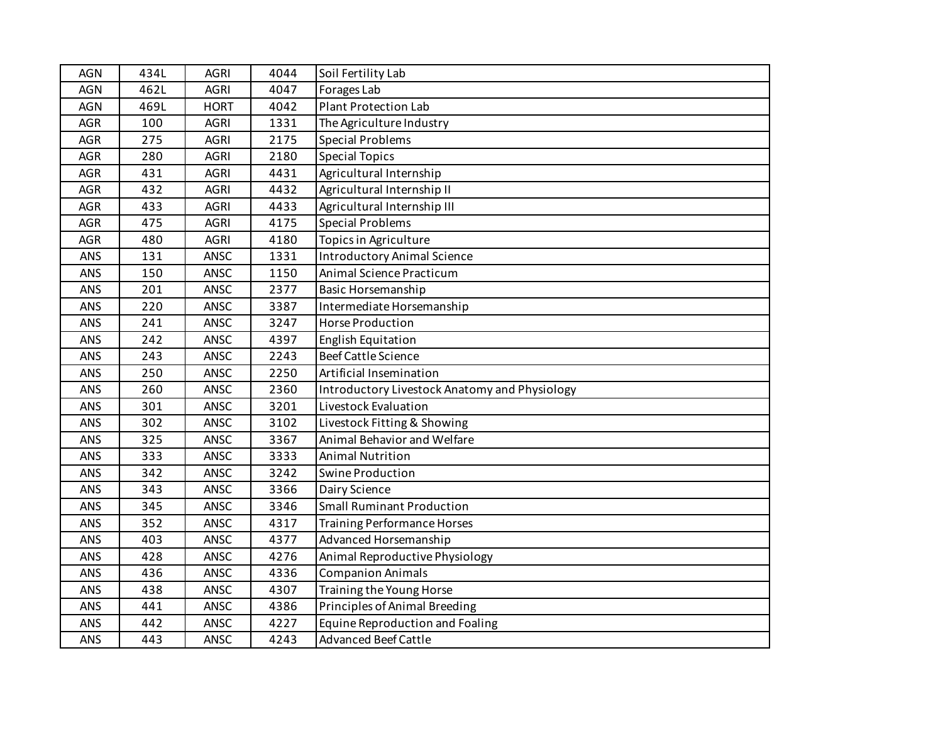| AGN        | 434L | <b>AGRI</b> | 4044 | Soil Fertility Lab                            |
|------------|------|-------------|------|-----------------------------------------------|
| <b>AGN</b> | 462L | <b>AGRI</b> | 4047 | Forages Lab                                   |
| <b>AGN</b> | 469L | <b>HORT</b> | 4042 | <b>Plant Protection Lab</b>                   |
| AGR        | 100  | <b>AGRI</b> | 1331 | The Agriculture Industry                      |
| AGR        | 275  | <b>AGRI</b> | 2175 | <b>Special Problems</b>                       |
| <b>AGR</b> | 280  | <b>AGRI</b> | 2180 | <b>Special Topics</b>                         |
| AGR        | 431  | <b>AGRI</b> | 4431 | Agricultural Internship                       |
| <b>AGR</b> | 432  | <b>AGRI</b> | 4432 | Agricultural Internship II                    |
| AGR        | 433  | <b>AGRI</b> | 4433 | Agricultural Internship III                   |
| <b>AGR</b> | 475  | <b>AGRI</b> | 4175 | <b>Special Problems</b>                       |
| AGR        | 480  | <b>AGRI</b> | 4180 | Topics in Agriculture                         |
| ANS        | 131  | ANSC        | 1331 | <b>Introductory Animal Science</b>            |
| ANS        | 150  | <b>ANSC</b> | 1150 | Animal Science Practicum                      |
| ANS        | 201  | ANSC        | 2377 | <b>Basic Horsemanship</b>                     |
| ANS        | 220  | <b>ANSC</b> | 3387 | Intermediate Horsemanship                     |
| ANS        | 241  | ANSC        | 3247 | <b>Horse Production</b>                       |
| ANS        | 242  | ANSC        | 4397 | English Equitation                            |
| ANS        | 243  | <b>ANSC</b> | 2243 | <b>Beef Cattle Science</b>                    |
| ANS        | 250  | <b>ANSC</b> | 2250 | Artificial Insemination                       |
| <b>ANS</b> | 260  | ANSC        | 2360 | Introductory Livestock Anatomy and Physiology |
| ANS        | 301  | ANSC        | 3201 | Livestock Evaluation                          |
| ANS        | 302  | ANSC        | 3102 | Livestock Fitting & Showing                   |
| ANS        | 325  | <b>ANSC</b> | 3367 | Animal Behavior and Welfare                   |
| <b>ANS</b> | 333  | ANSC        | 3333 | <b>Animal Nutrition</b>                       |
| ANS        | 342  | ANSC        | 3242 | Swine Production                              |
| ANS        | 343  | <b>ANSC</b> | 3366 | Dairy Science                                 |
| ANS        | 345  | ANSC        | 3346 | <b>Small Ruminant Production</b>              |
| ANS        | 352  | <b>ANSC</b> | 4317 | <b>Training Performance Horses</b>            |
| ANS        | 403  | ANSC        | 4377 | Advanced Horsemanship                         |
| ANS        | 428  | ANSC        | 4276 | Animal Reproductive Physiology                |
| <b>ANS</b> | 436  | ANSC        | 4336 | <b>Companion Animals</b>                      |
| <b>ANS</b> | 438  | <b>ANSC</b> | 4307 | Training the Young Horse                      |
| <b>ANS</b> | 441  | <b>ANSC</b> | 4386 | Principles of Animal Breeding                 |
| ANS        | 442  | <b>ANSC</b> | 4227 | Equine Reproduction and Foaling               |
| ANS        | 443  | <b>ANSC</b> | 4243 | <b>Advanced Beef Cattle</b>                   |
|            |      |             |      |                                               |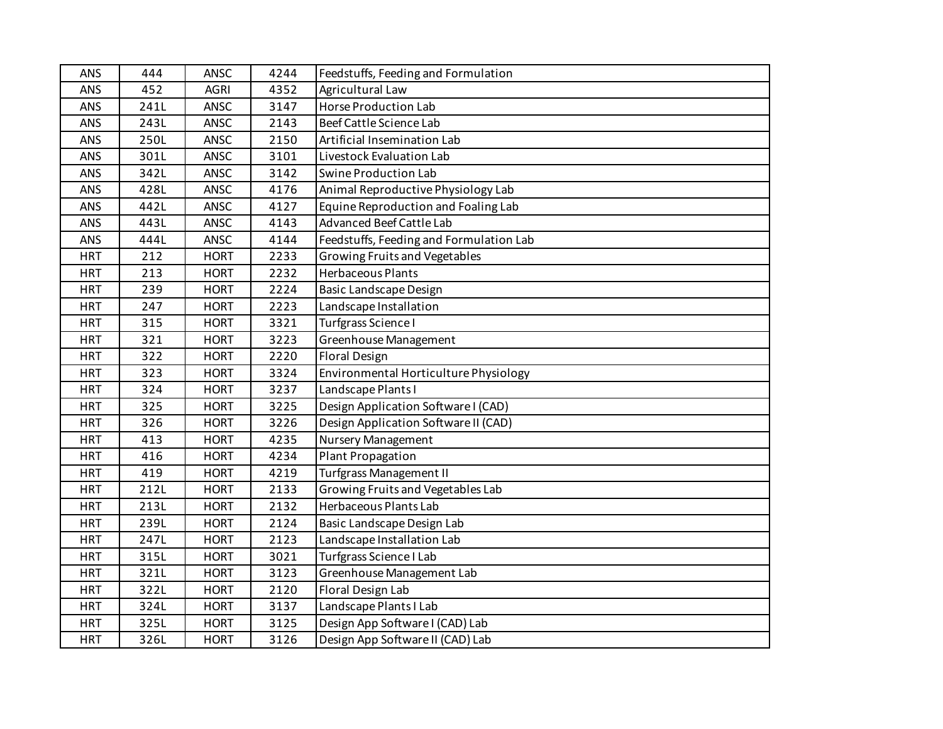| ANS        | 444  | ANSC        | 4244 | Feedstuffs, Feeding and Formulation     |
|------------|------|-------------|------|-----------------------------------------|
| ANS        | 452  | <b>AGRI</b> | 4352 | Agricultural Law                        |
| ANS        | 241L | ANSC        | 3147 | <b>Horse Production Lab</b>             |
| ANS        | 243L | <b>ANSC</b> | 2143 | Beef Cattle Science Lab                 |
| <b>ANS</b> | 250L | ANSC        | 2150 | Artificial Insemination Lab             |
| ANS        | 301L | ANSC        | 3101 | Livestock Evaluation Lab                |
| ANS        | 342L | ANSC        | 3142 | Swine Production Lab                    |
| ANS        | 428L | <b>ANSC</b> | 4176 | Animal Reproductive Physiology Lab      |
| ANS        | 442L | <b>ANSC</b> | 4127 | Equine Reproduction and Foaling Lab     |
| ANS        | 443L | <b>ANSC</b> | 4143 | <b>Advanced Beef Cattle Lab</b>         |
| ANS        | 444L | <b>ANSC</b> | 4144 | Feedstuffs, Feeding and Formulation Lab |
| <b>HRT</b> | 212  | <b>HORT</b> | 2233 | Growing Fruits and Vegetables           |
| <b>HRT</b> | 213  | <b>HORT</b> | 2232 | Herbaceous Plants                       |
| <b>HRT</b> | 239  | <b>HORT</b> | 2224 | <b>Basic Landscape Design</b>           |
| <b>HRT</b> | 247  | <b>HORT</b> | 2223 | Landscape Installation                  |
| <b>HRT</b> | 315  | <b>HORT</b> | 3321 | Turfgrass Science I                     |
| <b>HRT</b> | 321  | <b>HORT</b> | 3223 | Greenhouse Management                   |
| <b>HRT</b> | 322  | <b>HORT</b> | 2220 | <b>Floral Design</b>                    |
| <b>HRT</b> | 323  | <b>HORT</b> | 3324 | Environmental Horticulture Physiology   |
| <b>HRT</b> | 324  | <b>HORT</b> | 3237 | Landscape Plants I                      |
| <b>HRT</b> | 325  | <b>HORT</b> | 3225 | Design Application Software I (CAD)     |
| <b>HRT</b> | 326  | <b>HORT</b> | 3226 | Design Application Software II (CAD)    |
| <b>HRT</b> | 413  | <b>HORT</b> | 4235 | Nursery Management                      |
| <b>HRT</b> | 416  | <b>HORT</b> | 4234 | <b>Plant Propagation</b>                |
| <b>HRT</b> | 419  | <b>HORT</b> | 4219 | Turfgrass Management II                 |
| <b>HRT</b> | 212L | <b>HORT</b> | 2133 | Growing Fruits and Vegetables Lab       |
| <b>HRT</b> | 213L | <b>HORT</b> | 2132 | Herbaceous Plants Lab                   |
| <b>HRT</b> | 239L | <b>HORT</b> | 2124 | Basic Landscape Design Lab              |
| <b>HRT</b> | 247L | <b>HORT</b> | 2123 | Landscape Installation Lab              |
| <b>HRT</b> | 315L | <b>HORT</b> | 3021 | Turfgrass Science I Lab                 |
| <b>HRT</b> | 321L | <b>HORT</b> | 3123 | Greenhouse Management Lab               |
| <b>HRT</b> | 322L | <b>HORT</b> | 2120 | Floral Design Lab                       |
| <b>HRT</b> | 324L | <b>HORT</b> | 3137 | Landscape Plants I Lab                  |
| <b>HRT</b> | 325L | <b>HORT</b> | 3125 | Design App Software I (CAD) Lab         |
| <b>HRT</b> | 326L | <b>HORT</b> | 3126 | Design App Software II (CAD) Lab        |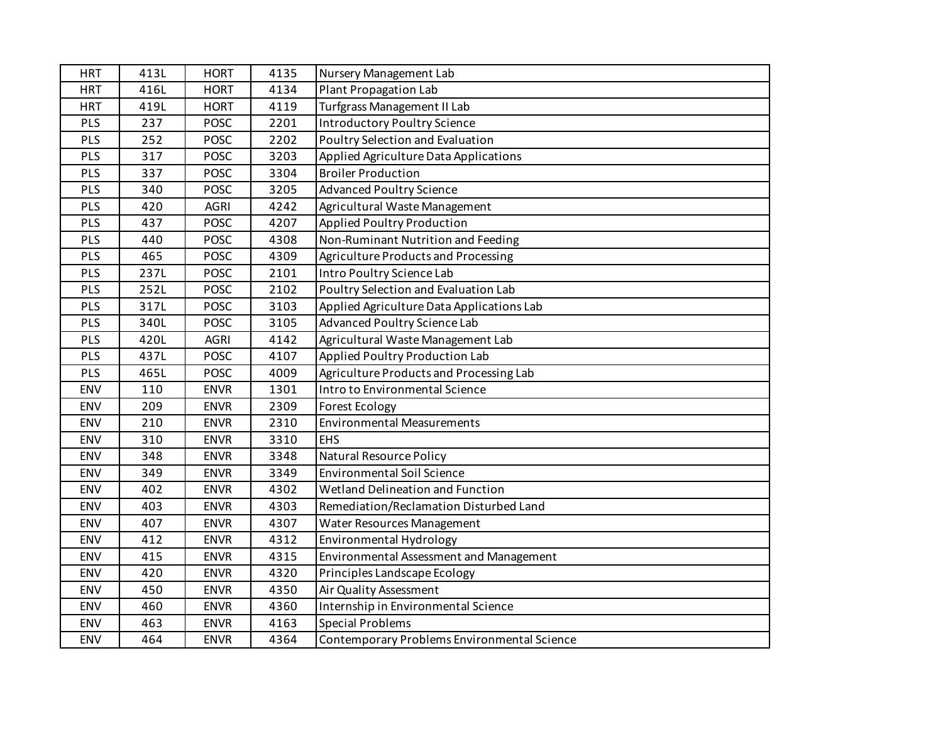|      |              |             | Nursery Management Lab                      |
|------|--------------|-------------|---------------------------------------------|
|      | <b>HORT</b>  |             | <b>Plant Propagation Lab</b>                |
| 419L | <b>HORT</b>  | 4119        | <b>Turfgrass Management II Lab</b>          |
| 237  | <b>POSC</b>  |             | <b>Introductory Poultry Science</b>         |
| 252  | <b>POSC</b>  | 2202        | Poultry Selection and Evaluation            |
| 317  | <b>POSC</b>  | 3203        | Applied Agriculture Data Applications       |
| 337  | <b>POSC</b>  | 3304        | <b>Broiler Production</b>                   |
| 340  | <b>POSC</b>  | 3205        | <b>Advanced Poultry Science</b>             |
| 420  | <b>AGRI</b>  | 4242        | Agricultural Waste Management               |
| 437  | <b>POSC</b>  | 4207        | Applied Poultry Production                  |
| 440  | <b>POSC</b>  | 4308        | Non-Ruminant Nutrition and Feeding          |
| 465  | <b>POSC</b>  | 4309        | Agriculture Products and Processing         |
| 237L | <b>POSC</b>  | 2101        | Intro Poultry Science Lab                   |
| 252L | <b>POSC</b>  | 2102        | Poultry Selection and Evaluation Lab        |
| 317L | <b>POSC</b>  | 3103        | Applied Agriculture Data Applications Lab   |
| 340L | <b>POSC</b>  | 3105        | Advanced Poultry Science Lab                |
| 420L | AGRI         | 4142        | Agricultural Waste Management Lab           |
| 437L | <b>POSC</b>  | 4107        | Applied Poultry Production Lab              |
| 465L | <b>POSC</b>  | 4009        | Agriculture Products and Processing Lab     |
| 110  | <b>ENVR</b>  | 1301        | Intro to Environmental Science              |
| 209  | <b>ENVR</b>  | 2309        | <b>Forest Ecology</b>                       |
| 210  | <b>ENVR</b>  | 2310        | <b>Environmental Measurements</b>           |
| 310  | <b>ENVR</b>  | 3310        | <b>EHS</b>                                  |
| 348  | <b>ENVR</b>  | 3348        | <b>Natural Resource Policy</b>              |
| 349  | <b>ENVR</b>  | 3349        | <b>Environmental Soil Science</b>           |
| 402  | <b>ENVR</b>  | 4302        | Wetland Delineation and Function            |
| 403  | <b>ENVR</b>  | 4303        | Remediation/Reclamation Disturbed Land      |
| 407  | <b>ENVR</b>  | 4307        | Water Resources Management                  |
| 412  | <b>ENVR</b>  | 4312        | Environmental Hydrology                     |
| 415  | <b>ENVR</b>  | 4315        | Environmental Assessment and Management     |
| 420  | <b>ENVR</b>  | 4320        | Principles Landscape Ecology                |
| 450  | <b>ENVR</b>  | 4350        | Air Quality Assessment                      |
| 460  | <b>ENVR</b>  | 4360        | Internship in Environmental Science         |
| 463  | <b>ENVR</b>  | 4163        | <b>Special Problems</b>                     |
| 464  | <b>ENVR</b>  | 4364        | Contemporary Problems Environmental Science |
|      | 413L<br>416L | <b>HORT</b> | 4135<br>4134<br>2201                        |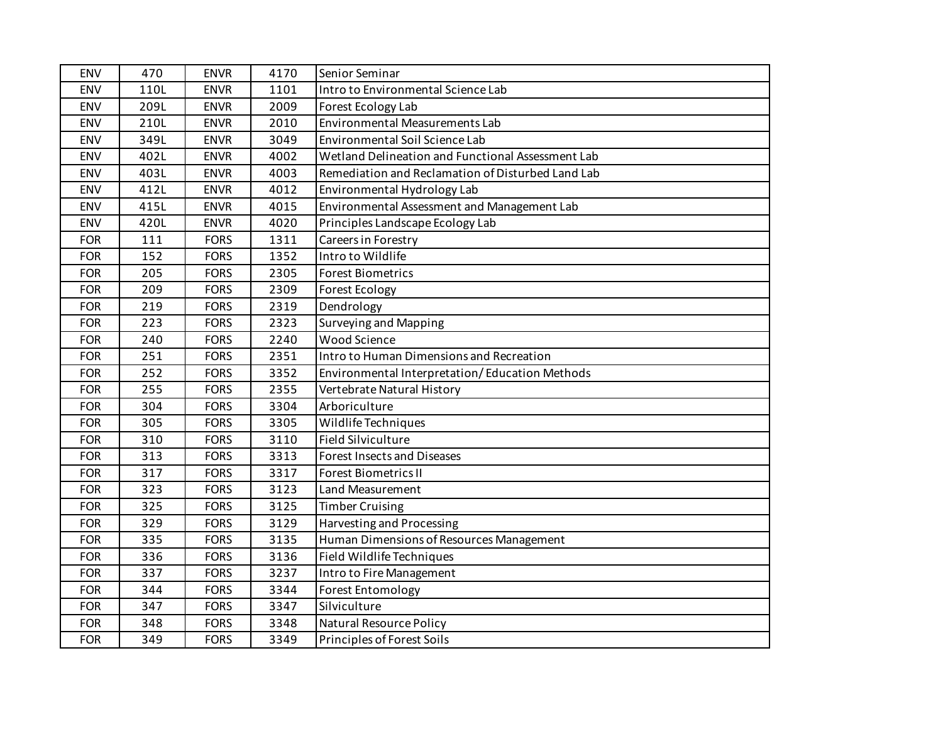| <b>ENV</b> | 470  | <b>ENVR</b> | 4170 | Senior Seminar                                    |
|------------|------|-------------|------|---------------------------------------------------|
| <b>ENV</b> | 110L | <b>ENVR</b> | 1101 | Intro to Environmental Science Lab                |
| <b>ENV</b> | 209L | <b>ENVR</b> | 2009 | Forest Ecology Lab                                |
| ENV        | 210L | <b>ENVR</b> | 2010 | Environmental Measurements Lab                    |
| ENV        | 349L | <b>ENVR</b> | 3049 | Environmental Soil Science Lab                    |
| ENV        | 402L | <b>ENVR</b> | 4002 | Wetland Delineation and Functional Assessment Lab |
| ENV        | 403L | <b>ENVR</b> | 4003 | Remediation and Reclamation of Disturbed Land Lab |
| ENV        | 412L | <b>ENVR</b> | 4012 | Environmental Hydrology Lab                       |
| <b>ENV</b> | 415L | <b>ENVR</b> | 4015 | Environmental Assessment and Management Lab       |
| <b>ENV</b> | 420L | <b>ENVR</b> | 4020 | Principles Landscape Ecology Lab                  |
| <b>FOR</b> | 111  | <b>FORS</b> | 1311 | Careers in Forestry                               |
| <b>FOR</b> | 152  | <b>FORS</b> | 1352 | Intro to Wildlife                                 |
| <b>FOR</b> | 205  | <b>FORS</b> | 2305 | <b>Forest Biometrics</b>                          |
| <b>FOR</b> | 209  | <b>FORS</b> | 2309 | Forest Ecology                                    |
| <b>FOR</b> | 219  | <b>FORS</b> | 2319 | Dendrology                                        |
| <b>FOR</b> | 223  | <b>FORS</b> | 2323 | Surveying and Mapping                             |
| <b>FOR</b> | 240  | <b>FORS</b> | 2240 | <b>Wood Science</b>                               |
| <b>FOR</b> | 251  | <b>FORS</b> | 2351 | Intro to Human Dimensions and Recreation          |
| <b>FOR</b> | 252  | <b>FORS</b> | 3352 | Environmental Interpretation/Education Methods    |
| <b>FOR</b> | 255  | <b>FORS</b> | 2355 | Vertebrate Natural History                        |
| <b>FOR</b> | 304  | <b>FORS</b> | 3304 | Arboriculture                                     |
| <b>FOR</b> | 305  | <b>FORS</b> | 3305 | Wildlife Techniques                               |
| <b>FOR</b> | 310  | <b>FORS</b> | 3110 | <b>Field Silviculture</b>                         |
| <b>FOR</b> | 313  | <b>FORS</b> | 3313 | Forest Insects and Diseases                       |
| <b>FOR</b> | 317  | <b>FORS</b> | 3317 | <b>Forest Biometrics II</b>                       |
| <b>FOR</b> | 323  | <b>FORS</b> | 3123 | Land Measurement                                  |
| <b>FOR</b> | 325  | <b>FORS</b> | 3125 | <b>Timber Cruising</b>                            |
| <b>FOR</b> | 329  | <b>FORS</b> | 3129 | Harvesting and Processing                         |
| <b>FOR</b> | 335  | <b>FORS</b> | 3135 | Human Dimensions of Resources Management          |
| <b>FOR</b> | 336  | <b>FORS</b> | 3136 | Field Wildlife Techniques                         |
| <b>FOR</b> | 337  | <b>FORS</b> | 3237 | Intro to Fire Management                          |
| <b>FOR</b> | 344  | <b>FORS</b> | 3344 | <b>Forest Entomology</b>                          |
| <b>FOR</b> | 347  | <b>FORS</b> | 3347 | Silviculture                                      |
| <b>FOR</b> | 348  | <b>FORS</b> | 3348 | Natural Resource Policy                           |
| <b>FOR</b> | 349  | <b>FORS</b> | 3349 | Principles of Forest Soils                        |
|            |      |             |      |                                                   |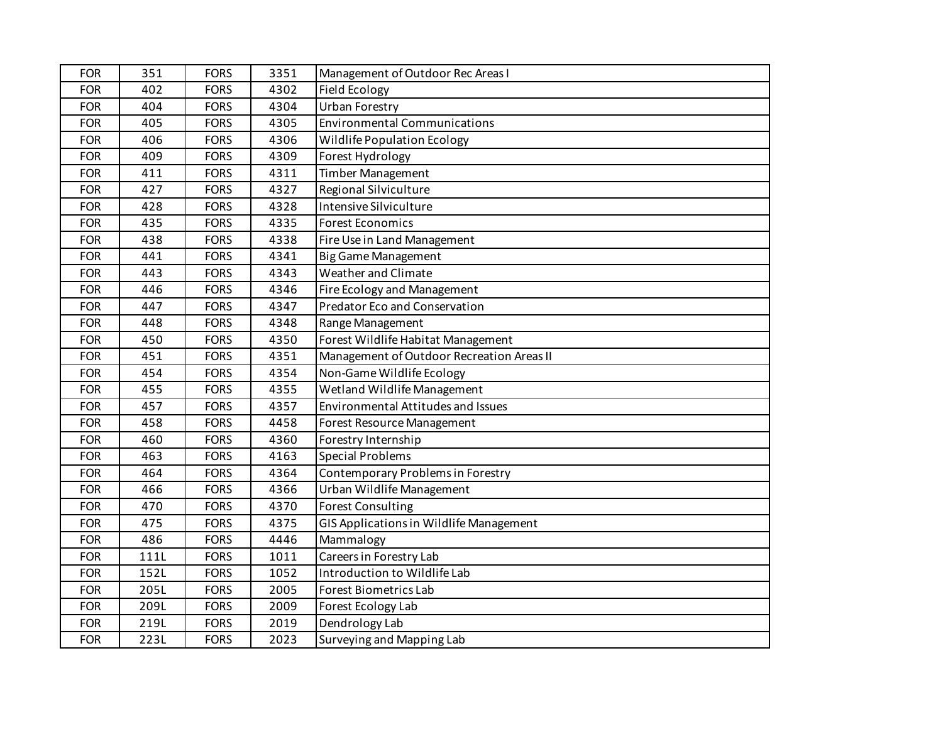| <b>FOR</b> | 351  | <b>FORS</b> | 3351 | Management of Outdoor Rec Areas I         |
|------------|------|-------------|------|-------------------------------------------|
| <b>FOR</b> | 402  | <b>FORS</b> | 4302 | <b>Field Ecology</b>                      |
| <b>FOR</b> | 404  | <b>FORS</b> | 4304 | <b>Urban Forestry</b>                     |
| <b>FOR</b> | 405  | <b>FORS</b> | 4305 | <b>Environmental Communications</b>       |
| <b>FOR</b> | 406  | <b>FORS</b> | 4306 | <b>Wildlife Population Ecology</b>        |
| <b>FOR</b> | 409  | <b>FORS</b> | 4309 | Forest Hydrology                          |
| <b>FOR</b> | 411  | <b>FORS</b> | 4311 | <b>Timber Management</b>                  |
| <b>FOR</b> | 427  | <b>FORS</b> | 4327 | Regional Silviculture                     |
| <b>FOR</b> | 428  | <b>FORS</b> | 4328 | Intensive Silviculture                    |
| <b>FOR</b> | 435  | <b>FORS</b> | 4335 | <b>Forest Economics</b>                   |
| <b>FOR</b> | 438  | <b>FORS</b> | 4338 | Fire Use in Land Management               |
| <b>FOR</b> | 441  | <b>FORS</b> | 4341 | <b>Big Game Management</b>                |
| <b>FOR</b> | 443  | <b>FORS</b> | 4343 | Weather and Climate                       |
| <b>FOR</b> | 446  | <b>FORS</b> | 4346 | Fire Ecology and Management               |
| <b>FOR</b> | 447  | <b>FORS</b> | 4347 | Predator Eco and Conservation             |
| <b>FOR</b> | 448  | <b>FORS</b> | 4348 | Range Management                          |
| <b>FOR</b> | 450  | <b>FORS</b> | 4350 | Forest Wildlife Habitat Management        |
| <b>FOR</b> | 451  | <b>FORS</b> | 4351 | Management of Outdoor Recreation Areas II |
| <b>FOR</b> | 454  | <b>FORS</b> | 4354 | Non-Game Wildlife Ecology                 |
| <b>FOR</b> | 455  | <b>FORS</b> | 4355 | Wetland Wildlife Management               |
| <b>FOR</b> | 457  | <b>FORS</b> | 4357 | Environmental Attitudes and Issues        |
| <b>FOR</b> | 458  | <b>FORS</b> | 4458 | Forest Resource Management                |
| <b>FOR</b> | 460  | <b>FORS</b> | 4360 | Forestry Internship                       |
| <b>FOR</b> | 463  | <b>FORS</b> | 4163 | <b>Special Problems</b>                   |
| <b>FOR</b> | 464  | <b>FORS</b> | 4364 | Contemporary Problems in Forestry         |
| <b>FOR</b> | 466  | <b>FORS</b> | 4366 | Urban Wildlife Management                 |
| <b>FOR</b> | 470  | <b>FORS</b> | 4370 | <b>Forest Consulting</b>                  |
| <b>FOR</b> | 475  | <b>FORS</b> | 4375 | GIS Applications in Wildlife Management   |
| <b>FOR</b> | 486  | <b>FORS</b> | 4446 | Mammalogy                                 |
| <b>FOR</b> | 111L | <b>FORS</b> | 1011 | Careers in Forestry Lab                   |
| <b>FOR</b> | 152L | <b>FORS</b> | 1052 | Introduction to Wildlife Lab              |
| <b>FOR</b> | 205L | <b>FORS</b> | 2005 | <b>Forest Biometrics Lab</b>              |
| <b>FOR</b> | 209L | <b>FORS</b> | 2009 | Forest Ecology Lab                        |
| <b>FOR</b> | 219L | <b>FORS</b> | 2019 | Dendrology Lab                            |
| <b>FOR</b> | 223L | <b>FORS</b> | 2023 | Surveying and Mapping Lab                 |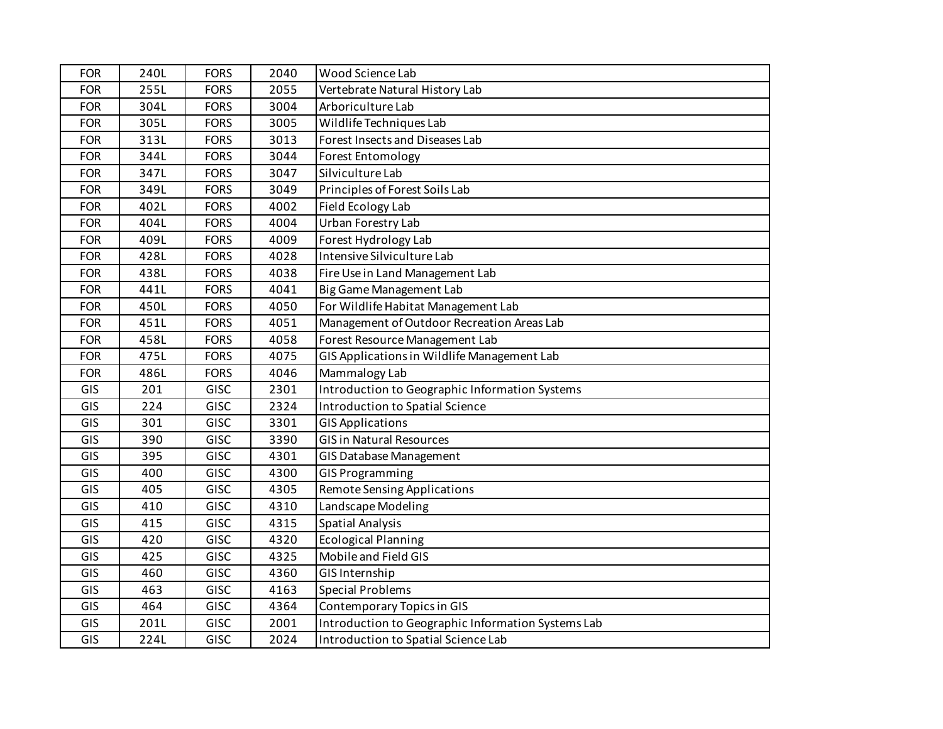| <b>FOR</b> | 240L | <b>FORS</b> | 2040 | Wood Science Lab                                   |
|------------|------|-------------|------|----------------------------------------------------|
| <b>FOR</b> | 255L | <b>FORS</b> | 2055 | Vertebrate Natural History Lab                     |
| <b>FOR</b> | 304L | <b>FORS</b> | 3004 | Arboriculture Lab                                  |
| <b>FOR</b> | 305L | <b>FORS</b> | 3005 | Wildlife Techniques Lab                            |
| <b>FOR</b> | 313L | <b>FORS</b> | 3013 | Forest Insects and Diseases Lab                    |
| <b>FOR</b> | 344L | <b>FORS</b> | 3044 | <b>Forest Entomology</b>                           |
| <b>FOR</b> | 347L | <b>FORS</b> | 3047 | Silviculture Lab                                   |
| <b>FOR</b> | 349L | <b>FORS</b> | 3049 | Principles of Forest Soils Lab                     |
| <b>FOR</b> | 402L | <b>FORS</b> | 4002 | Field Ecology Lab                                  |
| <b>FOR</b> | 404L | <b>FORS</b> | 4004 | Urban Forestry Lab                                 |
| <b>FOR</b> | 409L | <b>FORS</b> | 4009 | Forest Hydrology Lab                               |
| <b>FOR</b> | 428L | <b>FORS</b> | 4028 | Intensive Silviculture Lab                         |
| <b>FOR</b> | 438L | <b>FORS</b> | 4038 | Fire Use in Land Management Lab                    |
| <b>FOR</b> | 441L | <b>FORS</b> | 4041 | Big Game Management Lab                            |
| <b>FOR</b> | 450L | <b>FORS</b> | 4050 | For Wildlife Habitat Management Lab                |
| <b>FOR</b> | 451L | <b>FORS</b> | 4051 | Management of Outdoor Recreation Areas Lab         |
| <b>FOR</b> | 458L | <b>FORS</b> | 4058 | Forest Resource Management Lab                     |
| <b>FOR</b> | 475L | <b>FORS</b> | 4075 | GIS Applications in Wildlife Management Lab        |
| <b>FOR</b> | 486L | <b>FORS</b> | 4046 | Mammalogy Lab                                      |
| GIS        | 201  | <b>GISC</b> | 2301 | Introduction to Geographic Information Systems     |
| GIS        | 224  | <b>GISC</b> | 2324 | Introduction to Spatial Science                    |
| GIS        | 301  | <b>GISC</b> | 3301 | <b>GIS Applications</b>                            |
| GIS        | 390  | <b>GISC</b> | 3390 | <b>GIS in Natural Resources</b>                    |
| GIS        | 395  | <b>GISC</b> | 4301 | GIS Database Management                            |
| GIS        | 400  | <b>GISC</b> | 4300 | <b>GIS Programming</b>                             |
| GIS        | 405  | <b>GISC</b> | 4305 | <b>Remote Sensing Applications</b>                 |
| GIS        | 410  | <b>GISC</b> | 4310 | Landscape Modeling                                 |
| GIS        | 415  | <b>GISC</b> | 4315 | <b>Spatial Analysis</b>                            |
| GIS        | 420  | <b>GISC</b> | 4320 | <b>Ecological Planning</b>                         |
| GIS        | 425  | <b>GISC</b> | 4325 | Mobile and Field GIS                               |
| GIS        | 460  | <b>GISC</b> | 4360 | GIS Internship                                     |
| GIS        | 463  | <b>GISC</b> | 4163 | <b>Special Problems</b>                            |
| GIS        | 464  | <b>GISC</b> | 4364 | Contemporary Topics in GIS                         |
| GIS        | 201L | <b>GISC</b> | 2001 | Introduction to Geographic Information Systems Lab |
| GIS        | 224L | <b>GISC</b> | 2024 | Introduction to Spatial Science Lab                |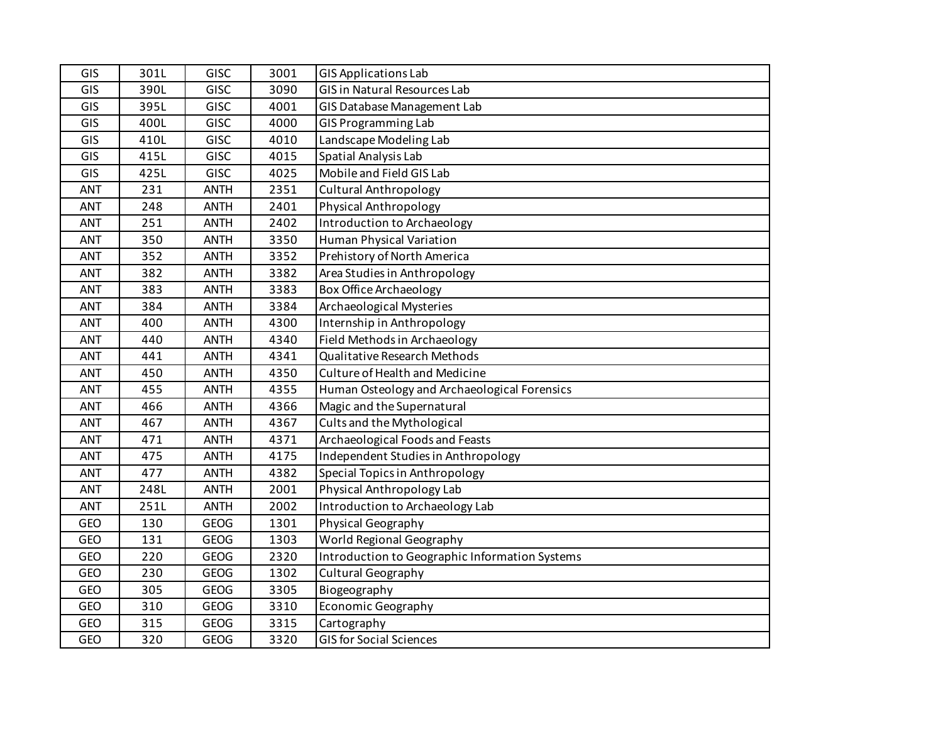| GIS        | 301L | <b>GISC</b> | 3001 | <b>GIS Applications Lab</b>                    |
|------------|------|-------------|------|------------------------------------------------|
| GIS        | 390L | <b>GISC</b> | 3090 | <b>GIS in Natural Resources Lab</b>            |
| GIS        | 395L | <b>GISC</b> | 4001 | GIS Database Management Lab                    |
| GIS        | 400L | <b>GISC</b> | 4000 | <b>GIS Programming Lab</b>                     |
| GIS        | 410L | <b>GISC</b> | 4010 | Landscape Modeling Lab                         |
| GIS        | 415L | <b>GISC</b> | 4015 | Spatial Analysis Lab                           |
| GIS        | 425L | <b>GISC</b> | 4025 | Mobile and Field GIS Lab                       |
| ANT        | 231  | <b>ANTH</b> | 2351 | <b>Cultural Anthropology</b>                   |
| ANT        | 248  | <b>ANTH</b> | 2401 | Physical Anthropology                          |
| ANT        | 251  | <b>ANTH</b> | 2402 | Introduction to Archaeology                    |
| ANT        | 350  | <b>ANTH</b> | 3350 | <b>Human Physical Variation</b>                |
| ANT        | 352  | <b>ANTH</b> | 3352 | Prehistory of North America                    |
| <b>ANT</b> | 382  | <b>ANTH</b> | 3382 | Area Studies in Anthropology                   |
| ANT        | 383  | <b>ANTH</b> | 3383 | <b>Box Office Archaeology</b>                  |
| ANT        | 384  | <b>ANTH</b> | 3384 | Archaeological Mysteries                       |
| ANT        | 400  | <b>ANTH</b> | 4300 | Internship in Anthropology                     |
| ANT        | 440  | <b>ANTH</b> | 4340 | Field Methods in Archaeology                   |
| ANT        | 441  | <b>ANTH</b> | 4341 | Qualitative Research Methods                   |
| ANT        | 450  | <b>ANTH</b> | 4350 | Culture of Health and Medicine                 |
| <b>ANT</b> | 455  | <b>ANTH</b> | 4355 | Human Osteology and Archaeological Forensics   |
| ANT        | 466  | <b>ANTH</b> | 4366 | Magic and the Supernatural                     |
| ANT        | 467  | <b>ANTH</b> | 4367 | Cults and the Mythological                     |
| ANT        | 471  | <b>ANTH</b> | 4371 | Archaeological Foods and Feasts                |
| ANT        | 475  | <b>ANTH</b> | 4175 | Independent Studies in Anthropology            |
| ANT        | 477  | <b>ANTH</b> | 4382 | Special Topics in Anthropology                 |
| ANT        | 248L | <b>ANTH</b> | 2001 | Physical Anthropology Lab                      |
| <b>ANT</b> | 251L | <b>ANTH</b> | 2002 | Introduction to Archaeology Lab                |
| <b>GEO</b> | 130  | <b>GEOG</b> | 1301 | Physical Geography                             |
| GEO        | 131  | <b>GEOG</b> | 1303 | World Regional Geography                       |
| GEO        | 220  | <b>GEOG</b> | 2320 | Introduction to Geographic Information Systems |
| <b>GEO</b> | 230  | <b>GEOG</b> | 1302 | Cultural Geography                             |
| GEO        | 305  | <b>GEOG</b> | 3305 | Biogeography                                   |
| <b>GEO</b> | 310  | <b>GEOG</b> | 3310 | Economic Geography                             |
| <b>GEO</b> | 315  | <b>GEOG</b> | 3315 | Cartography                                    |
| GEO        | 320  | <b>GEOG</b> | 3320 | <b>GIS for Social Sciences</b>                 |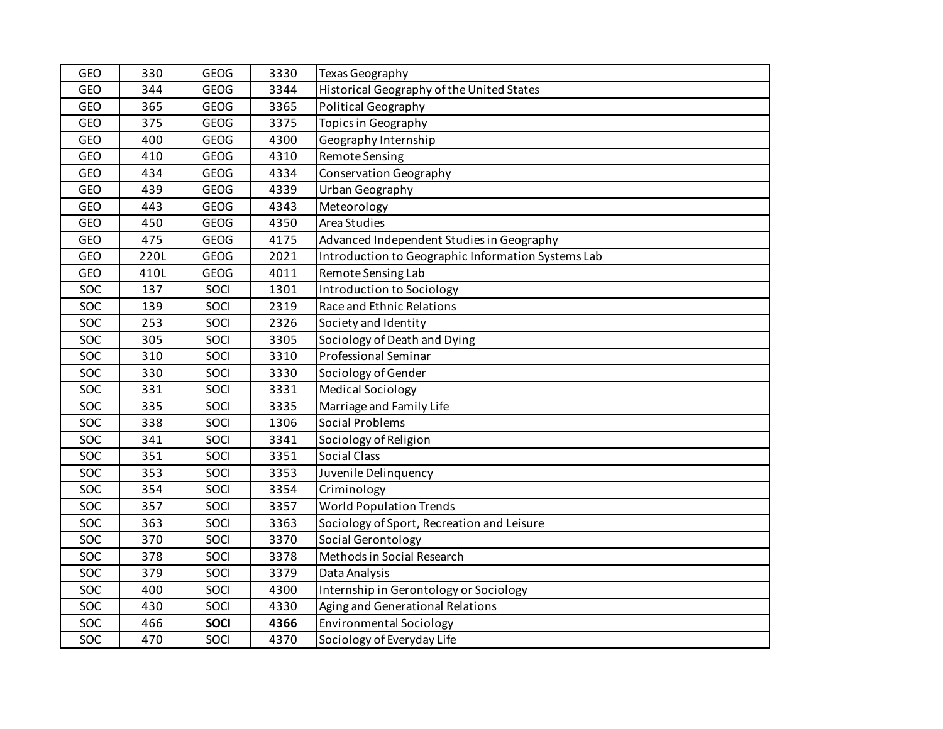| GEO        | 330  | <b>GEOG</b> | 3330 | Texas Geography                                    |
|------------|------|-------------|------|----------------------------------------------------|
| <b>GEO</b> | 344  | <b>GEOG</b> | 3344 | Historical Geography of the United States          |
| GEO        | 365  | <b>GEOG</b> | 3365 | <b>Political Geography</b>                         |
| GEO        | 375  | <b>GEOG</b> | 3375 | Topics in Geography                                |
| GEO        | 400  | <b>GEOG</b> | 4300 | Geography Internship                               |
| GEO        | 410  | <b>GEOG</b> | 4310 | Remote Sensing                                     |
| GEO        | 434  | <b>GEOG</b> | 4334 | <b>Conservation Geography</b>                      |
| GEO        | 439  | <b>GEOG</b> | 4339 | Urban Geography                                    |
| GEO        | 443  | <b>GEOG</b> | 4343 | Meteorology                                        |
| GEO        | 450  | <b>GEOG</b> | 4350 | Area Studies                                       |
| GEO        | 475  | <b>GEOG</b> | 4175 | Advanced Independent Studies in Geography          |
| GEO        | 220L | <b>GEOG</b> | 2021 | Introduction to Geographic Information Systems Lab |
| <b>GEO</b> | 410L | <b>GEOG</b> | 4011 | Remote Sensing Lab                                 |
| SOC        | 137  | SOCI        | 1301 | Introduction to Sociology                          |
| SOC        | 139  | SOCI        | 2319 | Race and Ethnic Relations                          |
| SOC        | 253  | SOCI        | 2326 | Society and Identity                               |
| SOC        | 305  | SOCI        | 3305 | Sociology of Death and Dying                       |
| SOC        | 310  | SOCI        | 3310 | Professional Seminar                               |
| SOC        | 330  | SOCI        | 3330 | Sociology of Gender                                |
| SOC        | 331  | SOCI        | 3331 | <b>Medical Sociology</b>                           |
| SOC        | 335  | SOCI        | 3335 | Marriage and Family Life                           |
| SOC        | 338  | SOCI        | 1306 | Social Problems                                    |
| SOC        | 341  | SOCI        | 3341 | Sociology of Religion                              |
| SOC        | 351  | SOCI        | 3351 | <b>Social Class</b>                                |
| SOC        | 353  | SOCI        | 3353 | Juvenile Delinquency                               |
| SOC        | 354  | SOCI        | 3354 | Criminology                                        |
| SOC        | 357  | SOCI        | 3357 | <b>World Population Trends</b>                     |
| SOC        | 363  | SOCI        | 3363 | Sociology of Sport, Recreation and Leisure         |
| SOC        | 370  | SOCI        | 3370 | Social Gerontology                                 |
| SOC        | 378  | SOCI        | 3378 | Methods in Social Research                         |
| SOC        | 379  | SOCI        | 3379 | Data Analysis                                      |
| SOC        | 400  | SOCI        | 4300 | Internship in Gerontology or Sociology             |
| SOC        | 430  | SOCI        | 4330 | Aging and Generational Relations                   |
| SOC        | 466  | <b>SOCI</b> | 4366 | <b>Environmental Sociology</b>                     |
| SOC        | 470  | SOCI        | 4370 | Sociology of Everyday Life                         |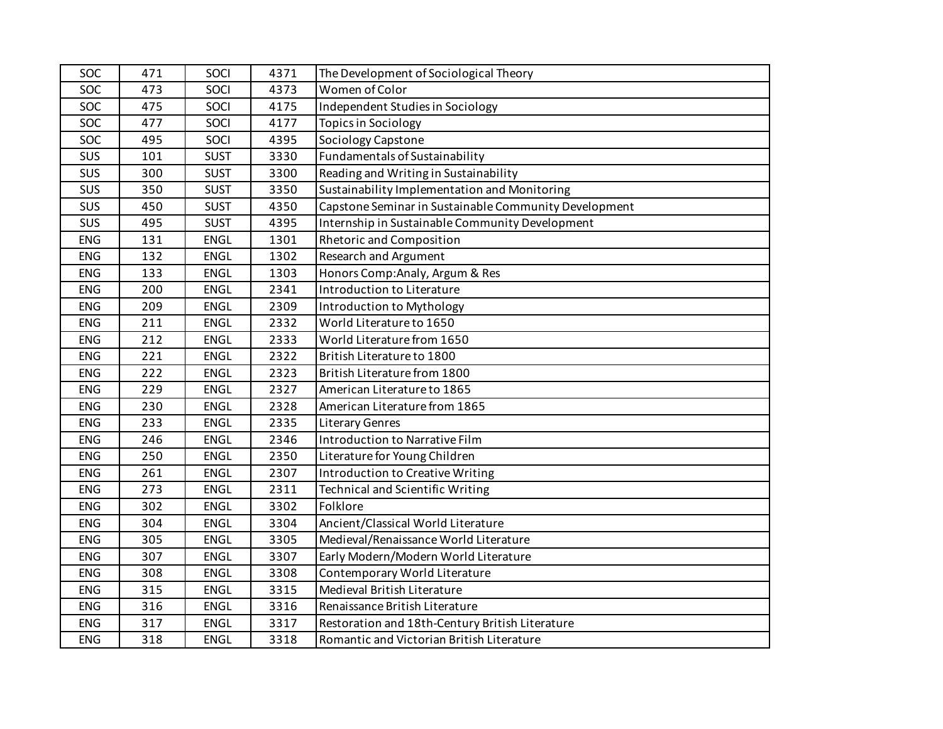| SOC        | 471 | SOCI        | 4371 | The Development of Sociological Theory                |
|------------|-----|-------------|------|-------------------------------------------------------|
| SOC        | 473 | SOCI        | 4373 | Women of Color                                        |
| SOC        | 475 | SOCI        | 4175 | Independent Studies in Sociology                      |
| SOC        | 477 | SOCI        | 4177 | <b>Topics in Sociology</b>                            |
| SOC        | 495 | SOCI        | 4395 | Sociology Capstone                                    |
| <b>SUS</b> | 101 | <b>SUST</b> | 3330 | Fundamentals of Sustainability                        |
| <b>SUS</b> | 300 | <b>SUST</b> | 3300 | Reading and Writing in Sustainability                 |
| <b>SUS</b> | 350 | <b>SUST</b> | 3350 | Sustainability Implementation and Monitoring          |
| <b>SUS</b> | 450 | <b>SUST</b> | 4350 | Capstone Seminar in Sustainable Community Development |
| SUS        | 495 | <b>SUST</b> | 4395 | Internship in Sustainable Community Development       |
| <b>ENG</b> | 131 | <b>ENGL</b> | 1301 | <b>Rhetoric and Composition</b>                       |
| <b>ENG</b> | 132 | ENGL        | 1302 | Research and Argument                                 |
| <b>ENG</b> | 133 | <b>ENGL</b> | 1303 | Honors Comp: Analy, Argum & Res                       |
| <b>ENG</b> | 200 | <b>ENGL</b> | 2341 | Introduction to Literature                            |
| <b>ENG</b> | 209 | <b>ENGL</b> | 2309 | Introduction to Mythology                             |
| <b>ENG</b> | 211 | ENGL        | 2332 | World Literature to 1650                              |
| ENG        | 212 | <b>ENGL</b> | 2333 | World Literature from 1650                            |
| <b>ENG</b> | 221 | <b>ENGL</b> | 2322 | British Literature to 1800                            |
| ENG        | 222 | <b>ENGL</b> | 2323 | British Literature from 1800                          |
| <b>ENG</b> | 229 | <b>ENGL</b> | 2327 | American Literature to 1865                           |
| <b>ENG</b> | 230 | <b>ENGL</b> | 2328 | American Literature from 1865                         |
| ENG        | 233 | ENGL        | 2335 | <b>Literary Genres</b>                                |
| ENG        | 246 | ENGL        | 2346 | Introduction to Narrative Film                        |
| ENG        | 250 | <b>ENGL</b> | 2350 | Literature for Young Children                         |
| <b>ENG</b> | 261 | <b>ENGL</b> | 2307 | Introduction to Creative Writing                      |
| <b>ENG</b> | 273 | <b>ENGL</b> | 2311 | <b>Technical and Scientific Writing</b>               |
| <b>ENG</b> | 302 | <b>ENGL</b> | 3302 | Folklore                                              |
| <b>ENG</b> | 304 | ENGL        | 3304 | Ancient/Classical World Literature                    |
| <b>ENG</b> | 305 | <b>ENGL</b> | 3305 | Medieval/Renaissance World Literature                 |
| <b>ENG</b> | 307 | <b>ENGL</b> | 3307 | Early Modern/Modern World Literature                  |
| <b>ENG</b> | 308 | <b>ENGL</b> | 3308 | Contemporary World Literature                         |
| <b>ENG</b> | 315 | <b>ENGL</b> | 3315 | Medieval British Literature                           |
| ENG        | 316 | <b>ENGL</b> | 3316 | Renaissance British Literature                        |
| <b>ENG</b> | 317 | ENGL        | 3317 | Restoration and 18th-Century British Literature       |
| <b>ENG</b> | 318 | <b>ENGL</b> | 3318 | Romantic and Victorian British Literature             |
|            |     |             |      |                                                       |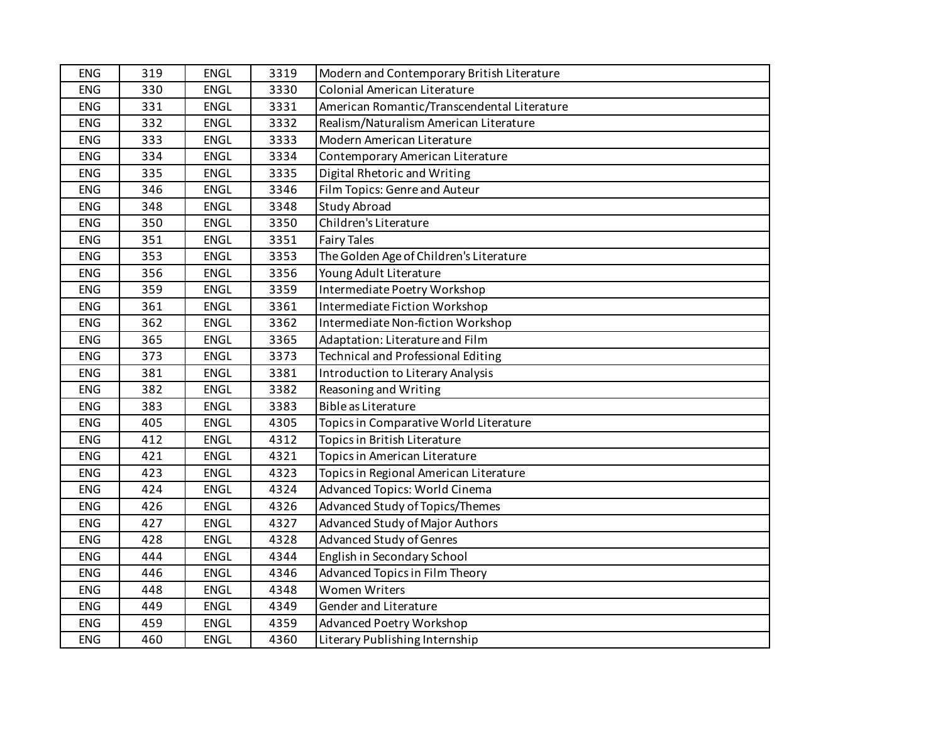| <b>ENG</b> | 319 | <b>ENGL</b> | 3319 | Modern and Contemporary British Literature  |
|------------|-----|-------------|------|---------------------------------------------|
| <b>ENG</b> | 330 | <b>ENGL</b> | 3330 | <b>Colonial American Literature</b>         |
| ENG        | 331 | <b>ENGL</b> | 3331 | American Romantic/Transcendental Literature |
| <b>ENG</b> | 332 | ENGL        | 3332 | Realism/Naturalism American Literature      |
| <b>ENG</b> | 333 | ENGL        | 3333 | Modern American Literature                  |
| <b>ENG</b> | 334 | <b>ENGL</b> | 3334 | Contemporary American Literature            |
| <b>ENG</b> | 335 | <b>ENGL</b> | 3335 | Digital Rhetoric and Writing                |
| ENG        | 346 | <b>ENGL</b> | 3346 | Film Topics: Genre and Auteur               |
| ENG        | 348 | <b>ENGL</b> | 3348 | <b>Study Abroad</b>                         |
| <b>ENG</b> | 350 | <b>ENGL</b> | 3350 | Children's Literature                       |
| ENG        | 351 | ENGL        | 3351 | <b>Fairy Tales</b>                          |
| ENG        | 353 | ENGL        | 3353 | The Golden Age of Children's Literature     |
| ENG        | 356 | <b>ENGL</b> | 3356 | Young Adult Literature                      |
| <b>ENG</b> | 359 | <b>ENGL</b> | 3359 | Intermediate Poetry Workshop                |
| ENG        | 361 | <b>ENGL</b> | 3361 | Intermediate Fiction Workshop               |
| <b>ENG</b> | 362 | <b>ENGL</b> | 3362 | Intermediate Non-fiction Workshop           |
| ENG        | 365 | <b>ENGL</b> | 3365 | Adaptation: Literature and Film             |
| ENG        | 373 | ENGL        | 3373 | <b>Technical and Professional Editing</b>   |
| ENG        | 381 | ENGL        | 3381 | Introduction to Literary Analysis           |
| <b>ENG</b> | 382 | ENGL        | 3382 | Reasoning and Writing                       |
| ENG        | 383 | ENGL        | 3383 | Bible as Literature                         |
| <b>ENG</b> | 405 | <b>ENGL</b> | 4305 | Topics in Comparative World Literature      |
| ENG        | 412 | <b>ENGL</b> | 4312 | Topics in British Literature                |
| ENG        | 421 | <b>ENGL</b> | 4321 | Topics in American Literature               |
| <b>ENG</b> | 423 | <b>ENGL</b> | 4323 | Topics in Regional American Literature      |
| ENG        | 424 | ENGL        | 4324 | Advanced Topics: World Cinema               |
| ENG        | 426 | ENGL        | 4326 | Advanced Study of Topics/Themes             |
| ENG        | 427 | ENGL        | 4327 | Advanced Study of Major Authors             |
| <b>ENG</b> | 428 | <b>ENGL</b> | 4328 | <b>Advanced Study of Genres</b>             |
| ENG        | 444 | <b>ENGL</b> | 4344 | English in Secondary School                 |
| ENG        | 446 | <b>ENGL</b> | 4346 | Advanced Topics in Film Theory              |
| ENG        | 448 | ENGL        | 4348 | <b>Women Writers</b>                        |
| ENG        | 449 | ENGL        | 4349 | Gender and Literature                       |
| <b>ENG</b> | 459 | ENGL        | 4359 | Advanced Poetry Workshop                    |
| <b>ENG</b> | 460 | <b>ENGL</b> | 4360 | Literary Publishing Internship              |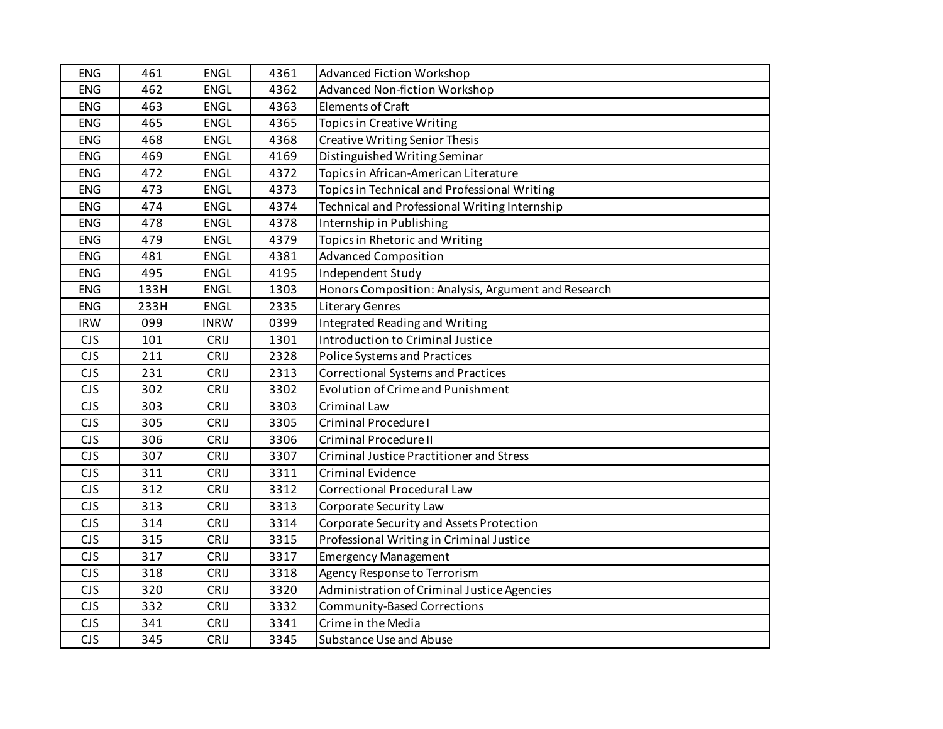| <b>ENG</b> | 461  | <b>ENGL</b> | 4361 | <b>Advanced Fiction Workshop</b>                    |
|------------|------|-------------|------|-----------------------------------------------------|
| <b>ENG</b> | 462  | <b>ENGL</b> | 4362 | <b>Advanced Non-fiction Workshop</b>                |
| <b>ENG</b> | 463  | ENGL        | 4363 | Elements of Craft                                   |
| ENG        | 465  | ENGL        | 4365 | <b>Topics in Creative Writing</b>                   |
| <b>ENG</b> | 468  | <b>ENGL</b> | 4368 | <b>Creative Writing Senior Thesis</b>               |
| <b>ENG</b> | 469  | <b>ENGL</b> | 4169 | Distinguished Writing Seminar                       |
| ENG        | 472  | <b>ENGL</b> | 4372 | Topics in African-American Literature               |
| <b>ENG</b> | 473  | <b>ENGL</b> | 4373 | Topics in Technical and Professional Writing        |
| ENG        | 474  | <b>ENGL</b> | 4374 | Technical and Professional Writing Internship       |
| ENG        | 478  | <b>ENGL</b> | 4378 | Internship in Publishing                            |
| ENG        | 479  | ENGL        | 4379 | Topics in Rhetoric and Writing                      |
| <b>ENG</b> | 481  | <b>ENGL</b> | 4381 | <b>Advanced Composition</b>                         |
| <b>ENG</b> | 495  | <b>ENGL</b> | 4195 | Independent Study                                   |
| <b>ENG</b> | 133H | <b>ENGL</b> | 1303 | Honors Composition: Analysis, Argument and Research |
| ENG        | 233H | <b>ENGL</b> | 2335 | <b>Literary Genres</b>                              |
| <b>IRW</b> | 099  | <b>INRW</b> | 0399 | Integrated Reading and Writing                      |
| <b>CJS</b> | 101  | <b>CRIJ</b> | 1301 | Introduction to Criminal Justice                    |
| <b>CJS</b> | 211  | CRIJ        | 2328 | Police Systems and Practices                        |
| <b>CJS</b> | 231  | CRIJ        | 2313 | <b>Correctional Systems and Practices</b>           |
| <b>CJS</b> | 302  | CRIJ        | 3302 | <b>Evolution of Crime and Punishment</b>            |
| <b>CJS</b> | 303  | CRIJ        | 3303 | <b>Criminal Law</b>                                 |
| <b>CJS</b> | 305  | CRIJ        | 3305 | Criminal Procedure I                                |
| <b>CJS</b> | 306  | CRIJ        | 3306 | <b>Criminal Procedure II</b>                        |
| <b>CJS</b> | 307  | <b>CRIJ</b> | 3307 | <b>Criminal Justice Practitioner and Stress</b>     |
| <b>CJS</b> | 311  | <b>CRIJ</b> | 3311 | <b>Criminal Evidence</b>                            |
| <b>CJS</b> | 312  | CRIJ        | 3312 | <b>Correctional Procedural Law</b>                  |
| <b>CJS</b> | 313  | CRIJ        | 3313 | Corporate Security Law                              |
| <b>CJS</b> | 314  | CRIJ        | 3314 | Corporate Security and Assets Protection            |
| <b>CJS</b> | 315  | CRIJ        | 3315 | Professional Writing in Criminal Justice            |
| <b>CJS</b> | 317  | CRIJ        | 3317 | <b>Emergency Management</b>                         |
| <b>CJS</b> | 318  | CRIJ        | 3318 | Agency Response to Terrorism                        |
| <b>CJS</b> | 320  | <b>CRIJ</b> | 3320 | Administration of Criminal Justice Agencies         |
| <b>CJS</b> | 332  | CRIJ        | 3332 | Community-Based Corrections                         |
| <b>CJS</b> | 341  | CRIJ        | 3341 | Crime in the Media                                  |
| <b>CJS</b> | 345  | CRIJ        | 3345 | Substance Use and Abuse                             |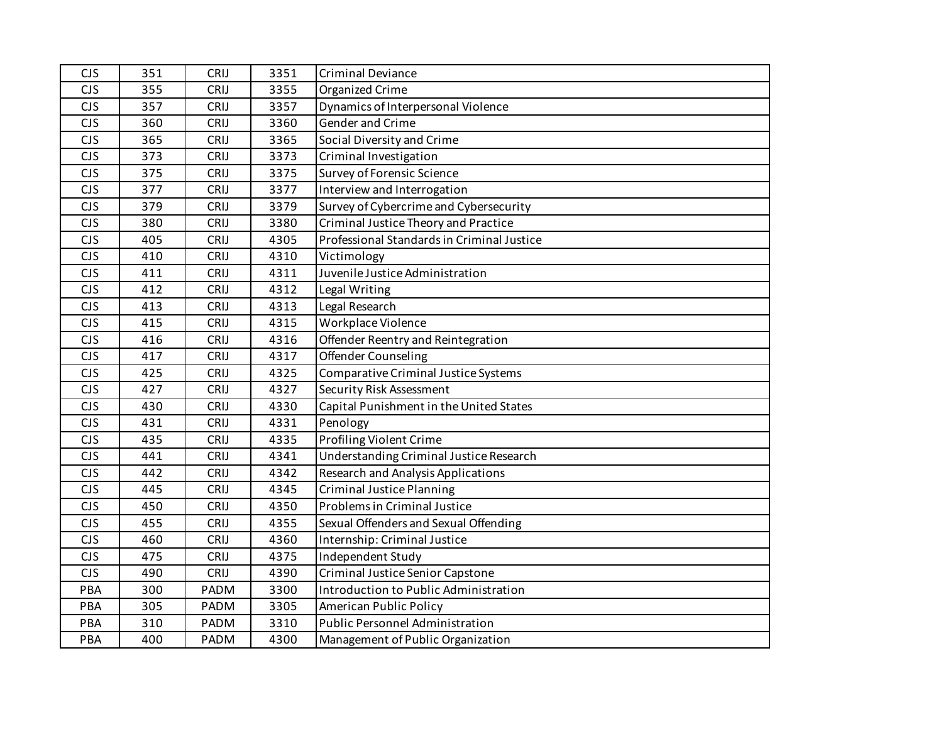| <b>CJS</b> | 351 | CRIJ        | 3351 | <b>Criminal Deviance</b>                   |
|------------|-----|-------------|------|--------------------------------------------|
| <b>CJS</b> | 355 | CRIJ        | 3355 | Organized Crime                            |
| <b>CJS</b> | 357 | CRIJ        | 3357 | Dynamics of Interpersonal Violence         |
| <b>CJS</b> | 360 | CRIJ        | 3360 | Gender and Crime                           |
| <b>CJS</b> | 365 | CRIJ        | 3365 | Social Diversity and Crime                 |
| <b>CJS</b> | 373 | CRIJ        | 3373 | Criminal Investigation                     |
| <b>CJS</b> | 375 | CRIJ        | 3375 | <b>Survey of Forensic Science</b>          |
| <b>CJS</b> | 377 | CRIJ        | 3377 | Interview and Interrogation                |
| <b>CJS</b> | 379 | CRIJ        | 3379 | Survey of Cybercrime and Cybersecurity     |
| <b>CJS</b> | 380 | CRIJ        | 3380 | Criminal Justice Theory and Practice       |
| <b>CJS</b> | 405 | CRIJ        | 4305 | Professional Standards in Criminal Justice |
| <b>CJS</b> | 410 | CRIJ        | 4310 | Victimology                                |
| <b>CJS</b> | 411 | CRIJ        | 4311 | Juvenile Justice Administration            |
| <b>CJS</b> | 412 | CRIJ        | 4312 | Legal Writing                              |
| <b>CJS</b> | 413 | CRIJ        | 4313 | Legal Research                             |
| <b>CJS</b> | 415 | CRIJ        | 4315 | Workplace Violence                         |
| <b>CJS</b> | 416 | CRIJ        | 4316 | Offender Reentry and Reintegration         |
| <b>CJS</b> | 417 | CRIJ        | 4317 | Offender Counseling                        |
| <b>CJS</b> | 425 | CRIJ        | 4325 | Comparative Criminal Justice Systems       |
| <b>CJS</b> | 427 | CRIJ        | 4327 | Security Risk Assessment                   |
| <b>CJS</b> | 430 | <b>CRIJ</b> | 4330 | Capital Punishment in the United States    |
| <b>CJS</b> | 431 | CRIJ        | 4331 | Penology                                   |
| <b>CJS</b> | 435 | CRIJ        | 4335 | Profiling Violent Crime                    |
| <b>CJS</b> | 441 | CRIJ        | 4341 | Understanding Criminal Justice Research    |
| <b>CJS</b> | 442 | CRIJ        | 4342 | Research and Analysis Applications         |
| <b>CJS</b> | 445 | CRIJ        | 4345 | <b>Criminal Justice Planning</b>           |
| <b>CJS</b> | 450 | CRIJ        | 4350 | Problems in Criminal Justice               |
| <b>CJS</b> | 455 | <b>CRIJ</b> | 4355 | Sexual Offenders and Sexual Offending      |
| <b>CJS</b> | 460 | CRIJ        | 4360 | Internship: Criminal Justice               |
| <b>CJS</b> | 475 | CRIJ        | 4375 | Independent Study                          |
| <b>CJS</b> | 490 | CRIJ        | 4390 | Criminal Justice Senior Capstone           |
| PBA        | 300 | PADM        | 3300 | Introduction to Public Administration      |
| PBA        | 305 | PADM        | 3305 | American Public Policy                     |
| PBA        | 310 | PADM        | 3310 | <b>Public Personnel Administration</b>     |
| PBA        | 400 | PADM        | 4300 | Management of Public Organization          |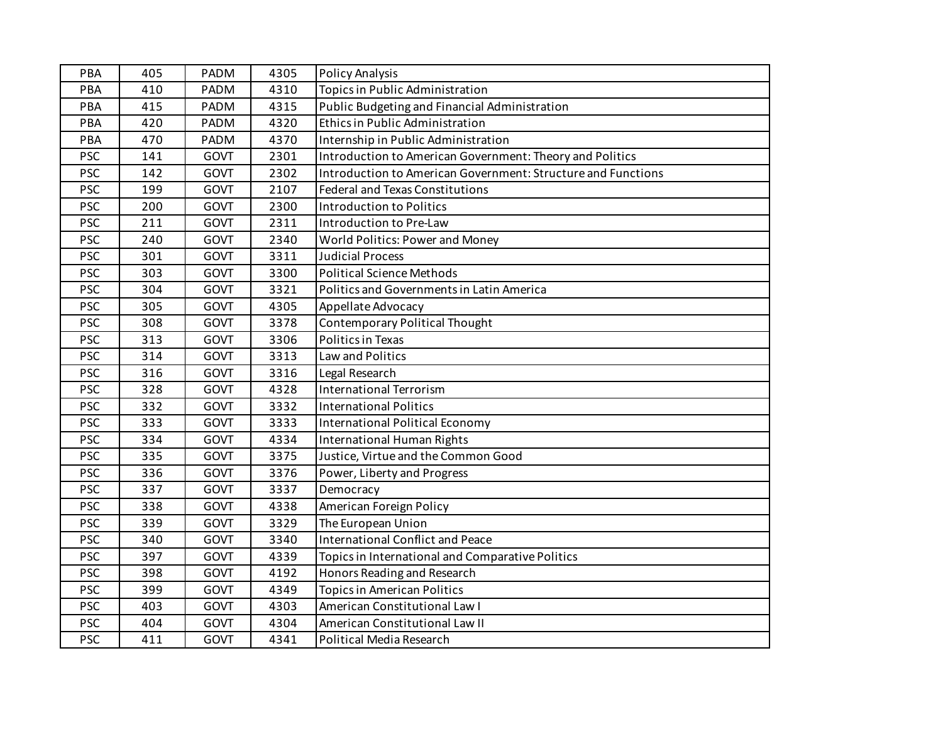| <b>PBA</b> | 405 | PADM        | 4305 | <b>Policy Analysis</b>                                       |
|------------|-----|-------------|------|--------------------------------------------------------------|
| PBA        | 410 | PADM        | 4310 | <b>Topics in Public Administration</b>                       |
| PBA        | 415 | PADM        | 4315 | Public Budgeting and Financial Administration                |
| PBA        | 420 | PADM        | 4320 | Ethics in Public Administration                              |
| PBA        | 470 | PADM        | 4370 | Internship in Public Administration                          |
| <b>PSC</b> | 141 | GOVT        | 2301 | Introduction to American Government: Theory and Politics     |
| <b>PSC</b> | 142 | GOVT        | 2302 | Introduction to American Government: Structure and Functions |
| <b>PSC</b> | 199 | GOVT        | 2107 | <b>Federal and Texas Constitutions</b>                       |
| <b>PSC</b> | 200 | GOVT        | 2300 | <b>Introduction to Politics</b>                              |
| <b>PSC</b> | 211 | GOVT        | 2311 | Introduction to Pre-Law                                      |
| <b>PSC</b> | 240 | GOVT        | 2340 | World Politics: Power and Money                              |
| <b>PSC</b> | 301 | <b>GOVT</b> | 3311 | <b>Judicial Process</b>                                      |
| <b>PSC</b> | 303 | GOVT        | 3300 | <b>Political Science Methods</b>                             |
| <b>PSC</b> | 304 | GOVT        | 3321 | Politics and Governments in Latin America                    |
| <b>PSC</b> | 305 | GOVT        | 4305 | Appellate Advocacy                                           |
| <b>PSC</b> | 308 | GOVT        | 3378 | Contemporary Political Thought                               |
| <b>PSC</b> | 313 | GOVT        | 3306 | Politics in Texas                                            |
| <b>PSC</b> | 314 | GOVT        | 3313 | Law and Politics                                             |
| <b>PSC</b> | 316 | GOVT        | 3316 | Legal Research                                               |
| <b>PSC</b> | 328 | GOVT        | 4328 | <b>International Terrorism</b>                               |
| <b>PSC</b> | 332 | GOVT        | 3332 | <b>International Politics</b>                                |
| <b>PSC</b> | 333 | GOVT        | 3333 | International Political Economy                              |
| <b>PSC</b> | 334 | GOVT        | 4334 | <b>International Human Rights</b>                            |
| <b>PSC</b> | 335 | GOVT        | 3375 | Justice, Virtue and the Common Good                          |
| <b>PSC</b> | 336 | GOVT        | 3376 | Power, Liberty and Progress                                  |
| <b>PSC</b> | 337 | <b>GOVT</b> | 3337 | Democracy                                                    |
| <b>PSC</b> | 338 | GOVT        | 4338 | American Foreign Policy                                      |
| <b>PSC</b> | 339 | <b>GOVT</b> | 3329 | The European Union                                           |
| <b>PSC</b> | 340 | GOVT        | 3340 | <b>International Conflict and Peace</b>                      |
| <b>PSC</b> | 397 | GOVT        | 4339 | Topics in International and Comparative Politics             |
| <b>PSC</b> | 398 | GOVT        | 4192 | Honors Reading and Research                                  |
| <b>PSC</b> | 399 | <b>GOVT</b> | 4349 | <b>Topics in American Politics</b>                           |
| <b>PSC</b> | 403 | GOVT        | 4303 | American Constitutional Law I                                |
| <b>PSC</b> | 404 | GOVT        | 4304 | American Constitutional Law II                               |
| <b>PSC</b> | 411 | GOVT        | 4341 | Political Media Research                                     |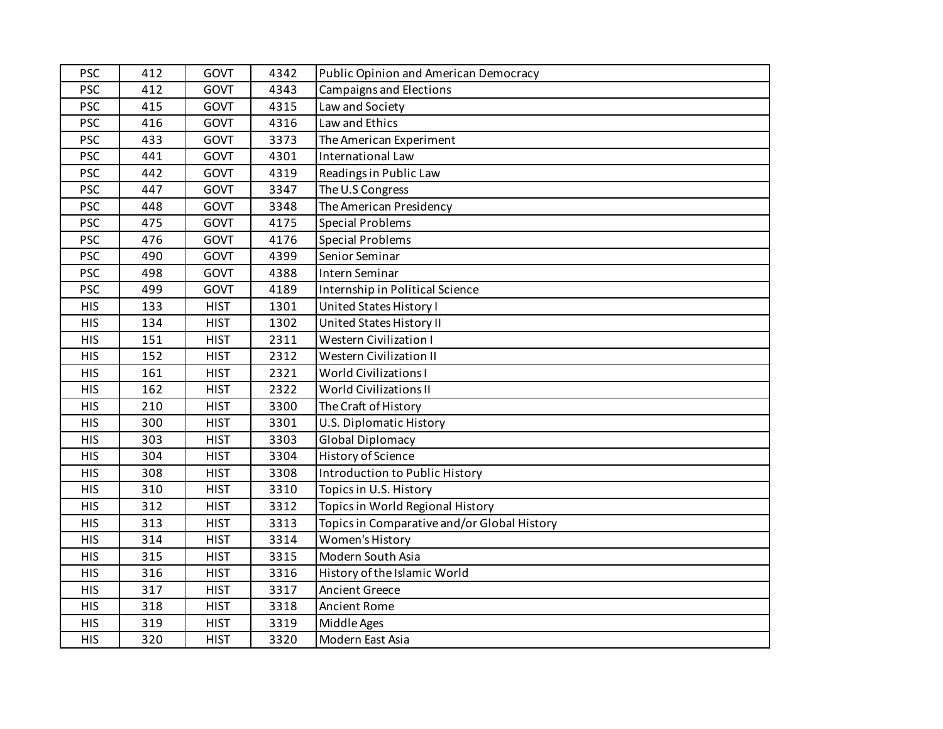| <b>PSC</b> | 412 | GOVT        | 4342 | Public Opinion and American Democracy       |
|------------|-----|-------------|------|---------------------------------------------|
| <b>PSC</b> | 412 | <b>GOVT</b> | 4343 | <b>Campaigns and Elections</b>              |
| <b>PSC</b> | 415 | GOVT        | 4315 | Law and Society                             |
| <b>PSC</b> | 416 | GOVT        | 4316 | Law and Ethics                              |
| <b>PSC</b> | 433 | GOVT        | 3373 | The American Experiment                     |
| <b>PSC</b> | 441 | GOVT        | 4301 | International Law                           |
| <b>PSC</b> | 442 | GOVT        | 4319 | Readings in Public Law                      |
| <b>PSC</b> | 447 | GOVT        | 3347 | The U.S Congress                            |
| <b>PSC</b> | 448 | GOVT        | 3348 | The American Presidency                     |
| <b>PSC</b> | 475 | <b>GOVT</b> | 4175 | <b>Special Problems</b>                     |
| <b>PSC</b> | 476 | GOVT        | 4176 | <b>Special Problems</b>                     |
| <b>PSC</b> | 490 | GOVT        | 4399 | Senior Seminar                              |
| <b>PSC</b> | 498 | GOVT        | 4388 | Intern Seminar                              |
| <b>PSC</b> | 499 | GOVT        | 4189 | Internship in Political Science             |
| <b>HIS</b> | 133 | <b>HIST</b> | 1301 | United States History I                     |
| <b>HIS</b> | 134 | <b>HIST</b> | 1302 | United States History II                    |
| <b>HIS</b> | 151 | <b>HIST</b> | 2311 | <b>Western Civilization I</b>               |
| <b>HIS</b> | 152 | <b>HIST</b> | 2312 | <b>Western Civilization II</b>              |
| <b>HIS</b> | 161 | <b>HIST</b> | 2321 | <b>World Civilizations I</b>                |
| <b>HIS</b> | 162 | <b>HIST</b> | 2322 | <b>World Civilizations II</b>               |
| <b>HIS</b> | 210 | <b>HIST</b> | 3300 | The Craft of History                        |
| <b>HIS</b> | 300 | <b>HIST</b> | 3301 | U.S. Diplomatic History                     |
| <b>HIS</b> | 303 | <b>HIST</b> | 3303 | <b>Global Diplomacy</b>                     |
| <b>HIS</b> | 304 | <b>HIST</b> | 3304 | History of Science                          |
| <b>HIS</b> | 308 | <b>HIST</b> | 3308 | Introduction to Public History              |
| <b>HIS</b> | 310 | <b>HIST</b> | 3310 | Topics in U.S. History                      |
| <b>HIS</b> | 312 | <b>HIST</b> | 3312 | Topics in World Regional History            |
| <b>HIS</b> | 313 | <b>HIST</b> | 3313 | Topics in Comparative and/or Global History |
| <b>HIS</b> | 314 | <b>HIST</b> | 3314 | Women's History                             |
| <b>HIS</b> | 315 | <b>HIST</b> | 3315 | Modern South Asia                           |
| <b>HIS</b> | 316 | <b>HIST</b> | 3316 | History of the Islamic World                |
| <b>HIS</b> | 317 | <b>HIST</b> | 3317 | <b>Ancient Greece</b>                       |
| <b>HIS</b> | 318 | <b>HIST</b> | 3318 | <b>Ancient Rome</b>                         |
| <b>HIS</b> | 319 | <b>HIST</b> | 3319 | Middle Ages                                 |
| <b>HIS</b> | 320 | <b>HIST</b> | 3320 | Modern East Asia                            |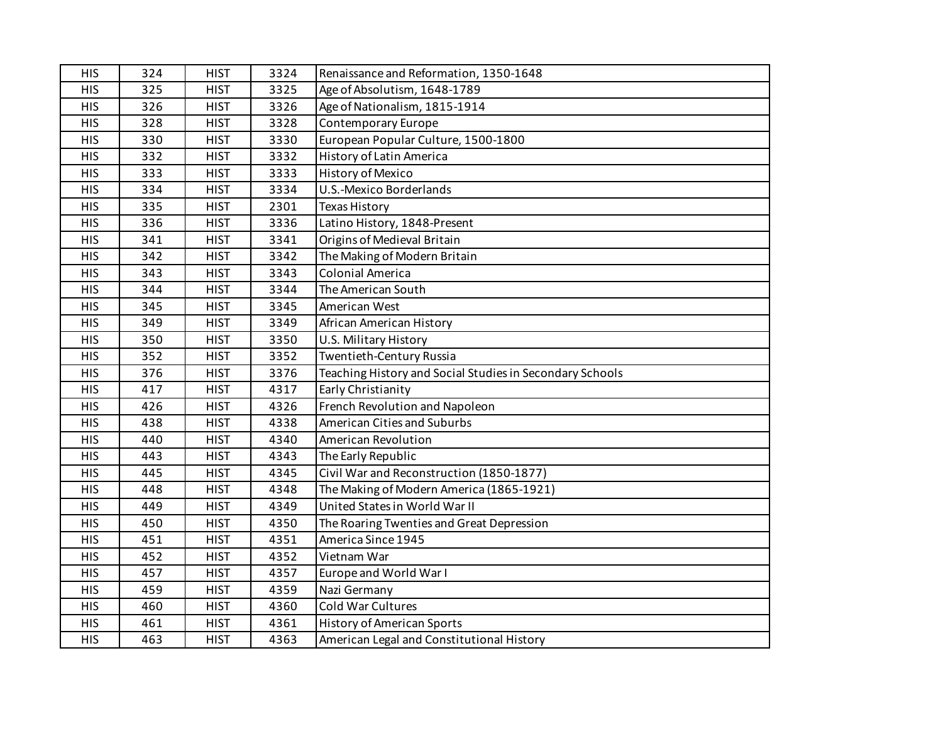| <b>HIS</b> | 324 | <b>HIST</b> | 3324 | Renaissance and Reformation, 1350-1648                   |
|------------|-----|-------------|------|----------------------------------------------------------|
| <b>HIS</b> | 325 | <b>HIST</b> | 3325 | Age of Absolutism, 1648-1789                             |
| <b>HIS</b> | 326 | <b>HIST</b> | 3326 | Age of Nationalism, 1815-1914                            |
| <b>HIS</b> | 328 | <b>HIST</b> | 3328 | Contemporary Europe                                      |
| <b>HIS</b> | 330 | <b>HIST</b> | 3330 | European Popular Culture, 1500-1800                      |
| <b>HIS</b> | 332 | <b>HIST</b> | 3332 | History of Latin America                                 |
| <b>HIS</b> | 333 | <b>HIST</b> | 3333 | History of Mexico                                        |
| <b>HIS</b> | 334 | <b>HIST</b> | 3334 | U.S.-Mexico Borderlands                                  |
| <b>HIS</b> | 335 | <b>HIST</b> | 2301 | <b>Texas History</b>                                     |
| <b>HIS</b> | 336 | <b>HIST</b> | 3336 | Latino History, 1848-Present                             |
| <b>HIS</b> | 341 | <b>HIST</b> | 3341 | Origins of Medieval Britain                              |
| <b>HIS</b> | 342 | <b>HIST</b> | 3342 | The Making of Modern Britain                             |
| <b>HIS</b> | 343 | <b>HIST</b> | 3343 | <b>Colonial America</b>                                  |
| <b>HIS</b> | 344 | <b>HIST</b> | 3344 | The American South                                       |
| <b>HIS</b> | 345 | <b>HIST</b> | 3345 | American West                                            |
| <b>HIS</b> | 349 | <b>HIST</b> | 3349 | African American History                                 |
| <b>HIS</b> | 350 | <b>HIST</b> | 3350 | U.S. Military History                                    |
| <b>HIS</b> | 352 | <b>HIST</b> | 3352 | Twentieth-Century Russia                                 |
| <b>HIS</b> | 376 | <b>HIST</b> | 3376 | Teaching History and Social Studies in Secondary Schools |
| <b>HIS</b> | 417 | <b>HIST</b> | 4317 | Early Christianity                                       |
| <b>HIS</b> | 426 | <b>HIST</b> | 4326 | French Revolution and Napoleon                           |
| <b>HIS</b> | 438 | <b>HIST</b> | 4338 | American Cities and Suburbs                              |
| <b>HIS</b> | 440 | <b>HIST</b> | 4340 | American Revolution                                      |
| <b>HIS</b> | 443 | <b>HIST</b> | 4343 | The Early Republic                                       |
| <b>HIS</b> | 445 | <b>HIST</b> | 4345 | Civil War and Reconstruction (1850-1877)                 |
| <b>HIS</b> | 448 | <b>HIST</b> | 4348 | The Making of Modern America (1865-1921)                 |
| <b>HIS</b> | 449 | <b>HIST</b> | 4349 | United States in World War II                            |
| <b>HIS</b> | 450 | <b>HIST</b> | 4350 | The Roaring Twenties and Great Depression                |
| <b>HIS</b> | 451 | <b>HIST</b> | 4351 | America Since 1945                                       |
| <b>HIS</b> | 452 | <b>HIST</b> | 4352 | Vietnam War                                              |
| <b>HIS</b> | 457 | <b>HIST</b> | 4357 | Europe and World War I                                   |
| <b>HIS</b> | 459 | <b>HIST</b> | 4359 | Nazi Germany                                             |
| <b>HIS</b> | 460 | <b>HIST</b> | 4360 | Cold War Cultures                                        |
| <b>HIS</b> | 461 | <b>HIST</b> | 4361 | <b>History of American Sports</b>                        |
| <b>HIS</b> | 463 | <b>HIST</b> | 4363 | American Legal and Constitutional History                |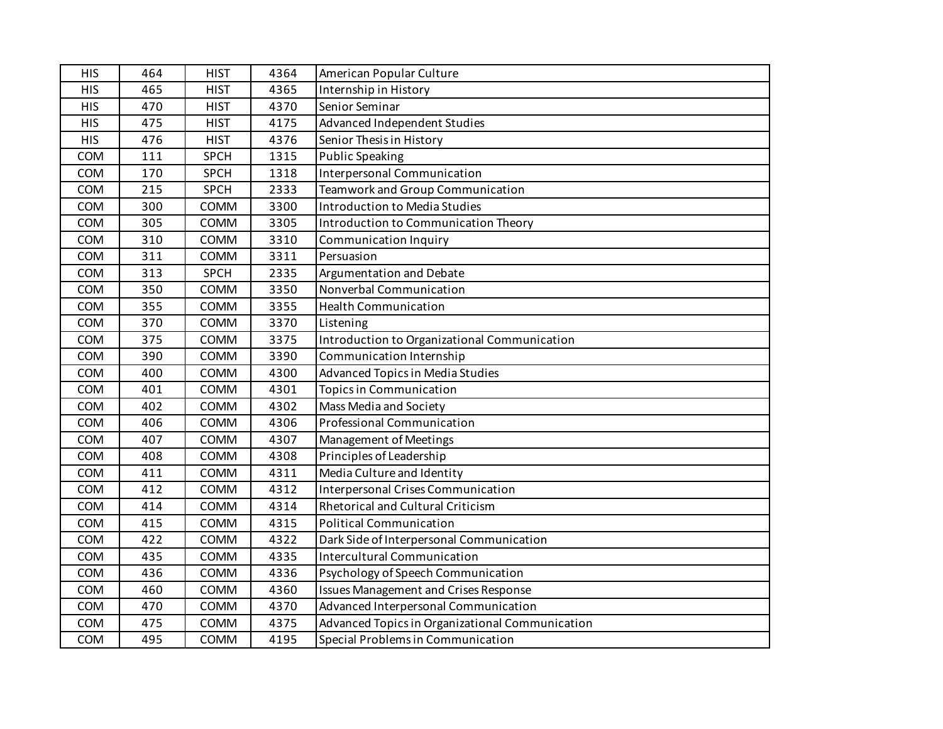| <b>HIS</b> | 464 | <b>HIST</b> | 4364 | American Popular Culture                        |
|------------|-----|-------------|------|-------------------------------------------------|
| <b>HIS</b> | 465 | <b>HIST</b> | 4365 | Internship in History                           |
| <b>HIS</b> | 470 | <b>HIST</b> | 4370 | Senior Seminar                                  |
| <b>HIS</b> | 475 | <b>HIST</b> | 4175 | Advanced Independent Studies                    |
| <b>HIS</b> | 476 | <b>HIST</b> | 4376 | Senior Thesis in History                        |
| COM        | 111 | <b>SPCH</b> | 1315 | <b>Public Speaking</b>                          |
| COM        | 170 | <b>SPCH</b> | 1318 | Interpersonal Communication                     |
| COM        | 215 | <b>SPCH</b> | 2333 | <b>Teamwork and Group Communication</b>         |
| COM        | 300 | COMM        | 3300 | Introduction to Media Studies                   |
| COM        | 305 | COMM        | 3305 | Introduction to Communication Theory            |
| COM        | 310 | COMM        | 3310 | <b>Communication Inquiry</b>                    |
| COM        | 311 | COMM        | 3311 | Persuasion                                      |
| COM        | 313 | <b>SPCH</b> | 2335 | Argumentation and Debate                        |
| COM        | 350 | COMM        | 3350 | Nonverbal Communication                         |
| COM        | 355 | COMM        | 3355 | <b>Health Communication</b>                     |
| COM        | 370 | COMM        | 3370 | Listening                                       |
| COM        | 375 | <b>COMM</b> | 3375 | Introduction to Organizational Communication    |
| COM        | 390 | COMM        | 3390 | Communication Internship                        |
| COM        | 400 | COMM        | 4300 | Advanced Topics in Media Studies                |
| COM        | 401 | COMM        | 4301 | <b>Topics in Communication</b>                  |
| COM        | 402 | COMM        | 4302 | Mass Media and Society                          |
| COM        | 406 | COMM        | 4306 | Professional Communication                      |
| COM        | 407 | COMM        | 4307 | Management of Meetings                          |
| COM        | 408 | COMM        | 4308 | Principles of Leadership                        |
| COM        | 411 | COMM        | 4311 | Media Culture and Identity                      |
| COM        | 412 | COMM        | 4312 | Interpersonal Crises Communication              |
| COM        | 414 | COMM        | 4314 | Rhetorical and Cultural Criticism               |
| COM        | 415 | COMM        | 4315 | <b>Political Communication</b>                  |
| COM        | 422 | COMM        | 4322 | Dark Side of Interpersonal Communication        |
| COM        | 435 | COMM        | 4335 | <b>Intercultural Communication</b>              |
| COM        | 436 | COMM        | 4336 | Psychology of Speech Communication              |
| COM        | 460 | <b>COMM</b> | 4360 | <b>Issues Management and Crises Response</b>    |
| COM        | 470 | COMM        | 4370 | Advanced Interpersonal Communication            |
| COM        | 475 | COMM        | 4375 | Advanced Topics in Organizational Communication |
| COM        | 495 | COMM        | 4195 | Special Problems in Communication               |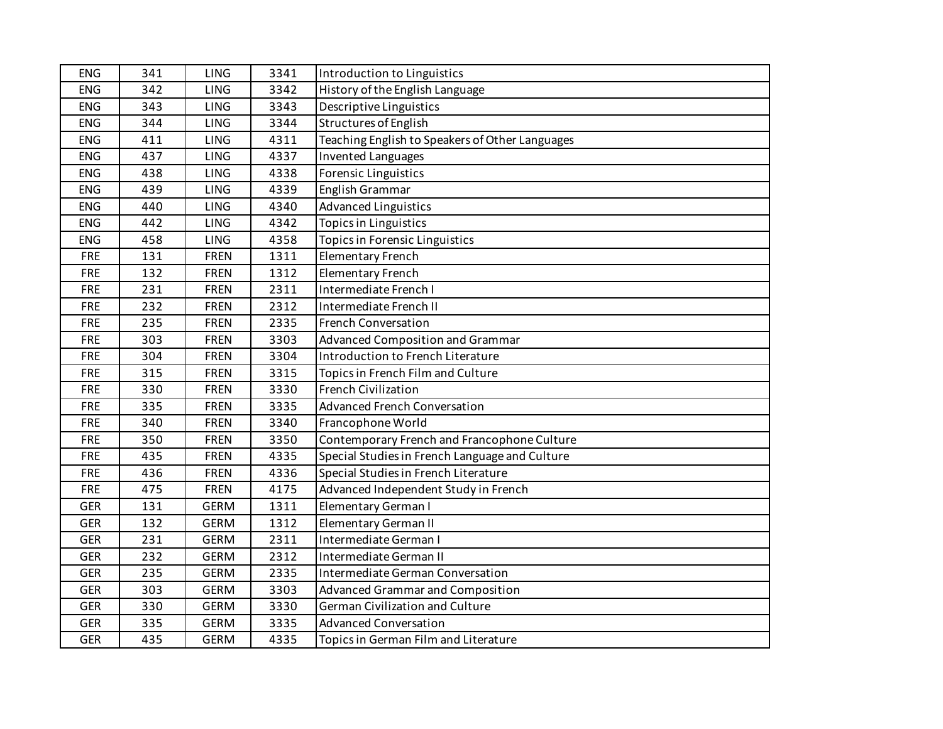| <b>ENG</b> | 341 | LING        | 3341 | Introduction to Linguistics                     |
|------------|-----|-------------|------|-------------------------------------------------|
| <b>ENG</b> | 342 | <b>LING</b> | 3342 | History of the English Language                 |
| <b>ENG</b> | 343 | <b>LING</b> | 3343 | Descriptive Linguistics                         |
| <b>ENG</b> | 344 | <b>LING</b> | 3344 | Structures of English                           |
| <b>ENG</b> | 411 | LING        | 4311 | Teaching English to Speakers of Other Languages |
| <b>ENG</b> | 437 | <b>LING</b> | 4337 | <b>Invented Languages</b>                       |
| <b>ENG</b> | 438 | LING        | 4338 | Forensic Linguistics                            |
| <b>ENG</b> | 439 | LING        | 4339 | English Grammar                                 |
| <b>ENG</b> | 440 | <b>LING</b> | 4340 | <b>Advanced Linguistics</b>                     |
| ENG        | 442 | <b>LING</b> | 4342 | <b>Topics in Linguistics</b>                    |
| <b>ENG</b> | 458 | <b>LING</b> | 4358 | Topics in Forensic Linguistics                  |
| <b>FRE</b> | 131 | <b>FREN</b> | 1311 | <b>Elementary French</b>                        |
| <b>FRE</b> | 132 | <b>FREN</b> | 1312 | Elementary French                               |
| <b>FRE</b> | 231 | <b>FREN</b> | 2311 | Intermediate French I                           |
| <b>FRE</b> | 232 | <b>FREN</b> | 2312 | Intermediate French II                          |
| <b>FRE</b> | 235 | <b>FREN</b> | 2335 | <b>French Conversation</b>                      |
| <b>FRE</b> | 303 | <b>FREN</b> | 3303 | Advanced Composition and Grammar                |
| <b>FRE</b> | 304 | <b>FREN</b> | 3304 | Introduction to French Literature               |
| <b>FRE</b> | 315 | <b>FREN</b> | 3315 | Topics in French Film and Culture               |
| <b>FRE</b> | 330 | <b>FREN</b> | 3330 | <b>French Civilization</b>                      |
| <b>FRE</b> | 335 | <b>FREN</b> | 3335 | <b>Advanced French Conversation</b>             |
| <b>FRE</b> | 340 | <b>FREN</b> | 3340 | Francophone World                               |
| <b>FRE</b> | 350 | <b>FREN</b> | 3350 | Contemporary French and Francophone Culture     |
| <b>FRE</b> | 435 | <b>FREN</b> | 4335 | Special Studies in French Language and Culture  |
| <b>FRE</b> | 436 | <b>FREN</b> | 4336 | Special Studies in French Literature            |
| <b>FRE</b> | 475 | <b>FREN</b> | 4175 | Advanced Independent Study in French            |
| <b>GER</b> | 131 | <b>GERM</b> | 1311 | Elementary German I                             |
| <b>GER</b> | 132 | <b>GERM</b> | 1312 | Elementary German II                            |
| <b>GER</b> | 231 | <b>GERM</b> | 2311 | Intermediate German I                           |
| <b>GER</b> | 232 | <b>GERM</b> | 2312 | Intermediate German II                          |
| <b>GER</b> | 235 | <b>GERM</b> | 2335 | Intermediate German Conversation                |
| <b>GER</b> | 303 | <b>GERM</b> | 3303 | Advanced Grammar and Composition                |
| <b>GER</b> | 330 | <b>GERM</b> | 3330 | German Civilization and Culture                 |
| <b>GER</b> | 335 | <b>GERM</b> | 3335 | <b>Advanced Conversation</b>                    |
| <b>GER</b> | 435 | <b>GERM</b> | 4335 | Topics in German Film and Literature            |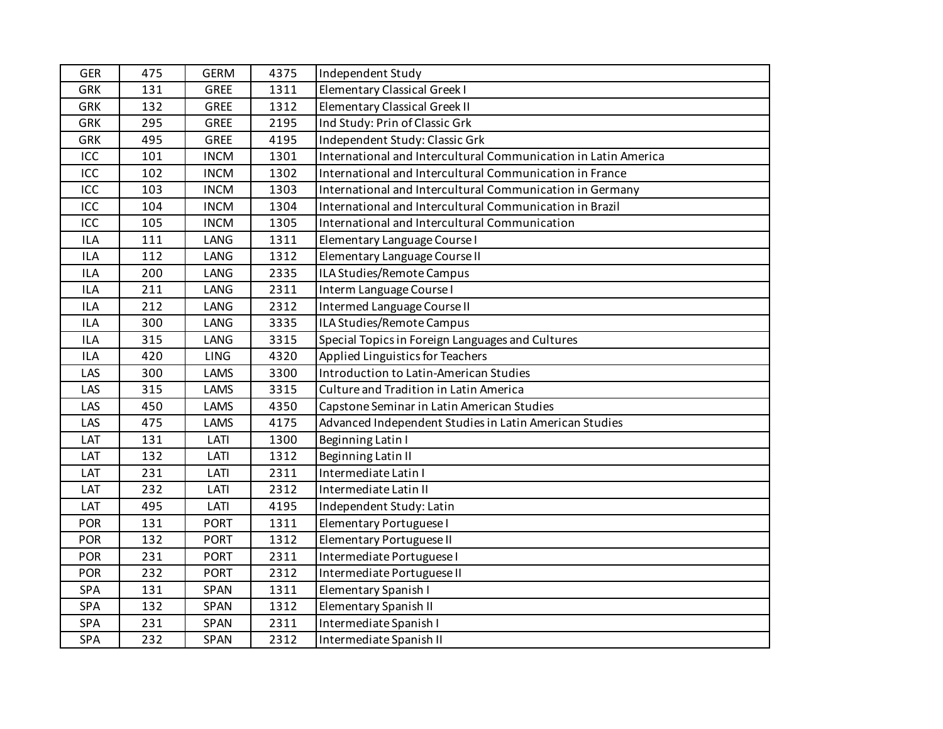| <b>GER</b>       | 475 | <b>GERM</b> | 4375 | Independent Study                                              |
|------------------|-----|-------------|------|----------------------------------------------------------------|
| <b>GRK</b>       | 131 | <b>GREE</b> | 1311 | Elementary Classical Greek I                                   |
| <b>GRK</b>       | 132 | <b>GREE</b> | 1312 | Elementary Classical Greek II                                  |
| <b>GRK</b>       | 295 | <b>GREE</b> | 2195 | Ind Study: Prin of Classic Grk                                 |
| <b>GRK</b>       | 495 | <b>GREE</b> | 4195 | Independent Study: Classic Grk                                 |
| ICC              | 101 | <b>INCM</b> | 1301 | International and Intercultural Communication in Latin America |
| $\overline{ICC}$ | 102 | <b>INCM</b> | 1302 | International and Intercultural Communication in France        |
| ICC              | 103 | <b>INCM</b> | 1303 | International and Intercultural Communication in Germany       |
| ICC              | 104 | <b>INCM</b> | 1304 | International and Intercultural Communication in Brazil        |
| ICC              | 105 | <b>INCM</b> | 1305 | International and Intercultural Communication                  |
| <b>ILA</b>       | 111 | LANG        | 1311 | Elementary Language Course I                                   |
| <b>ILA</b>       | 112 | LANG        | 1312 | Elementary Language Course II                                  |
| <b>ILA</b>       | 200 | LANG        | 2335 | ILA Studies/Remote Campus                                      |
| <b>ILA</b>       | 211 | LANG        | 2311 | Interm Language Course I                                       |
| <b>ILA</b>       | 212 | LANG        | 2312 | Intermed Language Course II                                    |
| <b>ILA</b>       | 300 | LANG        | 3335 | ILA Studies/Remote Campus                                      |
| <b>ILA</b>       | 315 | LANG        | 3315 | Special Topics in Foreign Languages and Cultures               |
| <b>ILA</b>       | 420 | <b>LING</b> | 4320 | Applied Linguistics for Teachers                               |
| LAS              | 300 | LAMS        | 3300 | Introduction to Latin-American Studies                         |
| LAS              | 315 | LAMS        | 3315 | Culture and Tradition in Latin America                         |
| LAS              | 450 | LAMS        | 4350 | Capstone Seminar in Latin American Studies                     |
| LAS              | 475 | LAMS        | 4175 | Advanced Independent Studies in Latin American Studies         |
| LAT              | 131 | LATI        | 1300 | Beginning Latin I                                              |
| LAT              | 132 | LATI        | 1312 | <b>Beginning Latin II</b>                                      |
| LAT              | 231 | LATI        | 2311 | Intermediate Latin I                                           |
| LAT              | 232 | LATI        | 2312 | Intermediate Latin II                                          |
| LAT              | 495 | LATI        | 4195 | Independent Study: Latin                                       |
| POR              | 131 | <b>PORT</b> | 1311 | Elementary Portuguese I                                        |
| POR              | 132 | <b>PORT</b> | 1312 | Elementary Portuguese II                                       |
| POR              | 231 | <b>PORT</b> | 2311 | Intermediate Portuguese I                                      |
| POR              | 232 | <b>PORT</b> | 2312 | Intermediate Portuguese II                                     |
| SPA              | 131 | SPAN        | 1311 | Elementary Spanish I                                           |
| SPA              | 132 | SPAN        | 1312 | Elementary Spanish II                                          |
| SPA              | 231 | SPAN        | 2311 | Intermediate Spanish I                                         |
| SPA              | 232 | SPAN        | 2312 | Intermediate Spanish II                                        |
|                  |     |             |      |                                                                |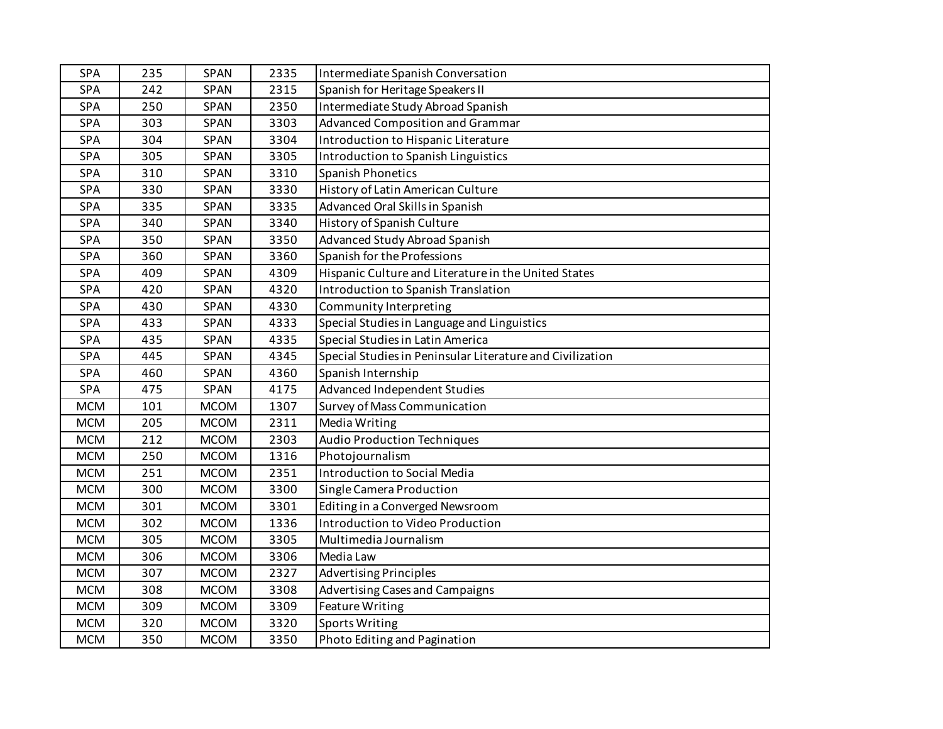| <b>SPA</b> | 235 | SPAN        | 2335 | Intermediate Spanish Conversation                         |
|------------|-----|-------------|------|-----------------------------------------------------------|
| SPA        | 242 | <b>SPAN</b> | 2315 | Spanish for Heritage Speakers II                          |
| SPA        | 250 | <b>SPAN</b> | 2350 | Intermediate Study Abroad Spanish                         |
| SPA        | 303 | <b>SPAN</b> | 3303 | Advanced Composition and Grammar                          |
| SPA        | 304 | <b>SPAN</b> | 3304 | Introduction to Hispanic Literature                       |
| SPA        | 305 | <b>SPAN</b> | 3305 | Introduction to Spanish Linguistics                       |
| SPA        | 310 | <b>SPAN</b> | 3310 | Spanish Phonetics                                         |
| SPA        | 330 | <b>SPAN</b> | 3330 | History of Latin American Culture                         |
| SPA        | 335 | SPAN        | 3335 | Advanced Oral Skills in Spanish                           |
| SPA        | 340 | <b>SPAN</b> | 3340 | History of Spanish Culture                                |
| SPA        | 350 | SPAN        | 3350 | Advanced Study Abroad Spanish                             |
| SPA        | 360 | <b>SPAN</b> | 3360 | Spanish for the Professions                               |
| SPA        | 409 | <b>SPAN</b> | 4309 | Hispanic Culture and Literature in the United States      |
| SPA        | 420 | SPAN        | 4320 | Introduction to Spanish Translation                       |
| SPA        | 430 | SPAN        | 4330 | Community Interpreting                                    |
| SPA        | 433 | <b>SPAN</b> | 4333 | Special Studies in Language and Linguistics               |
| SPA        | 435 | <b>SPAN</b> | 4335 | Special Studies in Latin America                          |
| SPA        | 445 | <b>SPAN</b> | 4345 | Special Studies in Peninsular Literature and Civilization |
| SPA        | 460 | <b>SPAN</b> | 4360 | Spanish Internship                                        |
| SPA        | 475 | <b>SPAN</b> | 4175 | Advanced Independent Studies                              |
| <b>MCM</b> | 101 | <b>MCOM</b> | 1307 | <b>Survey of Mass Communication</b>                       |
| <b>MCM</b> | 205 | <b>MCOM</b> | 2311 | <b>Media Writing</b>                                      |
| <b>MCM</b> | 212 | <b>MCOM</b> | 2303 | Audio Production Techniques                               |
| <b>MCM</b> | 250 | <b>MCOM</b> | 1316 | Photojournalism                                           |
| <b>MCM</b> | 251 | <b>MCOM</b> | 2351 | Introduction to Social Media                              |
| <b>MCM</b> | 300 | <b>MCOM</b> | 3300 | Single Camera Production                                  |
| <b>MCM</b> | 301 | <b>MCOM</b> | 3301 | Editing in a Converged Newsroom                           |
| <b>MCM</b> | 302 | <b>MCOM</b> | 1336 | Introduction to Video Production                          |
| <b>MCM</b> | 305 | <b>MCOM</b> | 3305 | Multimedia Journalism                                     |
| <b>MCM</b> | 306 | <b>MCOM</b> | 3306 | Media Law                                                 |
| <b>MCM</b> | 307 | <b>MCOM</b> | 2327 | <b>Advertising Principles</b>                             |
| <b>MCM</b> | 308 | <b>MCOM</b> | 3308 | Advertising Cases and Campaigns                           |
| <b>MCM</b> | 309 | <b>MCOM</b> | 3309 | <b>Feature Writing</b>                                    |
| <b>MCM</b> | 320 | <b>MCOM</b> | 3320 | <b>Sports Writing</b>                                     |
| <b>MCM</b> | 350 | <b>MCOM</b> | 3350 | Photo Editing and Pagination                              |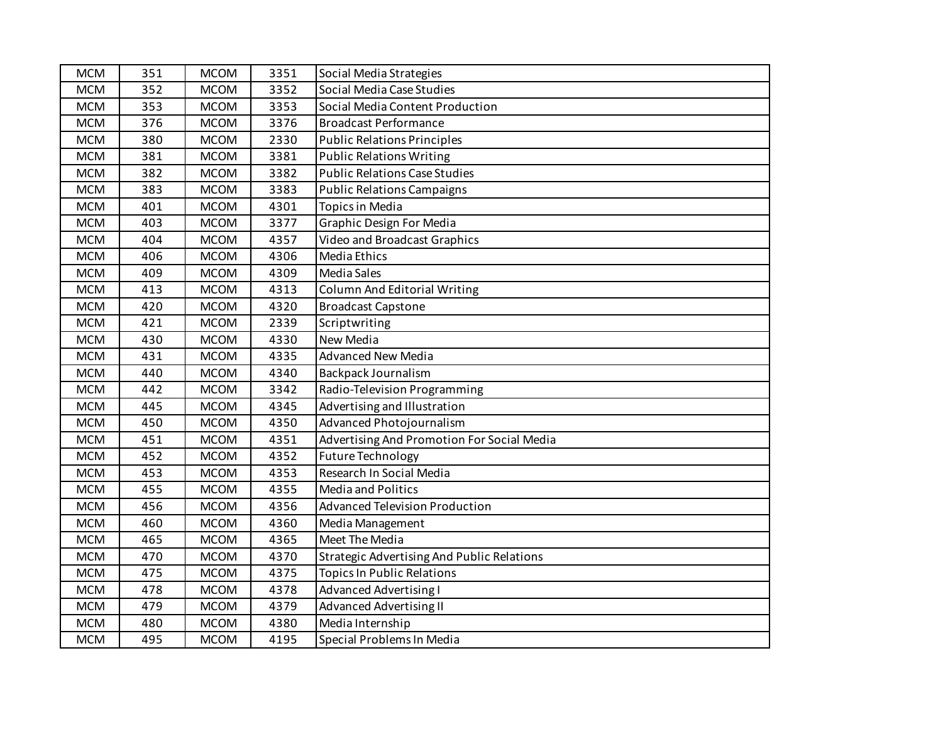| <b>MCM</b> | 351 | <b>MCOM</b> | 3351 | Social Media Strategies                           |
|------------|-----|-------------|------|---------------------------------------------------|
| <b>MCM</b> | 352 | <b>MCOM</b> | 3352 | Social Media Case Studies                         |
| <b>MCM</b> | 353 | <b>MCOM</b> | 3353 | Social Media Content Production                   |
| <b>MCM</b> | 376 | <b>MCOM</b> | 3376 | <b>Broadcast Performance</b>                      |
| <b>MCM</b> | 380 | <b>MCOM</b> | 2330 | <b>Public Relations Principles</b>                |
| <b>MCM</b> | 381 | <b>MCOM</b> | 3381 | <b>Public Relations Writing</b>                   |
| <b>MCM</b> | 382 | <b>MCOM</b> | 3382 | <b>Public Relations Case Studies</b>              |
| <b>MCM</b> | 383 | <b>MCOM</b> | 3383 | <b>Public Relations Campaigns</b>                 |
| <b>MCM</b> | 401 | <b>MCOM</b> | 4301 | <b>Topics in Media</b>                            |
| <b>MCM</b> | 403 | <b>MCOM</b> | 3377 | <b>Graphic Design For Media</b>                   |
| <b>MCM</b> | 404 | <b>MCOM</b> | 4357 | <b>Video and Broadcast Graphics</b>               |
| <b>MCM</b> | 406 | <b>MCOM</b> | 4306 | <b>Media Ethics</b>                               |
| <b>MCM</b> | 409 | <b>MCOM</b> | 4309 | <b>Media Sales</b>                                |
| <b>MCM</b> | 413 | <b>MCOM</b> | 4313 | <b>Column And Editorial Writing</b>               |
| <b>MCM</b> | 420 | <b>MCOM</b> | 4320 | <b>Broadcast Capstone</b>                         |
| <b>MCM</b> | 421 | <b>MCOM</b> | 2339 | Scriptwriting                                     |
| <b>MCM</b> | 430 | <b>MCOM</b> | 4330 | New Media                                         |
| <b>MCM</b> | 431 | <b>MCOM</b> | 4335 | <b>Advanced New Media</b>                         |
| <b>MCM</b> | 440 | <b>MCOM</b> | 4340 | Backpack Journalism                               |
| <b>MCM</b> | 442 | <b>MCOM</b> | 3342 | Radio-Television Programming                      |
| <b>MCM</b> | 445 | <b>MCOM</b> | 4345 | Advertising and Illustration                      |
| <b>MCM</b> | 450 | <b>MCOM</b> | 4350 | Advanced Photojournalism                          |
| <b>MCM</b> | 451 | <b>MCOM</b> | 4351 | Advertising And Promotion For Social Media        |
| <b>MCM</b> | 452 | <b>MCOM</b> | 4352 | <b>Future Technology</b>                          |
| <b>MCM</b> | 453 | <b>MCOM</b> | 4353 | Research In Social Media                          |
| <b>MCM</b> | 455 | <b>MCOM</b> | 4355 | Media and Politics                                |
| <b>MCM</b> | 456 | <b>MCOM</b> | 4356 | Advanced Television Production                    |
| <b>MCM</b> | 460 | <b>MCOM</b> | 4360 | Media Management                                  |
| <b>MCM</b> | 465 | <b>MCOM</b> | 4365 | Meet The Media                                    |
| <b>MCM</b> | 470 | <b>MCOM</b> | 4370 | <b>Strategic Advertising And Public Relations</b> |
| <b>MCM</b> | 475 | <b>MCOM</b> | 4375 | <b>Topics In Public Relations</b>                 |
| <b>MCM</b> | 478 | <b>MCOM</b> | 4378 | <b>Advanced Advertising I</b>                     |
| <b>MCM</b> | 479 | <b>MCOM</b> | 4379 | <b>Advanced Advertising II</b>                    |
| <b>MCM</b> | 480 | <b>MCOM</b> | 4380 | Media Internship                                  |
| <b>MCM</b> | 495 | <b>MCOM</b> | 4195 | Special Problems In Media                         |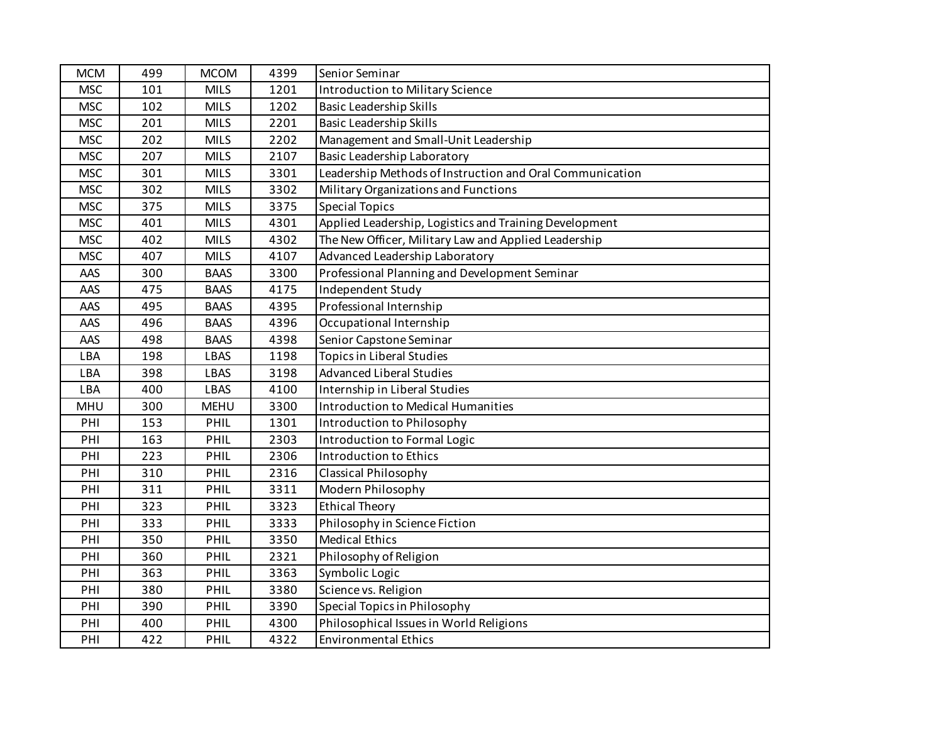| <b>MCM</b> | 499 | <b>MCOM</b> | 4399 | Senior Seminar                                           |
|------------|-----|-------------|------|----------------------------------------------------------|
| <b>MSC</b> | 101 | <b>MILS</b> | 1201 | Introduction to Military Science                         |
| <b>MSC</b> | 102 | <b>MILS</b> | 1202 | <b>Basic Leadership Skills</b>                           |
| <b>MSC</b> | 201 | <b>MILS</b> | 2201 | <b>Basic Leadership Skills</b>                           |
| <b>MSC</b> | 202 | <b>MILS</b> | 2202 | Management and Small-Unit Leadership                     |
| <b>MSC</b> | 207 | <b>MILS</b> | 2107 | <b>Basic Leadership Laboratory</b>                       |
| <b>MSC</b> | 301 | <b>MILS</b> | 3301 | Leadership Methods of Instruction and Oral Communication |
| <b>MSC</b> | 302 | <b>MILS</b> | 3302 | Military Organizations and Functions                     |
| <b>MSC</b> | 375 | <b>MILS</b> | 3375 | <b>Special Topics</b>                                    |
| <b>MSC</b> | 401 | <b>MILS</b> | 4301 | Applied Leadership, Logistics and Training Development   |
| <b>MSC</b> | 402 | <b>MILS</b> | 4302 | The New Officer, Military Law and Applied Leadership     |
| <b>MSC</b> | 407 | <b>MILS</b> | 4107 | Advanced Leadership Laboratory                           |
| AAS        | 300 | <b>BAAS</b> | 3300 | Professional Planning and Development Seminar            |
| AAS        | 475 | <b>BAAS</b> | 4175 | Independent Study                                        |
| AAS        | 495 | <b>BAAS</b> | 4395 | Professional Internship                                  |
| AAS        | 496 | <b>BAAS</b> | 4396 | Occupational Internship                                  |
| AAS        | 498 | <b>BAAS</b> | 4398 | Senior Capstone Seminar                                  |
| LBA        | 198 | <b>LBAS</b> | 1198 | <b>Topics in Liberal Studies</b>                         |
| LBA        | 398 | <b>LBAS</b> | 3198 | <b>Advanced Liberal Studies</b>                          |
| LBA        | 400 | <b>LBAS</b> | 4100 | Internship in Liberal Studies                            |
| <b>MHU</b> | 300 | <b>MEHU</b> | 3300 | <b>Introduction to Medical Humanities</b>                |
| PHI        | 153 | PHIL        | 1301 | Introduction to Philosophy                               |
| PHI        | 163 | PHIL        | 2303 | Introduction to Formal Logic                             |
| PHI        | 223 | PHIL        | 2306 | Introduction to Ethics                                   |
| PHI        | 310 | PHIL        | 2316 | <b>Classical Philosophy</b>                              |
| PHI        | 311 | PHIL        | 3311 | Modern Philosophy                                        |
| PHI        | 323 | PHIL        | 3323 | <b>Ethical Theory</b>                                    |
| PHI        | 333 | PHIL        | 3333 | Philosophy in Science Fiction                            |
| PHI        | 350 | PHIL        | 3350 | <b>Medical Ethics</b>                                    |
| PHI        | 360 | PHIL        | 2321 | Philosophy of Religion                                   |
| PHI        | 363 | PHIL        | 3363 | Symbolic Logic                                           |
| PHI        | 380 | PHIL        | 3380 | Science vs. Religion                                     |
| PHI        | 390 | PHIL        | 3390 | Special Topics in Philosophy                             |
| PHI        | 400 | PHIL        | 4300 | Philosophical Issues in World Religions                  |
| PHI        | 422 | PHIL        | 4322 | <b>Environmental Ethics</b>                              |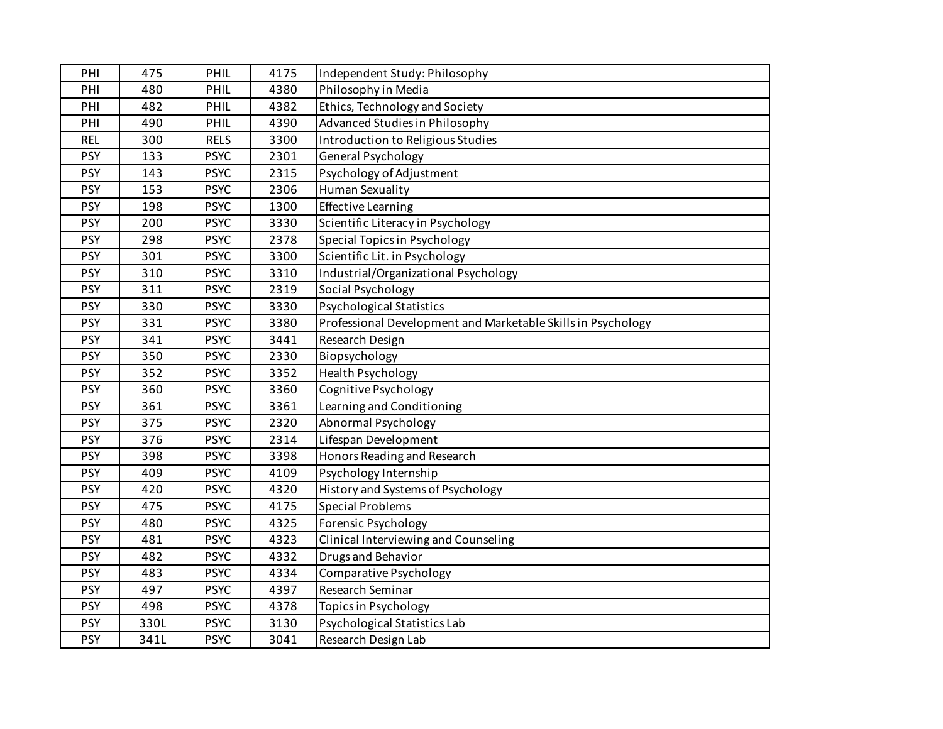| PHI        | 475  | PHIL        | 4175 | Independent Study: Philosophy                                |
|------------|------|-------------|------|--------------------------------------------------------------|
| PHI        | 480  | PHIL        | 4380 | Philosophy in Media                                          |
| PHI        | 482  | PHIL        | 4382 | Ethics, Technology and Society                               |
| PHI        | 490  | PHIL        | 4390 | Advanced Studies in Philosophy                               |
| <b>REL</b> | 300  | <b>RELS</b> | 3300 | Introduction to Religious Studies                            |
| <b>PSY</b> | 133  | <b>PSYC</b> | 2301 | General Psychology                                           |
| <b>PSY</b> | 143  | <b>PSYC</b> | 2315 | Psychology of Adjustment                                     |
| <b>PSY</b> | 153  | <b>PSYC</b> | 2306 | Human Sexuality                                              |
| <b>PSY</b> | 198  | <b>PSYC</b> | 1300 | <b>Effective Learning</b>                                    |
| <b>PSY</b> | 200  | <b>PSYC</b> | 3330 | Scientific Literacy in Psychology                            |
| <b>PSY</b> | 298  | <b>PSYC</b> | 2378 | Special Topics in Psychology                                 |
| <b>PSY</b> | 301  | <b>PSYC</b> | 3300 | Scientific Lit. in Psychology                                |
| <b>PSY</b> | 310  | <b>PSYC</b> | 3310 | Industrial/Organizational Psychology                         |
| <b>PSY</b> | 311  | <b>PSYC</b> | 2319 | Social Psychology                                            |
| <b>PSY</b> | 330  | <b>PSYC</b> | 3330 | <b>Psychological Statistics</b>                              |
| <b>PSY</b> | 331  | <b>PSYC</b> | 3380 | Professional Development and Marketable Skills in Psychology |
| <b>PSY</b> | 341  | <b>PSYC</b> | 3441 | Research Design                                              |
| <b>PSY</b> | 350  | <b>PSYC</b> | 2330 | Biopsychology                                                |
| <b>PSY</b> | 352  | <b>PSYC</b> | 3352 | <b>Health Psychology</b>                                     |
| <b>PSY</b> | 360  | <b>PSYC</b> | 3360 | Cognitive Psychology                                         |
| <b>PSY</b> | 361  | <b>PSYC</b> | 3361 | Learning and Conditioning                                    |
| <b>PSY</b> | 375  | <b>PSYC</b> | 2320 | <b>Abnormal Psychology</b>                                   |
| <b>PSY</b> | 376  | <b>PSYC</b> | 2314 | Lifespan Development                                         |
| <b>PSY</b> | 398  | <b>PSYC</b> | 3398 | Honors Reading and Research                                  |
| <b>PSY</b> | 409  | <b>PSYC</b> | 4109 | Psychology Internship                                        |
| <b>PSY</b> | 420  | <b>PSYC</b> | 4320 | History and Systems of Psychology                            |
| <b>PSY</b> | 475  | <b>PSYC</b> | 4175 | <b>Special Problems</b>                                      |
| <b>PSY</b> | 480  | <b>PSYC</b> | 4325 | Forensic Psychology                                          |
| <b>PSY</b> | 481  | <b>PSYC</b> | 4323 | Clinical Interviewing and Counseling                         |
| <b>PSY</b> | 482  | <b>PSYC</b> | 4332 | Drugs and Behavior                                           |
| <b>PSY</b> | 483  | <b>PSYC</b> | 4334 | Comparative Psychology                                       |
| <b>PSY</b> | 497  | <b>PSYC</b> | 4397 | Research Seminar                                             |
| <b>PSY</b> | 498  | <b>PSYC</b> | 4378 | <b>Topics in Psychology</b>                                  |
| <b>PSY</b> | 330L | <b>PSYC</b> | 3130 | Psychological Statistics Lab                                 |
| <b>PSY</b> | 341L | <b>PSYC</b> | 3041 | Research Design Lab                                          |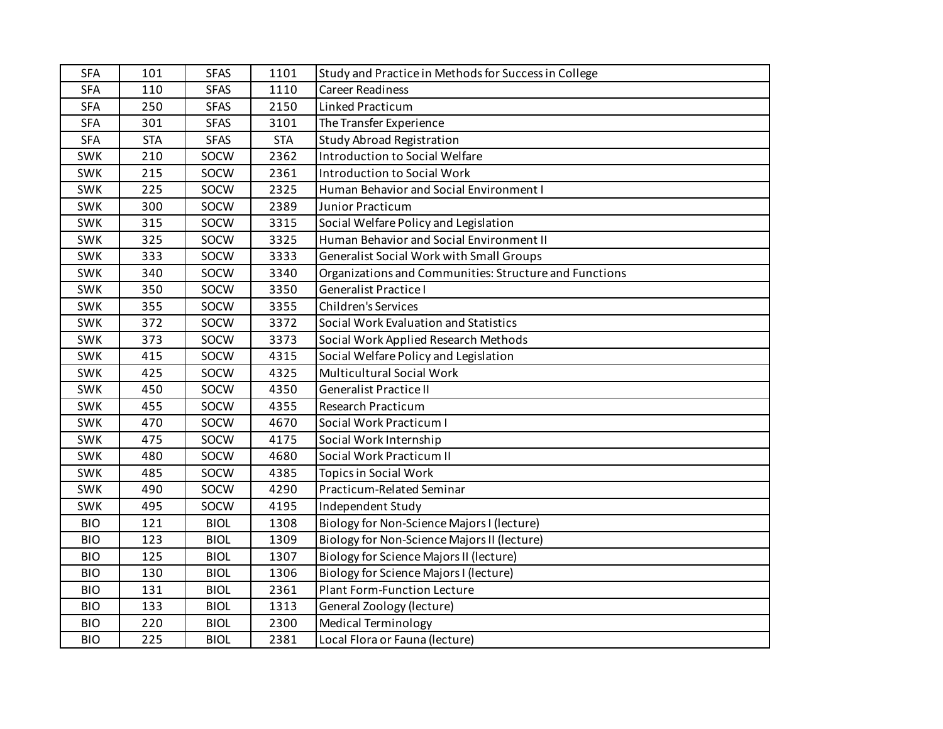| <b>SFA</b> | 101        | <b>SFAS</b> | 1101       | Study and Practice in Methods for Success in College   |
|------------|------------|-------------|------------|--------------------------------------------------------|
| <b>SFA</b> | 110        | <b>SFAS</b> | 1110       | <b>Career Readiness</b>                                |
| <b>SFA</b> | 250        | <b>SFAS</b> | 2150       | Linked Practicum                                       |
| <b>SFA</b> | 301        | <b>SFAS</b> | 3101       | The Transfer Experience                                |
| <b>SFA</b> | <b>STA</b> | <b>SFAS</b> | <b>STA</b> | <b>Study Abroad Registration</b>                       |
| <b>SWK</b> | 210        | SOCW        | 2362       | Introduction to Social Welfare                         |
| <b>SWK</b> | 215        | SOCW        | 2361       | <b>Introduction to Social Work</b>                     |
| SWK        | 225        | SOCW        | 2325       | Human Behavior and Social Environment I                |
| <b>SWK</b> | 300        | SOCW        | 2389       | Junior Practicum                                       |
| <b>SWK</b> | 315        | SOCW        | 3315       | Social Welfare Policy and Legislation                  |
| <b>SWK</b> | 325        | SOCW        | 3325       | Human Behavior and Social Environment II               |
| <b>SWK</b> | 333        | SOCW        | 3333       | <b>Generalist Social Work with Small Groups</b>        |
| <b>SWK</b> | 340        | SOCW        | 3340       | Organizations and Communities: Structure and Functions |
| <b>SWK</b> | 350        | SOCW        | 3350       | <b>Generalist Practice I</b>                           |
| SWK        | 355        | SOCW        | 3355       | <b>Children's Services</b>                             |
| SWK        | 372        | SOCW        | 3372       | Social Work Evaluation and Statistics                  |
| SWK        | 373        | SOCW        | 3373       | Social Work Applied Research Methods                   |
| SWK        | 415        | SOCW        | 4315       | Social Welfare Policy and Legislation                  |
| <b>SWK</b> | 425        | SOCW        | 4325       | <b>Multicultural Social Work</b>                       |
| <b>SWK</b> | 450        | SOCW        | 4350       | <b>Generalist Practice II</b>                          |
| SWK        | 455        | SOCW        | 4355       | <b>Research Practicum</b>                              |
| <b>SWK</b> | 470        | SOCW        | 4670       | Social Work Practicum I                                |
| <b>SWK</b> | 475        | SOCW        | 4175       | Social Work Internship                                 |
| SWK        | 480        | SOCW        | 4680       | Social Work Practicum II                               |
| SWK        | 485        | SOCW        | 4385       | <b>Topics in Social Work</b>                           |
| SWK        | 490        | SOCW        | 4290       | Practicum-Related Seminar                              |
| SWK        | 495        | SOCW        | 4195       | Independent Study                                      |
| <b>BIO</b> | 121        | <b>BIOL</b> | 1308       | Biology for Non-Science Majors I (lecture)             |
| <b>BIO</b> | 123        | <b>BIOL</b> | 1309       | Biology for Non-Science Majors II (lecture)            |
| <b>BIO</b> | 125        | <b>BIOL</b> | 1307       | <b>Biology for Science Majors II (lecture)</b>         |
| <b>BIO</b> | 130        | <b>BIOL</b> | 1306       | <b>Biology for Science Majors I (lecture)</b>          |
| <b>BIO</b> | 131        | <b>BIOL</b> | 2361       | <b>Plant Form-Function Lecture</b>                     |
| <b>BIO</b> | 133        | <b>BIOL</b> | 1313       | General Zoology (lecture)                              |
| <b>BIO</b> | 220        | <b>BIOL</b> | 2300       | <b>Medical Terminology</b>                             |
| <b>BIO</b> | 225        | <b>BIOL</b> | 2381       | Local Flora or Fauna (lecture)                         |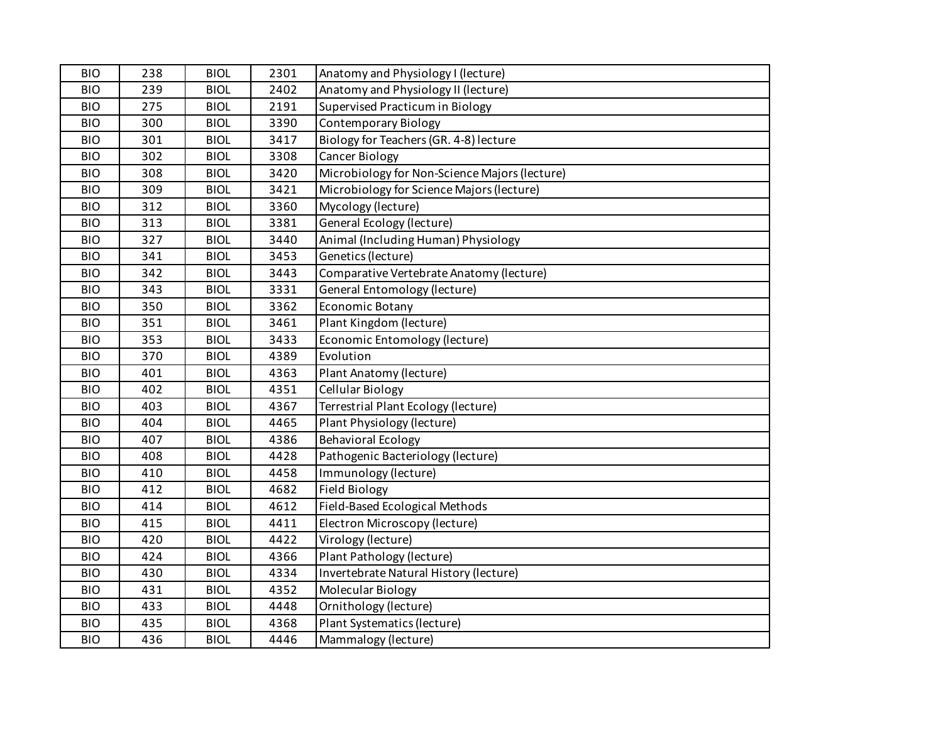| <b>BIO</b> | 238 | <b>BIOL</b> | 2301 | Anatomy and Physiology I (lecture)            |
|------------|-----|-------------|------|-----------------------------------------------|
| <b>BIO</b> | 239 | <b>BIOL</b> | 2402 | Anatomy and Physiology II (lecture)           |
| <b>BIO</b> | 275 | <b>BIOL</b> | 2191 | Supervised Practicum in Biology               |
| <b>BIO</b> | 300 | <b>BIOL</b> | 3390 | <b>Contemporary Biology</b>                   |
| <b>BIO</b> | 301 | <b>BIOL</b> | 3417 | Biology for Teachers (GR. 4-8) lecture        |
| <b>BIO</b> | 302 | <b>BIOL</b> | 3308 | Cancer Biology                                |
| <b>BIO</b> | 308 | <b>BIOL</b> | 3420 | Microbiology for Non-Science Majors (lecture) |
| <b>BIO</b> | 309 | <b>BIOL</b> | 3421 | Microbiology for Science Majors (lecture)     |
| <b>BIO</b> | 312 | <b>BIOL</b> | 3360 | Mycology (lecture)                            |
| <b>BIO</b> | 313 | <b>BIOL</b> | 3381 | General Ecology (lecture)                     |
| <b>BIO</b> | 327 | <b>BIOL</b> | 3440 | Animal (Including Human) Physiology           |
| <b>BIO</b> | 341 | <b>BIOL</b> | 3453 | Genetics (lecture)                            |
| <b>BIO</b> | 342 | <b>BIOL</b> | 3443 | Comparative Vertebrate Anatomy (lecture)      |
| <b>BIO</b> | 343 | <b>BIOL</b> | 3331 | General Entomology (lecture)                  |
| <b>BIO</b> | 350 | <b>BIOL</b> | 3362 | Economic Botany                               |
| <b>BIO</b> | 351 | <b>BIOL</b> | 3461 | Plant Kingdom (lecture)                       |
| <b>BIO</b> | 353 | <b>BIOL</b> | 3433 | Economic Entomology (lecture)                 |
| <b>BIO</b> | 370 | <b>BIOL</b> | 4389 | Evolution                                     |
| <b>BIO</b> | 401 | <b>BIOL</b> | 4363 | Plant Anatomy (lecture)                       |
| <b>BIO</b> | 402 | <b>BIOL</b> | 4351 | Cellular Biology                              |
| <b>BIO</b> | 403 | <b>BIOL</b> | 4367 | Terrestrial Plant Ecology (lecture)           |
| <b>BIO</b> | 404 | <b>BIOL</b> | 4465 | Plant Physiology (lecture)                    |
| <b>BIO</b> | 407 | <b>BIOL</b> | 4386 | <b>Behavioral Ecology</b>                     |
| <b>BIO</b> | 408 | <b>BIOL</b> | 4428 | Pathogenic Bacteriology (lecture)             |
| <b>BIO</b> | 410 | <b>BIOL</b> | 4458 | Immunology (lecture)                          |
| <b>BIO</b> | 412 | <b>BIOL</b> | 4682 | <b>Field Biology</b>                          |
| <b>BIO</b> | 414 | <b>BIOL</b> | 4612 | Field-Based Ecological Methods                |
| <b>BIO</b> | 415 | <b>BIOL</b> | 4411 | Electron Microscopy (lecture)                 |
| <b>BIO</b> | 420 | <b>BIOL</b> | 4422 | Virology (lecture)                            |
| <b>BIO</b> | 424 | <b>BIOL</b> | 4366 | Plant Pathology (lecture)                     |
| <b>BIO</b> | 430 | <b>BIOL</b> | 4334 | Invertebrate Natural History (lecture)        |
| <b>BIO</b> | 431 | <b>BIOL</b> | 4352 | Molecular Biology                             |
| <b>BIO</b> | 433 | <b>BIOL</b> | 4448 | Ornithology (lecture)                         |
| <b>BIO</b> | 435 | <b>BIOL</b> | 4368 | Plant Systematics (lecture)                   |
| <b>BIO</b> | 436 | <b>BIOL</b> | 4446 | Mammalogy (lecture)                           |
|            |     |             |      |                                               |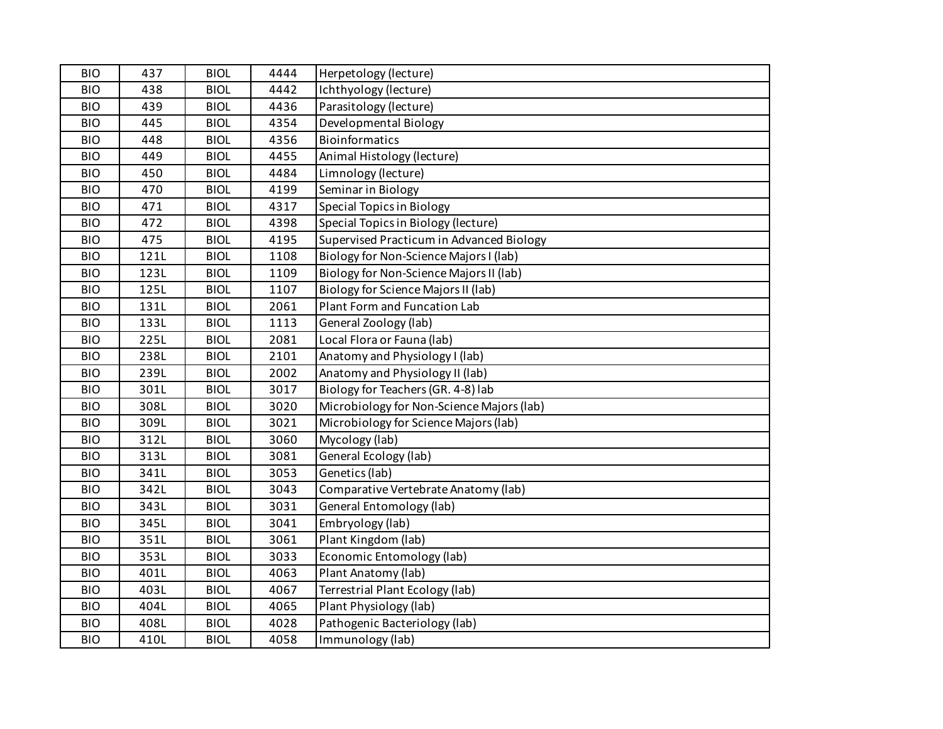| <b>BIO</b> | 437  | <b>BIOL</b> | 4444 | Herpetology (lecture)                     |
|------------|------|-------------|------|-------------------------------------------|
| <b>BIO</b> | 438  | <b>BIOL</b> | 4442 | Ichthyology (lecture)                     |
| <b>BIO</b> | 439  | <b>BIOL</b> | 4436 | Parasitology (lecture)                    |
| <b>BIO</b> | 445  | <b>BIOL</b> | 4354 | Developmental Biology                     |
| <b>BIO</b> | 448  | <b>BIOL</b> | 4356 | <b>Bioinformatics</b>                     |
| <b>BIO</b> | 449  | <b>BIOL</b> | 4455 | Animal Histology (lecture)                |
| <b>BIO</b> | 450  | <b>BIOL</b> | 4484 | Limnology (lecture)                       |
| <b>BIO</b> | 470  | <b>BIOL</b> | 4199 | Seminar in Biology                        |
| <b>BIO</b> | 471  | <b>BIOL</b> | 4317 | <b>Special Topics in Biology</b>          |
| <b>BIO</b> | 472  | <b>BIOL</b> | 4398 | Special Topics in Biology (lecture)       |
| <b>BIO</b> | 475  | <b>BIOL</b> | 4195 | Supervised Practicum in Advanced Biology  |
| <b>BIO</b> | 121L | <b>BIOL</b> | 1108 | Biology for Non-Science Majors I (lab)    |
| <b>BIO</b> | 123L | <b>BIOL</b> | 1109 | Biology for Non-Science Majors II (lab)   |
| <b>BIO</b> | 125L | <b>BIOL</b> | 1107 | Biology for Science Majors II (lab)       |
| <b>BIO</b> | 131L | <b>BIOL</b> | 2061 | Plant Form and Funcation Lab              |
| <b>BIO</b> | 133L | <b>BIOL</b> | 1113 | General Zoology (lab)                     |
| <b>BIO</b> | 225L | <b>BIOL</b> | 2081 | Local Flora or Fauna (lab)                |
| <b>BIO</b> | 238L | <b>BIOL</b> | 2101 | Anatomy and Physiology I (lab)            |
| <b>BIO</b> | 239L | <b>BIOL</b> | 2002 | Anatomy and Physiology II (lab)           |
| <b>BIO</b> | 301L | <b>BIOL</b> | 3017 | Biology for Teachers (GR. 4-8) lab        |
| <b>BIO</b> | 308L | <b>BIOL</b> | 3020 | Microbiology for Non-Science Majors (lab) |
| <b>BIO</b> | 309L | <b>BIOL</b> | 3021 | Microbiology for Science Majors (lab)     |
| <b>BIO</b> | 312L | <b>BIOL</b> | 3060 | Mycology (lab)                            |
| <b>BIO</b> | 313L | <b>BIOL</b> | 3081 | General Ecology (lab)                     |
| <b>BIO</b> | 341L | <b>BIOL</b> | 3053 | Genetics (lab)                            |
| <b>BIO</b> | 342L | <b>BIOL</b> | 3043 | Comparative Vertebrate Anatomy (lab)      |
| <b>BIO</b> | 343L | <b>BIOL</b> | 3031 | General Entomology (lab)                  |
| <b>BIO</b> | 345L | <b>BIOL</b> | 3041 | Embryology (lab)                          |
| <b>BIO</b> | 351L | <b>BIOL</b> | 3061 | Plant Kingdom (lab)                       |
| <b>BIO</b> | 353L | <b>BIOL</b> | 3033 | Economic Entomology (lab)                 |
| <b>BIO</b> | 401L | <b>BIOL</b> | 4063 | Plant Anatomy (lab)                       |
| <b>BIO</b> | 403L | <b>BIOL</b> | 4067 | Terrestrial Plant Ecology (lab)           |
| <b>BIO</b> | 404L | <b>BIOL</b> | 4065 | Plant Physiology (lab)                    |
| <b>BIO</b> | 408L | <b>BIOL</b> | 4028 | Pathogenic Bacteriology (lab)             |
| <b>BIO</b> | 410L | <b>BIOL</b> | 4058 | Immunology (lab)                          |
|            |      |             |      |                                           |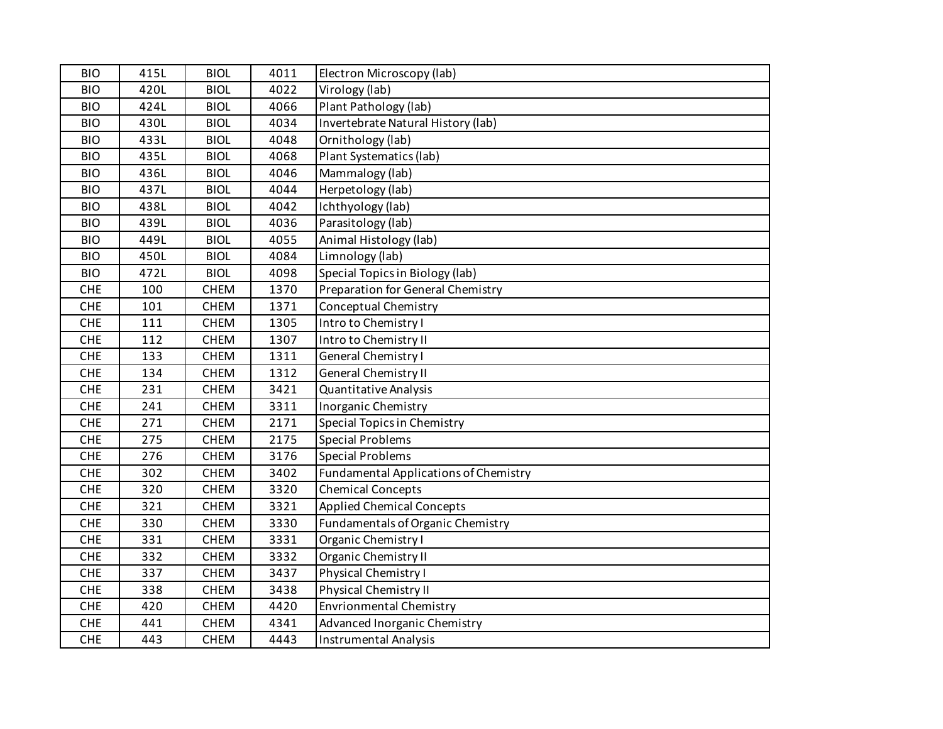| <b>BIO</b> | 415L | <b>BIOL</b> | 4011 | Electron Microscopy (lab)                    |
|------------|------|-------------|------|----------------------------------------------|
| <b>BIO</b> | 420L | <b>BIOL</b> | 4022 | Virology (lab)                               |
| <b>BIO</b> | 424L | <b>BIOL</b> | 4066 | Plant Pathology (lab)                        |
| <b>BIO</b> | 430L | <b>BIOL</b> | 4034 | Invertebrate Natural History (lab)           |
| <b>BIO</b> | 433L | <b>BIOL</b> | 4048 | Ornithology (lab)                            |
| <b>BIO</b> | 435L | <b>BIOL</b> | 4068 | Plant Systematics (lab)                      |
| <b>BIO</b> | 436L | <b>BIOL</b> | 4046 | Mammalogy (lab)                              |
| <b>BIO</b> | 437L | <b>BIOL</b> | 4044 | Herpetology (lab)                            |
| <b>BIO</b> | 438L | <b>BIOL</b> | 4042 | Ichthyology (lab)                            |
| <b>BIO</b> | 439L | <b>BIOL</b> | 4036 | Parasitology (lab)                           |
| <b>BIO</b> | 449L | <b>BIOL</b> | 4055 | Animal Histology (lab)                       |
| <b>BIO</b> | 450L | <b>BIOL</b> | 4084 | Limnology (lab)                              |
| <b>BIO</b> | 472L | <b>BIOL</b> | 4098 | Special Topics in Biology (lab)              |
| <b>CHE</b> | 100  | <b>CHEM</b> | 1370 | <b>Preparation for General Chemistry</b>     |
| <b>CHE</b> | 101  | <b>CHEM</b> | 1371 | Conceptual Chemistry                         |
| <b>CHE</b> | 111  | <b>CHEM</b> | 1305 | Intro to Chemistry I                         |
| <b>CHE</b> | 112  | <b>CHEM</b> | 1307 | Intro to Chemistry II                        |
| <b>CHE</b> | 133  | <b>CHEM</b> | 1311 | General Chemistry I                          |
| <b>CHE</b> | 134  | <b>CHEM</b> | 1312 | General Chemistry II                         |
| <b>CHE</b> | 231  | <b>CHEM</b> | 3421 | Quantitative Analysis                        |
| <b>CHE</b> | 241  | <b>CHEM</b> | 3311 | Inorganic Chemistry                          |
| <b>CHE</b> | 271  | <b>CHEM</b> | 2171 | Special Topics in Chemistry                  |
| <b>CHE</b> | 275  | <b>CHEM</b> | 2175 | <b>Special Problems</b>                      |
| <b>CHE</b> | 276  | <b>CHEM</b> | 3176 | <b>Special Problems</b>                      |
| <b>CHE</b> | 302  | <b>CHEM</b> | 3402 | <b>Fundamental Applications of Chemistry</b> |
| <b>CHE</b> | 320  | <b>CHEM</b> | 3320 | <b>Chemical Concepts</b>                     |
| CHE        | 321  | <b>CHEM</b> | 3321 | <b>Applied Chemical Concepts</b>             |
| <b>CHE</b> | 330  | <b>CHEM</b> | 3330 | Fundamentals of Organic Chemistry            |
| <b>CHE</b> | 331  | <b>CHEM</b> | 3331 | Organic Chemistry I                          |
| CHE        | 332  | <b>CHEM</b> | 3332 | Organic Chemistry II                         |
| <b>CHE</b> | 337  | <b>CHEM</b> | 3437 | Physical Chemistry I                         |
| <b>CHE</b> | 338  | <b>CHEM</b> | 3438 | Physical Chemistry II                        |
| <b>CHE</b> | 420  | <b>CHEM</b> | 4420 | <b>Envrionmental Chemistry</b>               |
| <b>CHE</b> | 441  | <b>CHEM</b> | 4341 | Advanced Inorganic Chemistry                 |
| <b>CHE</b> | 443  | <b>CHEM</b> | 4443 | <b>Instrumental Analysis</b>                 |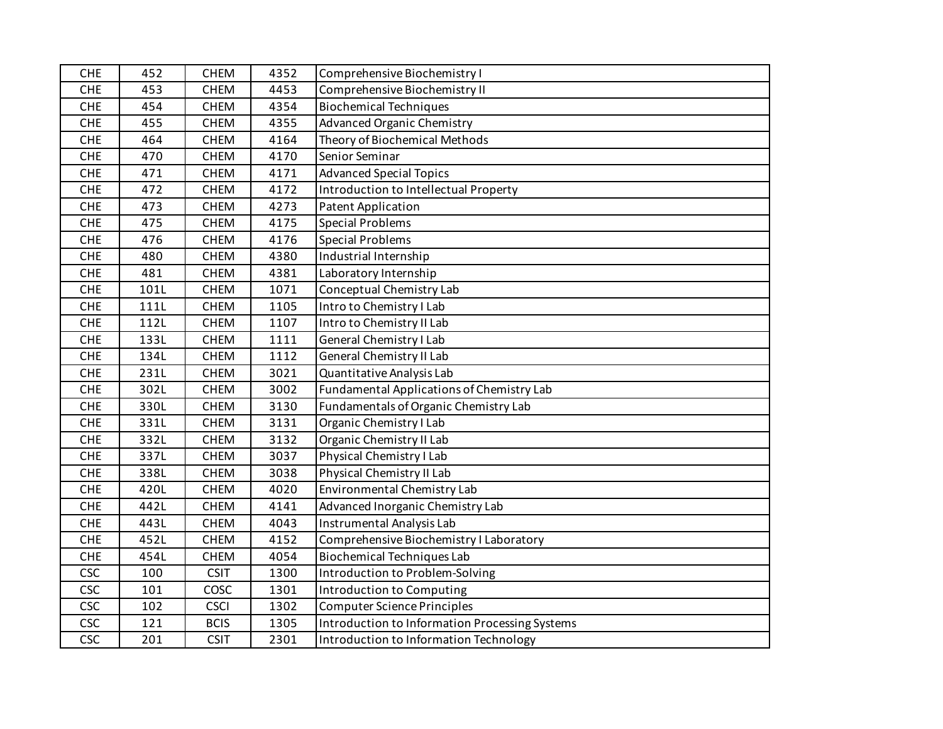| <b>CHE</b> | 452  | <b>CHEM</b> | 4352 | Comprehensive Biochemistry I                   |
|------------|------|-------------|------|------------------------------------------------|
| <b>CHE</b> | 453  | <b>CHEM</b> | 4453 | Comprehensive Biochemistry II                  |
| <b>CHE</b> | 454  | <b>CHEM</b> | 4354 | <b>Biochemical Techniques</b>                  |
| <b>CHE</b> | 455  | <b>CHEM</b> | 4355 | <b>Advanced Organic Chemistry</b>              |
| <b>CHE</b> | 464  | <b>CHEM</b> | 4164 | Theory of Biochemical Methods                  |
| <b>CHE</b> | 470  | <b>CHEM</b> | 4170 | Senior Seminar                                 |
| <b>CHE</b> | 471  | <b>CHEM</b> | 4171 | <b>Advanced Special Topics</b>                 |
| <b>CHE</b> | 472  | <b>CHEM</b> | 4172 | Introduction to Intellectual Property          |
| <b>CHE</b> | 473  | <b>CHEM</b> | 4273 | <b>Patent Application</b>                      |
| <b>CHE</b> | 475  | <b>CHEM</b> | 4175 | <b>Special Problems</b>                        |
| <b>CHE</b> | 476  | <b>CHEM</b> | 4176 | <b>Special Problems</b>                        |
| CHE        | 480  | <b>CHEM</b> | 4380 | Industrial Internship                          |
| <b>CHE</b> | 481  | <b>CHEM</b> | 4381 | Laboratory Internship                          |
| <b>CHE</b> | 101L | <b>CHEM</b> | 1071 | Conceptual Chemistry Lab                       |
| <b>CHE</b> | 111L | <b>CHEM</b> | 1105 | Intro to Chemistry I Lab                       |
| <b>CHE</b> | 112L | <b>CHEM</b> | 1107 | Intro to Chemistry II Lab                      |
| <b>CHE</b> | 133L | <b>CHEM</b> | 1111 | General Chemistry I Lab                        |
| CHE        | 134L | <b>CHEM</b> | 1112 | <b>General Chemistry II Lab</b>                |
| <b>CHE</b> | 231L | <b>CHEM</b> | 3021 | Quantitative Analysis Lab                      |
| <b>CHE</b> | 302L | <b>CHEM</b> | 3002 | Fundamental Applications of Chemistry Lab      |
| <b>CHE</b> | 330L | <b>CHEM</b> | 3130 | Fundamentals of Organic Chemistry Lab          |
| <b>CHE</b> | 331L | <b>CHEM</b> | 3131 | Organic Chemistry I Lab                        |
| CHE        | 332L | <b>CHEM</b> | 3132 | Organic Chemistry II Lab                       |
| <b>CHE</b> | 337L | <b>CHEM</b> | 3037 | Physical Chemistry I Lab                       |
| <b>CHE</b> | 338L | <b>CHEM</b> | 3038 | Physical Chemistry II Lab                      |
| <b>CHE</b> | 420L | <b>CHEM</b> | 4020 | Environmental Chemistry Lab                    |
| CHE        | 442L | <b>CHEM</b> | 4141 | Advanced Inorganic Chemistry Lab               |
| <b>CHE</b> | 443L | <b>CHEM</b> | 4043 | Instrumental Analysis Lab                      |
| <b>CHE</b> | 452L | <b>CHEM</b> | 4152 | Comprehensive Biochemistry I Laboratory        |
| <b>CHE</b> | 454L | <b>CHEM</b> | 4054 | <b>Biochemical Techniques Lab</b>              |
| <b>CSC</b> | 100  | <b>CSIT</b> | 1300 | Introduction to Problem-Solving                |
| <b>CSC</b> | 101  | COSC        | 1301 | Introduction to Computing                      |
| <b>CSC</b> | 102  | <b>CSCI</b> | 1302 | <b>Computer Science Principles</b>             |
| <b>CSC</b> | 121  | <b>BCIS</b> | 1305 | Introduction to Information Processing Systems |
| <b>CSC</b> | 201  | <b>CSIT</b> | 2301 | Introduction to Information Technology         |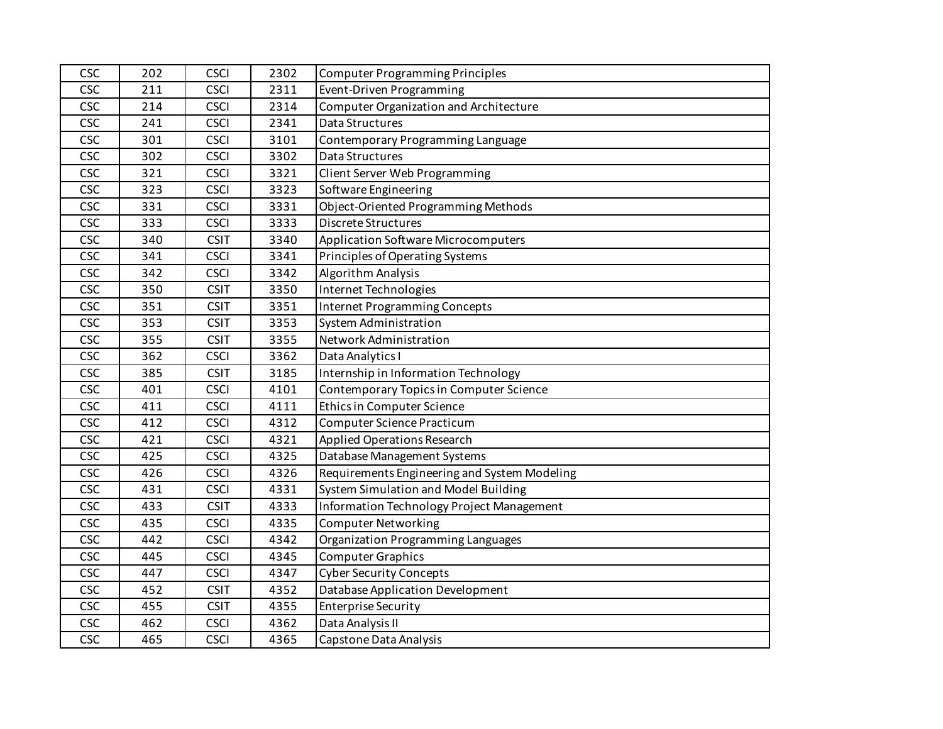| <b>CSC</b> | 202 | <b>CSCI</b> | 2302 | <b>Computer Programming Principles</b>        |
|------------|-----|-------------|------|-----------------------------------------------|
| <b>CSC</b> | 211 | <b>CSCI</b> | 2311 | Event-Driven Programming                      |
| <b>CSC</b> | 214 | <b>CSCI</b> | 2314 | <b>Computer Organization and Architecture</b> |
| <b>CSC</b> | 241 | <b>CSCI</b> | 2341 | Data Structures                               |
| CSC        | 301 | <b>CSCI</b> | 3101 | Contemporary Programming Language             |
| <b>CSC</b> | 302 | <b>CSCI</b> | 3302 | Data Structures                               |
| <b>CSC</b> | 321 | <b>CSCI</b> | 3321 | Client Server Web Programming                 |
| <b>CSC</b> | 323 | <b>CSCI</b> | 3323 | Software Engineering                          |
| <b>CSC</b> | 331 | <b>CSCI</b> | 3331 | Object-Oriented Programming Methods           |
| <b>CSC</b> | 333 | <b>CSCI</b> | 3333 | <b>Discrete Structures</b>                    |
| <b>CSC</b> | 340 | <b>CSIT</b> | 3340 | Application Software Microcomputers           |
| <b>CSC</b> | 341 | <b>CSCI</b> | 3341 | Principles of Operating Systems               |
| <b>CSC</b> | 342 | <b>CSCI</b> | 3342 | Algorithm Analysis                            |
| <b>CSC</b> | 350 | <b>CSIT</b> | 3350 | Internet Technologies                         |
| <b>CSC</b> | 351 | <b>CSIT</b> | 3351 | <b>Internet Programming Concepts</b>          |
| <b>CSC</b> | 353 | <b>CSIT</b> | 3353 | System Administration                         |
| <b>CSC</b> | 355 | <b>CSIT</b> | 3355 | Network Administration                        |
| <b>CSC</b> | 362 | <b>CSCI</b> | 3362 | Data Analytics I                              |
| <b>CSC</b> | 385 | <b>CSIT</b> | 3185 | Internship in Information Technology          |
| <b>CSC</b> | 401 | <b>CSCI</b> | 4101 | Contemporary Topics in Computer Science       |
| <b>CSC</b> | 411 | <b>CSCI</b> | 4111 | Ethics in Computer Science                    |
| <b>CSC</b> | 412 | <b>CSCI</b> | 4312 | Computer Science Practicum                    |
| <b>CSC</b> | 421 | <b>CSCI</b> | 4321 | Applied Operations Research                   |
| <b>CSC</b> | 425 | <b>CSCI</b> | 4325 | Database Management Systems                   |
| <b>CSC</b> | 426 | <b>CSCI</b> | 4326 | Requirements Engineering and System Modeling  |
| <b>CSC</b> | 431 | <b>CSCI</b> | 4331 | System Simulation and Model Building          |
| <b>CSC</b> | 433 | <b>CSIT</b> | 4333 | Information Technology Project Management     |
| <b>CSC</b> | 435 | <b>CSCI</b> | 4335 | <b>Computer Networking</b>                    |
| <b>CSC</b> | 442 | <b>CSCI</b> | 4342 | Organization Programming Languages            |
| CSC        | 445 | <b>CSCI</b> | 4345 | <b>Computer Graphics</b>                      |
| <b>CSC</b> | 447 | <b>CSCI</b> | 4347 | <b>Cyber Security Concepts</b>                |
| <b>CSC</b> | 452 | <b>CSIT</b> | 4352 | <b>Database Application Development</b>       |
| <b>CSC</b> | 455 | <b>CSIT</b> | 4355 | <b>Enterprise Security</b>                    |
| <b>CSC</b> | 462 | <b>CSCI</b> | 4362 | Data Analysis II                              |
| <b>CSC</b> | 465 | <b>CSCI</b> | 4365 | Capstone Data Analysis                        |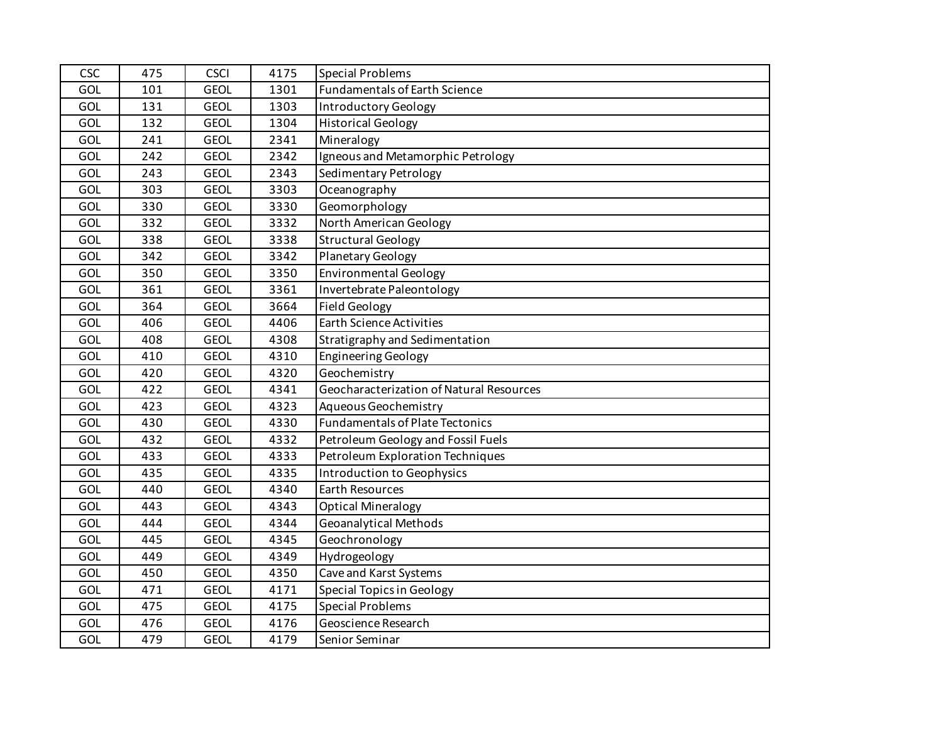| <b>CSC</b> | 475 | <b>CSCI</b> | 4175 | <b>Special Problems</b>                  |
|------------|-----|-------------|------|------------------------------------------|
| GOL        | 101 | <b>GEOL</b> | 1301 | Fundamentals of Earth Science            |
| GOL        | 131 | <b>GEOL</b> | 1303 | <b>Introductory Geology</b>              |
| GOL        | 132 | <b>GEOL</b> | 1304 | <b>Historical Geology</b>                |
| GOL        | 241 | <b>GEOL</b> | 2341 | Mineralogy                               |
| GOL        | 242 | <b>GEOL</b> | 2342 | Igneous and Metamorphic Petrology        |
| GOL        | 243 | <b>GEOL</b> | 2343 | Sedimentary Petrology                    |
| <b>GOL</b> | 303 | <b>GEOL</b> | 3303 | Oceanography                             |
| GOL        | 330 | <b>GEOL</b> | 3330 | Geomorphology                            |
| <b>GOL</b> | 332 | <b>GEOL</b> | 3332 | North American Geology                   |
| GOL        | 338 | <b>GEOL</b> | 3338 | <b>Structural Geology</b>                |
| GOL        | 342 | <b>GEOL</b> | 3342 | Planetary Geology                        |
| GOL        | 350 | <b>GEOL</b> | 3350 | <b>Environmental Geology</b>             |
| GOL        | 361 | <b>GEOL</b> | 3361 | Invertebrate Paleontology                |
| GOL        | 364 | <b>GEOL</b> | 3664 | <b>Field Geology</b>                     |
| GOL        | 406 | <b>GEOL</b> | 4406 | <b>Earth Science Activities</b>          |
| GOL        | 408 | <b>GEOL</b> | 4308 | Stratigraphy and Sedimentation           |
| GOL        | 410 | <b>GEOL</b> | 4310 | <b>Engineering Geology</b>               |
| GOL        | 420 | <b>GEOL</b> | 4320 | Geochemistry                             |
| GOL        | 422 | <b>GEOL</b> | 4341 | Geocharacterization of Natural Resources |
| GOL        | 423 | <b>GEOL</b> | 4323 | Aqueous Geochemistry                     |
| GOL        | 430 | <b>GEOL</b> | 4330 | <b>Fundamentals of Plate Tectonics</b>   |
| GOL        | 432 | <b>GEOL</b> | 4332 | Petroleum Geology and Fossil Fuels       |
| GOL        | 433 | <b>GEOL</b> | 4333 | Petroleum Exploration Techniques         |
| GOL        | 435 | <b>GEOL</b> | 4335 | Introduction to Geophysics               |
| GOL        | 440 | <b>GEOL</b> | 4340 | Earth Resources                          |
| GOL        | 443 | <b>GEOL</b> | 4343 | <b>Optical Mineralogy</b>                |
| GOL        | 444 | <b>GEOL</b> | 4344 | <b>Geoanalytical Methods</b>             |
| <b>GOL</b> | 445 | <b>GEOL</b> | 4345 | Geochronology                            |
| GOL        | 449 | <b>GEOL</b> | 4349 | Hydrogeology                             |
| GOL        | 450 | <b>GEOL</b> | 4350 | Cave and Karst Systems                   |
| GOL        | 471 | <b>GEOL</b> | 4171 | <b>Special Topics in Geology</b>         |
| GOL        | 475 | <b>GEOL</b> | 4175 | <b>Special Problems</b>                  |
| GOL        | 476 | <b>GEOL</b> | 4176 | Geoscience Research                      |
| GOL        | 479 | <b>GEOL</b> | 4179 | Senior Seminar                           |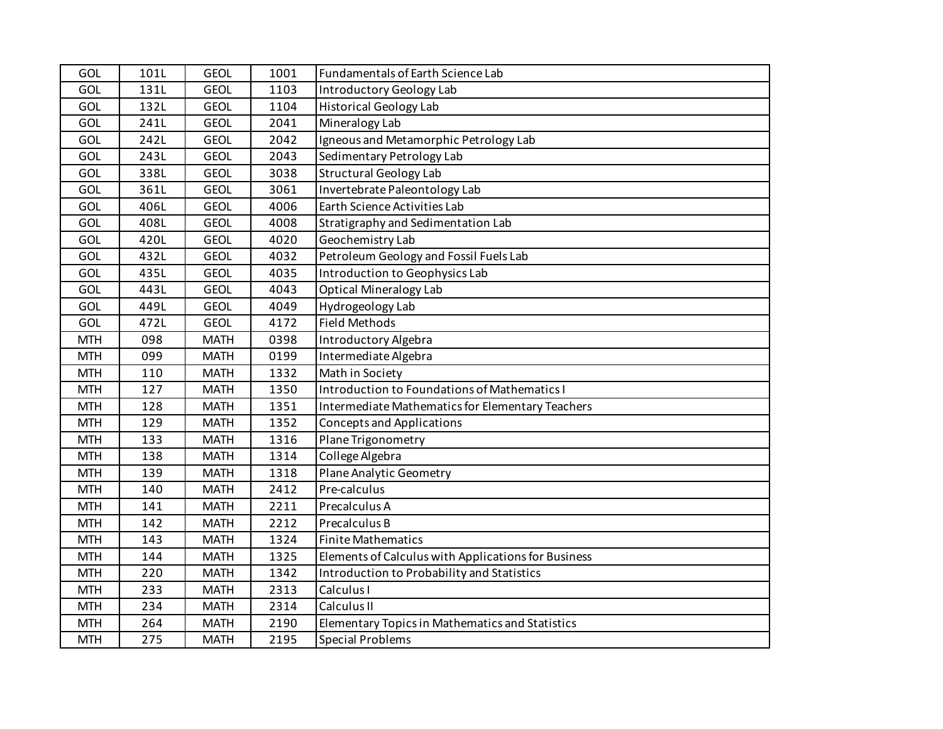| GOL        | 101L | <b>GEOL</b> | 1001 | Fundamentals of Earth Science Lab                      |
|------------|------|-------------|------|--------------------------------------------------------|
| GOL        | 131L | <b>GEOL</b> | 1103 | Introductory Geology Lab                               |
| GOL        | 132L | <b>GEOL</b> | 1104 | <b>Historical Geology Lab</b>                          |
| GOL        | 241L | <b>GEOL</b> | 2041 | Mineralogy Lab                                         |
| GOL        | 242L | <b>GEOL</b> | 2042 | Igneous and Metamorphic Petrology Lab                  |
| GOL        | 243L | <b>GEOL</b> | 2043 | Sedimentary Petrology Lab                              |
| GOL        | 338L | <b>GEOL</b> | 3038 | <b>Structural Geology Lab</b>                          |
| <b>GOL</b> | 361L | <b>GEOL</b> | 3061 | Invertebrate Paleontology Lab                          |
| <b>GOL</b> | 406L | <b>GEOL</b> | 4006 | Earth Science Activities Lab                           |
| GOL        | 408L | <b>GEOL</b> | 4008 | Stratigraphy and Sedimentation Lab                     |
| GOL        | 420L | <b>GEOL</b> | 4020 | Geochemistry Lab                                       |
| GOL        | 432L | <b>GEOL</b> | 4032 | Petroleum Geology and Fossil Fuels Lab                 |
| GOL        | 435L | <b>GEOL</b> | 4035 | Introduction to Geophysics Lab                         |
| <b>GOL</b> | 443L | <b>GEOL</b> | 4043 | <b>Optical Mineralogy Lab</b>                          |
| GOL        | 449L | <b>GEOL</b> | 4049 | Hydrogeology Lab                                       |
| GOL        | 472L | <b>GEOL</b> | 4172 | <b>Field Methods</b>                                   |
| <b>MTH</b> | 098  | <b>MATH</b> | 0398 | Introductory Algebra                                   |
| <b>MTH</b> | 099  | <b>MATH</b> | 0199 | Intermediate Algebra                                   |
| <b>MTH</b> | 110  | <b>MATH</b> | 1332 | Math in Society                                        |
| <b>MTH</b> | 127  | <b>MATH</b> | 1350 | Introduction to Foundations of Mathematics I           |
| <b>MTH</b> | 128  | <b>MATH</b> | 1351 | Intermediate Mathematics for Elementary Teachers       |
| <b>MTH</b> | 129  | <b>MATH</b> | 1352 | <b>Concepts and Applications</b>                       |
| <b>MTH</b> | 133  | <b>MATH</b> | 1316 | Plane Trigonometry                                     |
| <b>MTH</b> | 138  | <b>MATH</b> | 1314 | College Algebra                                        |
| <b>MTH</b> | 139  | <b>MATH</b> | 1318 | Plane Analytic Geometry                                |
| <b>MTH</b> | 140  | <b>MATH</b> | 2412 | Pre-calculus                                           |
| <b>MTH</b> | 141  | <b>MATH</b> | 2211 | Precalculus A                                          |
| <b>MTH</b> | 142  | <b>MATH</b> | 2212 | Precalculus B                                          |
| <b>MTH</b> | 143  | <b>MATH</b> | 1324 | <b>Finite Mathematics</b>                              |
| <b>MTH</b> | 144  | <b>MATH</b> | 1325 | Elements of Calculus with Applications for Business    |
| <b>MTH</b> | 220  | <b>MATH</b> | 1342 | Introduction to Probability and Statistics             |
| <b>MTH</b> | 233  | <b>MATH</b> | 2313 | Calculus I                                             |
| <b>MTH</b> | 234  | <b>MATH</b> | 2314 | Calculus II                                            |
| <b>MTH</b> | 264  | <b>MATH</b> | 2190 | <b>Elementary Topics in Mathematics and Statistics</b> |
| <b>MTH</b> | 275  | <b>MATH</b> | 2195 | <b>Special Problems</b>                                |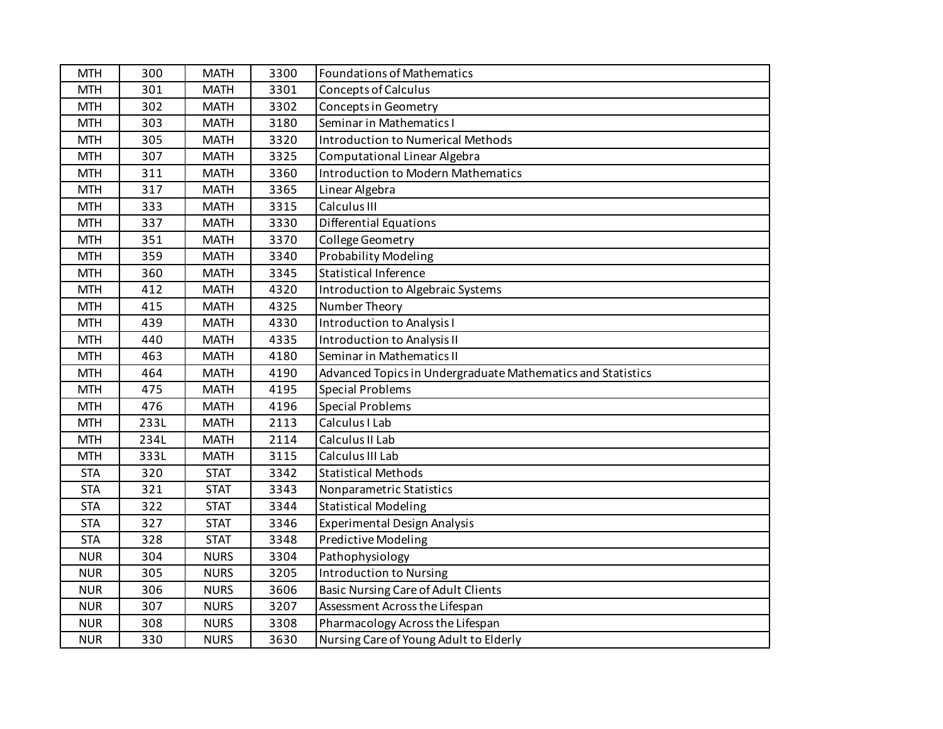| <b>MTH</b> | 300  | <b>MATH</b> | 3300 | <b>Foundations of Mathematics</b>                           |
|------------|------|-------------|------|-------------------------------------------------------------|
| <b>MTH</b> | 301  | <b>MATH</b> | 3301 | <b>Concepts of Calculus</b>                                 |
| <b>MTH</b> | 302  | <b>MATH</b> | 3302 | Concepts in Geometry                                        |
| <b>MTH</b> | 303  | <b>MATH</b> | 3180 | Seminar in Mathematics I                                    |
| <b>MTH</b> | 305  | <b>MATH</b> | 3320 | Introduction to Numerical Methods                           |
| <b>MTH</b> | 307  | <b>MATH</b> | 3325 | Computational Linear Algebra                                |
| <b>MTH</b> | 311  | <b>MATH</b> | 3360 | <b>Introduction to Modern Mathematics</b>                   |
| <b>MTH</b> | 317  | <b>MATH</b> | 3365 | Linear Algebra                                              |
| <b>MTH</b> | 333  | <b>MATH</b> | 3315 | Calculus III                                                |
| <b>MTH</b> | 337  | <b>MATH</b> | 3330 | <b>Differential Equations</b>                               |
| <b>MTH</b> | 351  | <b>MATH</b> | 3370 | College Geometry                                            |
| <b>MTH</b> | 359  | <b>MATH</b> | 3340 | <b>Probability Modeling</b>                                 |
| <b>MTH</b> | 360  | <b>MATH</b> | 3345 | <b>Statistical Inference</b>                                |
| <b>MTH</b> | 412  | <b>MATH</b> | 4320 | Introduction to Algebraic Systems                           |
| <b>MTH</b> | 415  | <b>MATH</b> | 4325 | Number Theory                                               |
| <b>MTH</b> | 439  | <b>MATH</b> | 4330 | <b>Introduction to Analysis I</b>                           |
| <b>MTH</b> | 440  | <b>MATH</b> | 4335 | Introduction to Analysis II                                 |
| <b>MTH</b> | 463  | <b>MATH</b> | 4180 | Seminar in Mathematics II                                   |
| <b>MTH</b> | 464  | <b>MATH</b> | 4190 | Advanced Topics in Undergraduate Mathematics and Statistics |
| <b>MTH</b> | 475  | <b>MATH</b> | 4195 | <b>Special Problems</b>                                     |
| <b>MTH</b> | 476  | <b>MATH</b> | 4196 | <b>Special Problems</b>                                     |
| <b>MTH</b> | 233L | <b>MATH</b> | 2113 | Calculus I Lab                                              |
| <b>MTH</b> | 234L | <b>MATH</b> | 2114 | Calculus II Lab                                             |
| <b>MTH</b> | 333L | <b>MATH</b> | 3115 | Calculus III Lab                                            |
| <b>STA</b> | 320  | <b>STAT</b> | 3342 | <b>Statistical Methods</b>                                  |
| <b>STA</b> | 321  | <b>STAT</b> | 3343 | Nonparametric Statistics                                    |
| <b>STA</b> | 322  | <b>STAT</b> | 3344 | <b>Statistical Modeling</b>                                 |
| <b>STA</b> | 327  | <b>STAT</b> | 3346 | Experimental Design Analysis                                |
| <b>STA</b> | 328  | <b>STAT</b> | 3348 | Predictive Modeling                                         |
| <b>NUR</b> | 304  | <b>NURS</b> | 3304 | Pathophysiology                                             |
| <b>NUR</b> | 305  | <b>NURS</b> | 3205 | <b>Introduction to Nursing</b>                              |
| <b>NUR</b> | 306  | <b>NURS</b> | 3606 | <b>Basic Nursing Care of Adult Clients</b>                  |
| <b>NUR</b> | 307  | <b>NURS</b> | 3207 | Assessment Across the Lifespan                              |
| <b>NUR</b> | 308  | <b>NURS</b> | 3308 | Pharmacology Across the Lifespan                            |
| <b>NUR</b> | 330  | <b>NURS</b> | 3630 | Nursing Care of Young Adult to Elderly                      |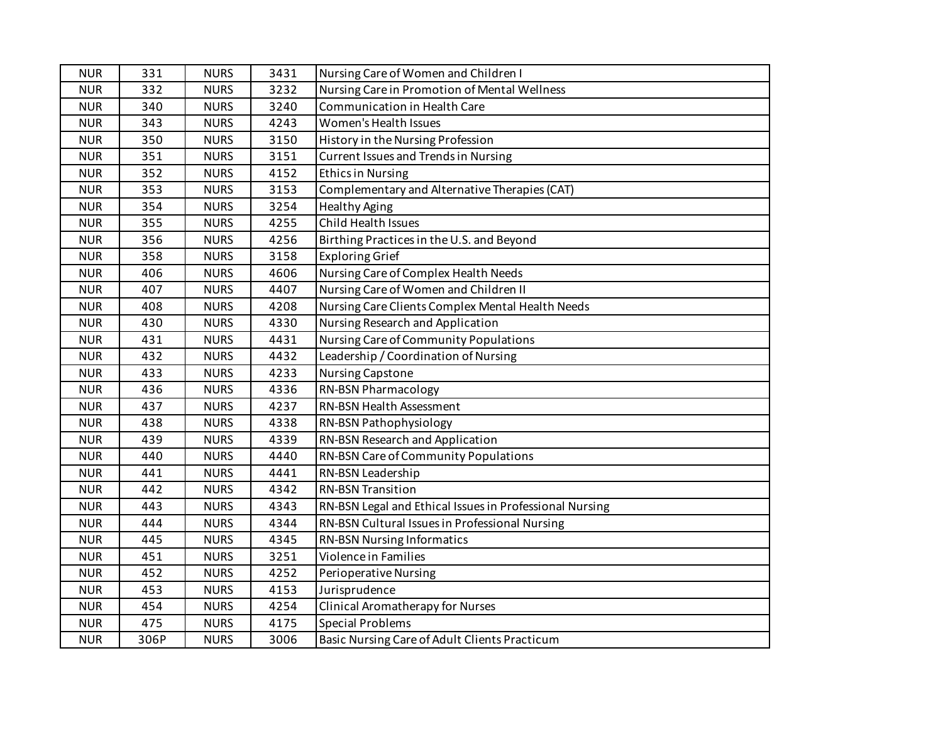| <b>NUR</b> | 331  | <b>NURS</b> | 3431 | Nursing Care of Women and Children I                    |
|------------|------|-------------|------|---------------------------------------------------------|
| <b>NUR</b> | 332  | <b>NURS</b> | 3232 | Nursing Care in Promotion of Mental Wellness            |
| <b>NUR</b> | 340  | <b>NURS</b> | 3240 | Communication in Health Care                            |
| <b>NUR</b> | 343  | <b>NURS</b> | 4243 | Women's Health Issues                                   |
| <b>NUR</b> | 350  | <b>NURS</b> | 3150 | History in the Nursing Profession                       |
| <b>NUR</b> | 351  | <b>NURS</b> | 3151 | <b>Current Issues and Trends in Nursing</b>             |
| <b>NUR</b> | 352  | <b>NURS</b> | 4152 | <b>Ethics in Nursing</b>                                |
| <b>NUR</b> | 353  | <b>NURS</b> | 3153 | Complementary and Alternative Therapies (CAT)           |
| <b>NUR</b> | 354  | <b>NURS</b> | 3254 | <b>Healthy Aging</b>                                    |
| <b>NUR</b> | 355  | <b>NURS</b> | 4255 | Child Health Issues                                     |
| <b>NUR</b> | 356  | <b>NURS</b> | 4256 | Birthing Practices in the U.S. and Beyond               |
| <b>NUR</b> | 358  | <b>NURS</b> | 3158 | <b>Exploring Grief</b>                                  |
| <b>NUR</b> | 406  | <b>NURS</b> | 4606 | Nursing Care of Complex Health Needs                    |
| <b>NUR</b> | 407  | <b>NURS</b> | 4407 | Nursing Care of Women and Children II                   |
| <b>NUR</b> | 408  | <b>NURS</b> | 4208 | Nursing Care Clients Complex Mental Health Needs        |
| <b>NUR</b> | 430  | <b>NURS</b> | 4330 | Nursing Research and Application                        |
| <b>NUR</b> | 431  | <b>NURS</b> | 4431 | Nursing Care of Community Populations                   |
| <b>NUR</b> | 432  | <b>NURS</b> | 4432 | Leadership / Coordination of Nursing                    |
| <b>NUR</b> | 433  | <b>NURS</b> | 4233 | <b>Nursing Capstone</b>                                 |
| <b>NUR</b> | 436  | <b>NURS</b> | 4336 | <b>RN-BSN Pharmacology</b>                              |
| <b>NUR</b> | 437  | <b>NURS</b> | 4237 | RN-BSN Health Assessment                                |
| <b>NUR</b> | 438  | <b>NURS</b> | 4338 | RN-BSN Pathophysiology                                  |
| <b>NUR</b> | 439  | <b>NURS</b> | 4339 | RN-BSN Research and Application                         |
| <b>NUR</b> | 440  | <b>NURS</b> | 4440 | RN-BSN Care of Community Populations                    |
| <b>NUR</b> | 441  | <b>NURS</b> | 4441 | RN-BSN Leadership                                       |
| <b>NUR</b> | 442  | <b>NURS</b> | 4342 | <b>RN-BSN Transition</b>                                |
| <b>NUR</b> | 443  | <b>NURS</b> | 4343 | RN-BSN Legal and Ethical Issues in Professional Nursing |
| <b>NUR</b> | 444  | <b>NURS</b> | 4344 | RN-BSN Cultural Issues in Professional Nursing          |
| <b>NUR</b> | 445  | <b>NURS</b> | 4345 | <b>RN-BSN Nursing Informatics</b>                       |
| <b>NUR</b> | 451  | <b>NURS</b> | 3251 | Violence in Families                                    |
| <b>NUR</b> | 452  | <b>NURS</b> | 4252 | <b>Perioperative Nursing</b>                            |
| <b>NUR</b> | 453  | <b>NURS</b> | 4153 | Jurisprudence                                           |
| <b>NUR</b> | 454  | <b>NURS</b> | 4254 | <b>Clinical Aromatherapy for Nurses</b>                 |
| <b>NUR</b> | 475  | <b>NURS</b> | 4175 | <b>Special Problems</b>                                 |
| <b>NUR</b> | 306P | <b>NURS</b> | 3006 | Basic Nursing Care of Adult Clients Practicum           |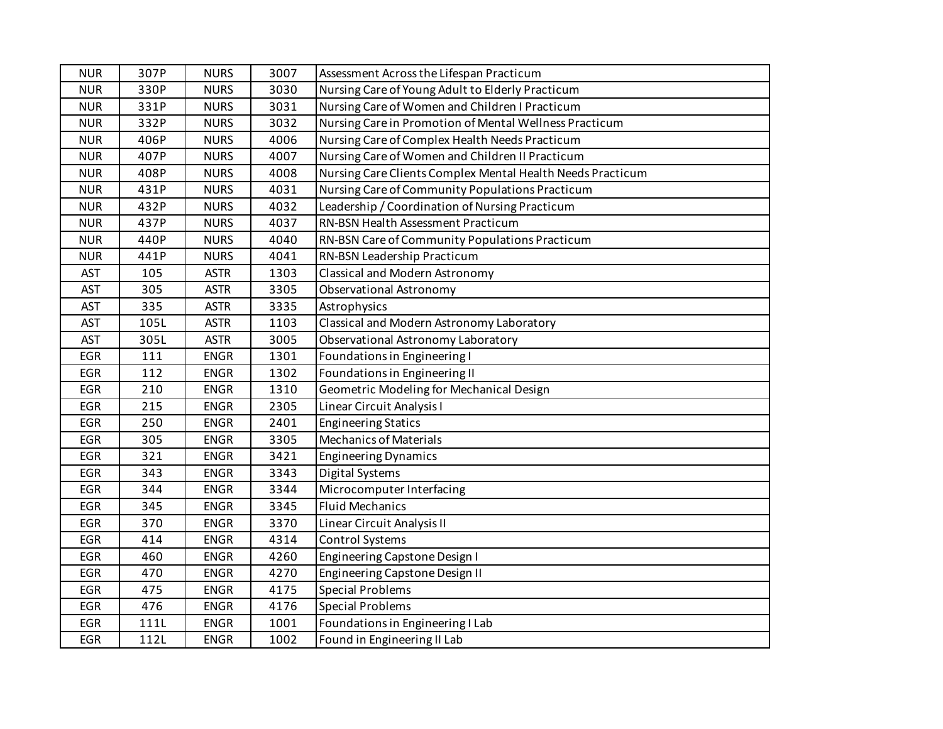| <b>NUR</b> | 307P | <b>NURS</b> | 3007 | Assessment Across the Lifespan Practicum                   |
|------------|------|-------------|------|------------------------------------------------------------|
| <b>NUR</b> | 330P | <b>NURS</b> | 3030 | Nursing Care of Young Adult to Elderly Practicum           |
| <b>NUR</b> | 331P | <b>NURS</b> | 3031 | Nursing Care of Women and Children I Practicum             |
| <b>NUR</b> | 332P | <b>NURS</b> | 3032 | Nursing Care in Promotion of Mental Wellness Practicum     |
| <b>NUR</b> | 406P | <b>NURS</b> | 4006 | Nursing Care of Complex Health Needs Practicum             |
| <b>NUR</b> | 407P | <b>NURS</b> | 4007 | Nursing Care of Women and Children II Practicum            |
| <b>NUR</b> | 408P | <b>NURS</b> | 4008 | Nursing Care Clients Complex Mental Health Needs Practicum |
| <b>NUR</b> | 431P | <b>NURS</b> | 4031 | Nursing Care of Community Populations Practicum            |
| <b>NUR</b> | 432P | <b>NURS</b> | 4032 | Leadership / Coordination of Nursing Practicum             |
| <b>NUR</b> | 437P | <b>NURS</b> | 4037 | RN-BSN Health Assessment Practicum                         |
| <b>NUR</b> | 440P | <b>NURS</b> | 4040 | RN-BSN Care of Community Populations Practicum             |
| <b>NUR</b> | 441P | <b>NURS</b> | 4041 | RN-BSN Leadership Practicum                                |
| <b>AST</b> | 105  | <b>ASTR</b> | 1303 | Classical and Modern Astronomy                             |
| <b>AST</b> | 305  | <b>ASTR</b> | 3305 | Observational Astronomy                                    |
| <b>AST</b> | 335  | <b>ASTR</b> | 3335 | Astrophysics                                               |
| <b>AST</b> | 105L | <b>ASTR</b> | 1103 | Classical and Modern Astronomy Laboratory                  |
| <b>AST</b> | 305L | <b>ASTR</b> | 3005 | Observational Astronomy Laboratory                         |
| <b>EGR</b> | 111  | <b>ENGR</b> | 1301 | Foundations in Engineering I                               |
| EGR        | 112  | <b>ENGR</b> | 1302 | Foundations in Engineering II                              |
| <b>EGR</b> | 210  | <b>ENGR</b> | 1310 | Geometric Modeling for Mechanical Design                   |
| <b>EGR</b> | 215  | <b>ENGR</b> | 2305 | Linear Circuit Analysis I                                  |
| <b>EGR</b> | 250  | <b>ENGR</b> | 2401 | <b>Engineering Statics</b>                                 |
| <b>EGR</b> | 305  | <b>ENGR</b> | 3305 | <b>Mechanics of Materials</b>                              |
| <b>EGR</b> | 321  | <b>ENGR</b> | 3421 | <b>Engineering Dynamics</b>                                |
| <b>EGR</b> | 343  | <b>ENGR</b> | 3343 | Digital Systems                                            |
| <b>EGR</b> | 344  | <b>ENGR</b> | 3344 | Microcomputer Interfacing                                  |
| <b>EGR</b> | 345  | <b>ENGR</b> | 3345 | <b>Fluid Mechanics</b>                                     |
| <b>EGR</b> | 370  | <b>ENGR</b> | 3370 | Linear Circuit Analysis II                                 |
| <b>EGR</b> | 414  | <b>ENGR</b> | 4314 | Control Systems                                            |
| <b>EGR</b> | 460  | <b>ENGR</b> | 4260 | Engineering Capstone Design I                              |
| <b>EGR</b> | 470  | <b>ENGR</b> | 4270 | Engineering Capstone Design II                             |
| <b>EGR</b> | 475  | <b>ENGR</b> | 4175 | <b>Special Problems</b>                                    |
| <b>EGR</b> | 476  | <b>ENGR</b> | 4176 | <b>Special Problems</b>                                    |
| <b>EGR</b> | 111L | <b>ENGR</b> | 1001 | Foundations in Engineering I Lab                           |
| <b>EGR</b> | 112L | <b>ENGR</b> | 1002 | Found in Engineering II Lab                                |
|            |      |             |      |                                                            |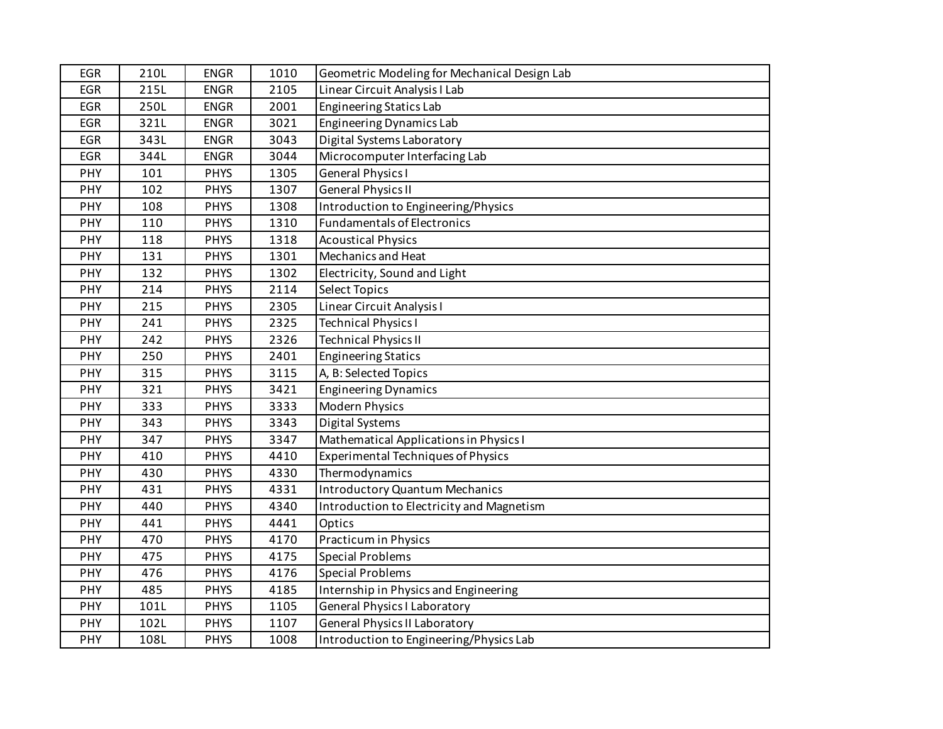| <b>EGR</b> | 210L | <b>ENGR</b> | 1010 | Geometric Modeling for Mechanical Design Lab |
|------------|------|-------------|------|----------------------------------------------|
| <b>EGR</b> | 215L | <b>ENGR</b> | 2105 | Linear Circuit Analysis I Lab                |
| <b>EGR</b> | 250L | <b>ENGR</b> | 2001 | <b>Engineering Statics Lab</b>               |
| <b>EGR</b> | 321L | <b>ENGR</b> | 3021 | <b>Engineering Dynamics Lab</b>              |
| <b>EGR</b> | 343L | <b>ENGR</b> | 3043 | Digital Systems Laboratory                   |
| <b>EGR</b> | 344L | <b>ENGR</b> | 3044 | Microcomputer Interfacing Lab                |
| PHY        | 101  | <b>PHYS</b> | 1305 | <b>General Physics I</b>                     |
| PHY        | 102  | <b>PHYS</b> | 1307 | <b>General Physics II</b>                    |
| PHY        | 108  | <b>PHYS</b> | 1308 | Introduction to Engineering/Physics          |
| PHY        | 110  | <b>PHYS</b> | 1310 | <b>Fundamentals of Electronics</b>           |
| PHY        | 118  | <b>PHYS</b> | 1318 | <b>Acoustical Physics</b>                    |
| PHY        | 131  | <b>PHYS</b> | 1301 | <b>Mechanics and Heat</b>                    |
| PHY        | 132  | <b>PHYS</b> | 1302 | Electricity, Sound and Light                 |
| PHY        | 214  | <b>PHYS</b> | 2114 | Select Topics                                |
| PHY        | 215  | <b>PHYS</b> | 2305 | Linear Circuit Analysis I                    |
| PHY        | 241  | <b>PHYS</b> | 2325 | <b>Technical Physics I</b>                   |
| PHY        | 242  | <b>PHYS</b> | 2326 | <b>Technical Physics II</b>                  |
| PHY        | 250  | <b>PHYS</b> | 2401 | <b>Engineering Statics</b>                   |
| PHY        | 315  | <b>PHYS</b> | 3115 | A, B: Selected Topics                        |
| PHY        | 321  | <b>PHYS</b> | 3421 | <b>Engineering Dynamics</b>                  |
| PHY        | 333  | <b>PHYS</b> | 3333 | Modern Physics                               |
| PHY        | 343  | <b>PHYS</b> | 3343 | Digital Systems                              |
| PHY        | 347  | <b>PHYS</b> | 3347 | Mathematical Applications in Physics I       |
| <b>PHY</b> | 410  | <b>PHYS</b> | 4410 | <b>Experimental Techniques of Physics</b>    |
| PHY        | 430  | <b>PHYS</b> | 4330 | Thermodynamics                               |
| PHY        | 431  | <b>PHYS</b> | 4331 | <b>Introductory Quantum Mechanics</b>        |
| PHY        | 440  | <b>PHYS</b> | 4340 | Introduction to Electricity and Magnetism    |
| PHY        | 441  | <b>PHYS</b> | 4441 | Optics                                       |
| PHY        | 470  | <b>PHYS</b> | 4170 | <b>Practicum in Physics</b>                  |
| PHY        | 475  | <b>PHYS</b> | 4175 | <b>Special Problems</b>                      |
| PHY        | 476  | <b>PHYS</b> | 4176 | <b>Special Problems</b>                      |
| PHY        | 485  | <b>PHYS</b> | 4185 | Internship in Physics and Engineering        |
| PHY        | 101L | <b>PHYS</b> | 1105 | <b>General Physics I Laboratory</b>          |
| PHY        | 102L | <b>PHYS</b> | 1107 | <b>General Physics II Laboratory</b>         |
| PHY        | 108L | <b>PHYS</b> | 1008 | Introduction to Engineering/Physics Lab      |